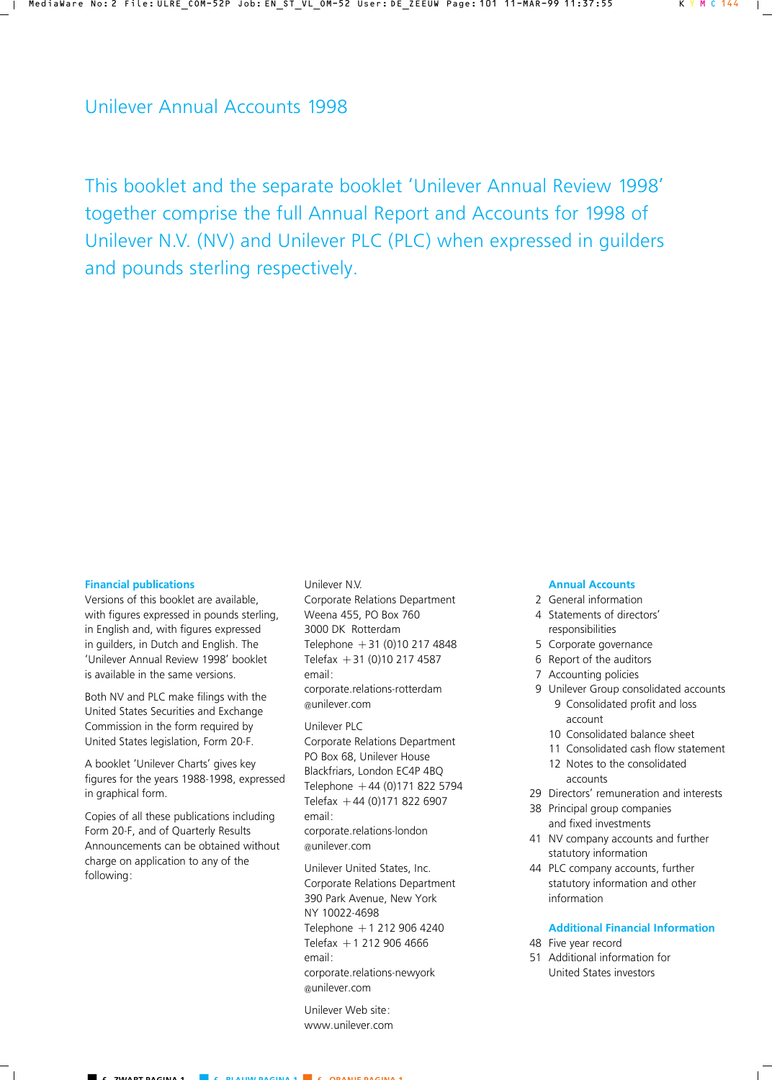# Unilever Annual Accounts 1998

This booklet and the separate booklet 'Unilever Annual Review 1998' together comprise the full Annual Report and Accounts for 1998 of Unilever N.V. (NV) and Unilever PLC (PLC) when expressed in guilders and pounds sterling respectively.

### **Financial publications**

Versions of this booklet are available, with figures expressed in pounds sterling, in English and, with figures expressed in guilders, in Dutch and English. The 'Unilever Annual Review 1998' booklet is available in the same versions.

Both NV and PLC make filings with the United States Securities and Exchange Commission in the form required by United States legislation, Form 20-F.

A booklet 'Unilever Charts' gives key figures for the years 1988-1998, expressed in graphical form.

Copies of all these publications including Form 20-F, and of Quarterly Results Announcements can be obtained without charge on application to any of the following:

### Unilever N.V.

Corporate Relations Department Weena 455, PO Box 760 3000 DK Rotterdam Telephone  $+31$  (0)10 217 4848 Telefax  $+31$  (0)10 217 4587 email: corporate.relations-rotterdam @unilever.com

Unilever PLC Corporate Relations Department PO Box 68, Unilever House Blackfriars, London EC4P 4BQ Telephone  $+44(0)1718225794$ Telefax  $+44$  (0)171 822 6907 email: corporate.relations-london @unilever.com

Unilever United States, Inc. Corporate Relations Department 390 Park Avenue, New York NY 10022-4698 Telephone +1 212 906 4240 Telefax  $+1$  212 906 4666 email: corporate.relations-newyork @unilever.com

Unilever Web site: www.unilever.com

### **Annual Accounts**

- 2 General information 4 Statements of directors'
	- responsibilities
- 5 Corporate governance
- 6 Report of the auditors
- 7 Accounting policies
- 9 Unilever Group consolidated accounts 9 Consolidated profit and loss account
	- 10 Consolidated balance sheet
	- 11 Consolidated cash flow statement
	- 12 Notes to the consolidated accounts
- 29 Directors' remuneration and interests
- 38 Principal group companies and fixed investments
- 41 NV company accounts and further statutory information
- 44 PLC company accounts, further statutory information and other information

## **Additional Financial Information**

- 48 Five year record
- 51 Additional information for United States investors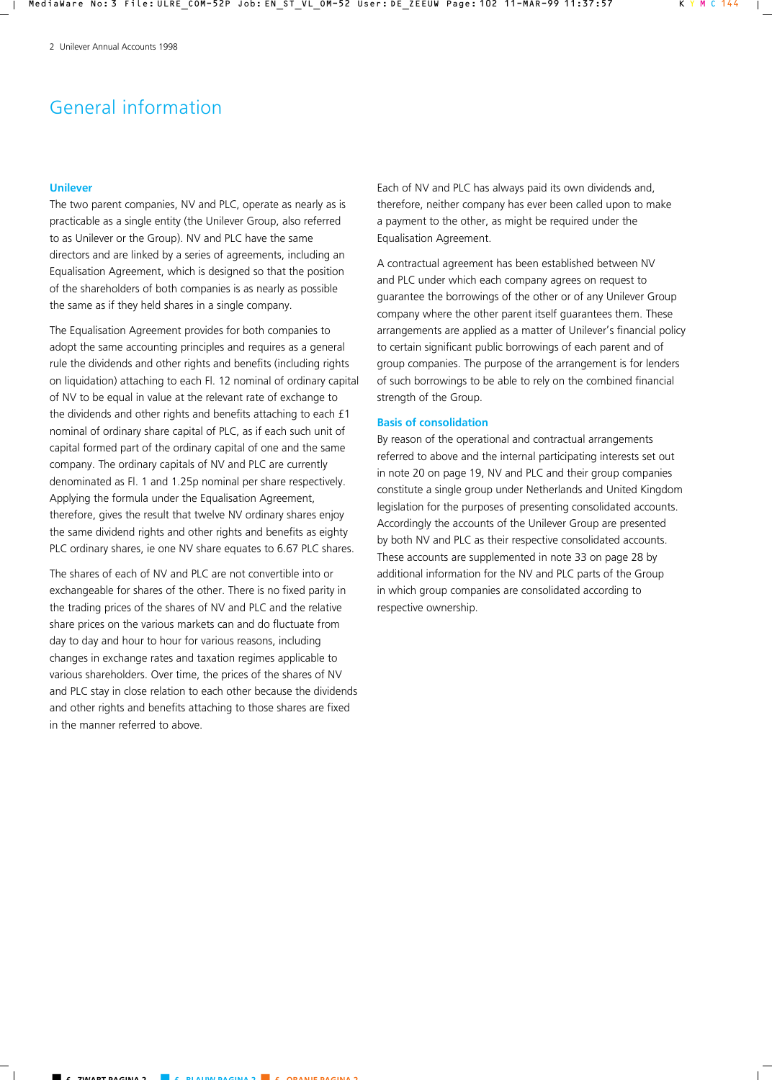# General information

## **Unilever**

The two parent companies, NV and PLC, operate as nearly as is practicable as a single entity (the Unilever Group, also referred to as Unilever or the Group). NV and PLC have the same directors and are linked by a series of agreements, including an Equalisation Agreement, which is designed so that the position of the shareholders of both companies is as nearly as possible the same as if they held shares in a single company.

The Equalisation Agreement provides for both companies to adopt the same accounting principles and requires as a general rule the dividends and other rights and benefits (including rights on liquidation) attaching to each Fl. 12 nominal of ordinary capital of NV to be equal in value at the relevant rate of exchange to the dividends and other rights and benefits attaching to each £1 nominal of ordinary share capital of PLC, as if each such unit of capital formed part of the ordinary capital of one and the same company. The ordinary capitals of NV and PLC are currently denominated as Fl. 1 and 1.25p nominal per share respectively. Applying the formula under the Equalisation Agreement, therefore, gives the result that twelve NV ordinary shares enjoy the same dividend rights and other rights and benefits as eighty PLC ordinary shares, ie one NV share equates to 6.67 PLC shares.

The shares of each of NV and PLC are not convertible into or exchangeable for shares of the other. There is no fixed parity in the trading prices of the shares of NV and PLC and the relative share prices on the various markets can and do fluctuate from day to day and hour to hour for various reasons, including changes in exchange rates and taxation regimes applicable to various shareholders. Over time, the prices of the shares of NV and PLC stay in close relation to each other because the dividends and other rights and benefits attaching to those shares are fixed in the manner referred to above.

Each of NV and PLC has always paid its own dividends and, therefore, neither company has ever been called upon to make a payment to the other, as might be required under the Equalisation Agreement.

A contractual agreement has been established between NV and PLC under which each company agrees on request to guarantee the borrowings of the other or of any Unilever Group company where the other parent itself guarantees them. These arrangements are applied as a matter of Unilever's financial policy to certain significant public borrowings of each parent and of group companies. The purpose of the arrangement is for lenders of such borrowings to be able to rely on the combined financial strength of the Group.

### **Basis of consolidation**

By reason of the operational and contractual arrangements referred to above and the internal participating interests set out in note 20 on page 19, NV and PLC and their group companies constitute a single group under Netherlands and United Kingdom legislation for the purposes of presenting consolidated accounts. Accordingly the accounts of the Unilever Group are presented by both NV and PLC as their respective consolidated accounts. These accounts are supplemented in note 33 on page 28 by additional information for the NV and PLC parts of the Group in which group companies are consolidated according to respective ownership.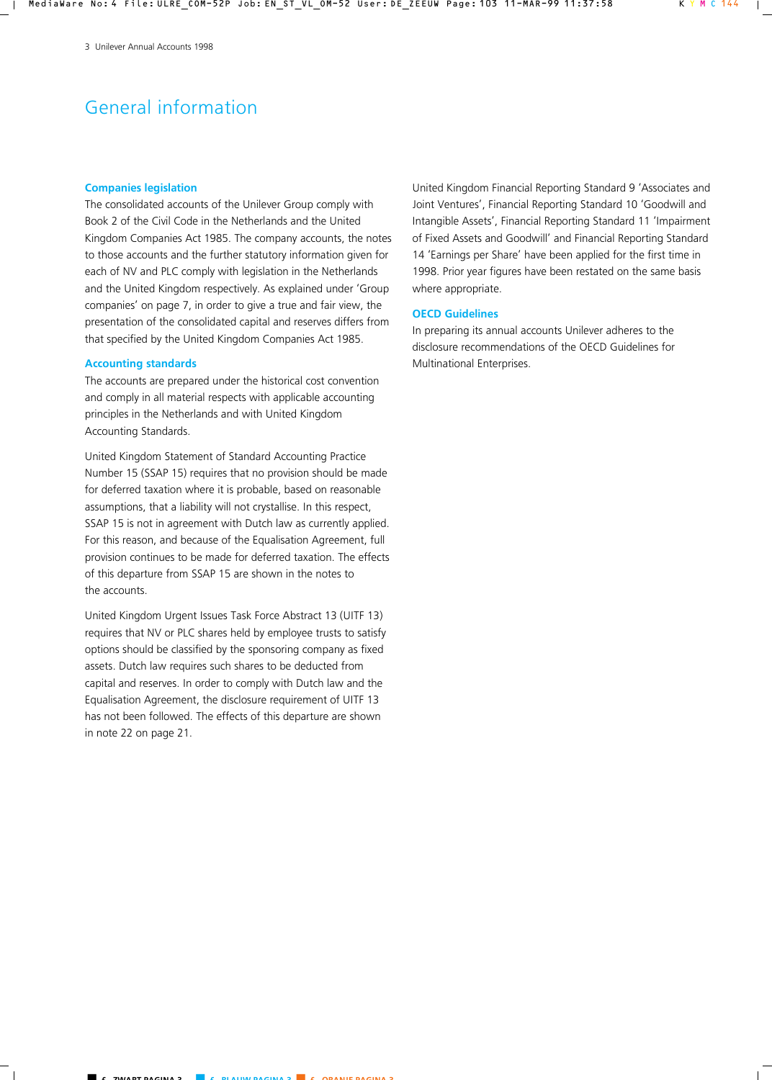# General information

### **Companies legislation**

The consolidated accounts of the Unilever Group comply with Book 2 of the Civil Code in the Netherlands and the United Kingdom Companies Act 1985. The company accounts, the notes to those accounts and the further statutory information given for each of NV and PLC comply with legislation in the Netherlands and the United Kingdom respectively. As explained under 'Group companies' on page 7, in order to give a true and fair view, the presentation of the consolidated capital and reserves differs from that specified by the United Kingdom Companies Act 1985.

### **Accounting standards**

The accounts are prepared under the historical cost convention and comply in all material respects with applicable accounting principles in the Netherlands and with United Kingdom Accounting Standards.

United Kingdom Statement of Standard Accounting Practice Number 15 (SSAP 15) requires that no provision should be made for deferred taxation where it is probable, based on reasonable assumptions, that a liability will not crystallise. In this respect, SSAP 15 is not in agreement with Dutch law as currently applied. For this reason, and because of the Equalisation Agreement, full provision continues to be made for deferred taxation. The effects of this departure from SSAP 15 are shown in the notes to the accounts.

United Kingdom Urgent Issues Task Force Abstract 13 (UITF 13) requires that NV or PLC shares held by employee trusts to satisfy options should be classified by the sponsoring company as fixed assets. Dutch law requires such shares to be deducted from capital and reserves. In order to comply with Dutch law and the Equalisation Agreement, the disclosure requirement of UITF 13 has not been followed. The effects of this departure are shown in note 22 on page 21.

United Kingdom Financial Reporting Standard 9 'Associates and Joint Ventures', Financial Reporting Standard 10 'Goodwill and Intangible Assets', Financial Reporting Standard 11 'Impairment of Fixed Assets and Goodwill' and Financial Reporting Standard 14 'Earnings per Share' have been applied for the first time in 1998. Prior year figures have been restated on the same basis where appropriate.

### **OECD Guidelines**

In preparing its annual accounts Unilever adheres to the disclosure recommendations of the OECD Guidelines for Multinational Enterprises.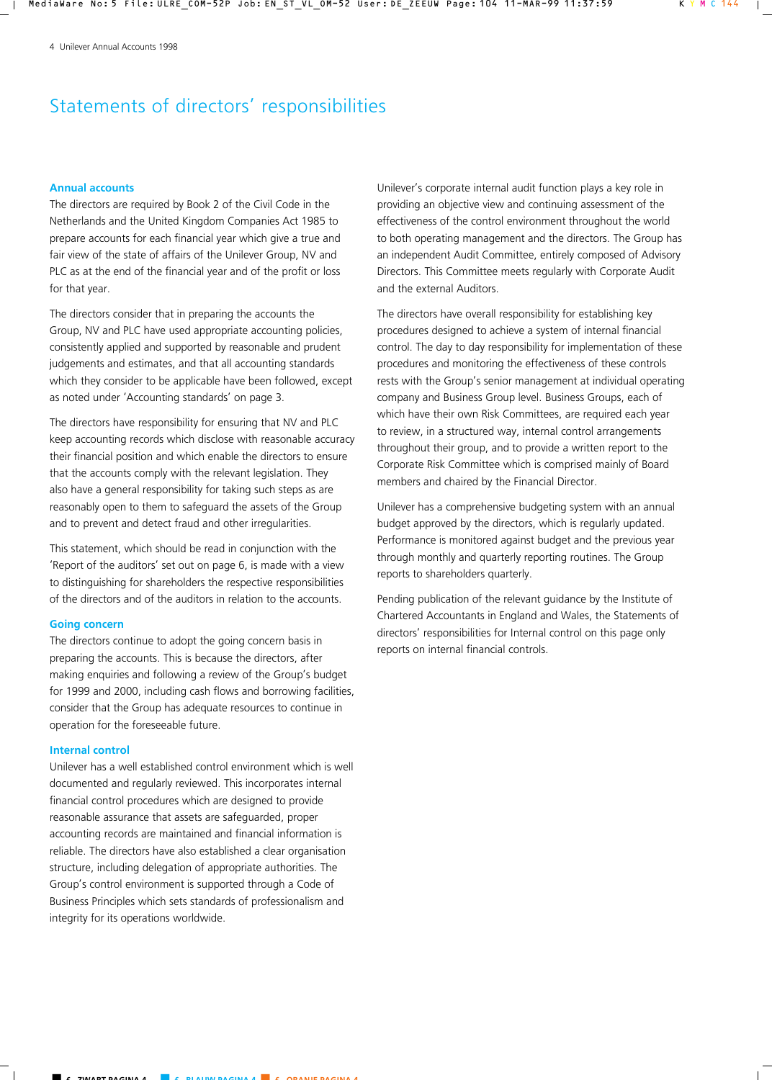# Statements of directors' responsibilities

## **Annual accounts**

The directors are required by Book 2 of the Civil Code in the Netherlands and the United Kingdom Companies Act 1985 to prepare accounts for each financial year which give a true and fair view of the state of affairs of the Unilever Group, NV and PLC as at the end of the financial year and of the profit or loss for that year.

The directors consider that in preparing the accounts the Group, NV and PLC have used appropriate accounting policies, consistently applied and supported by reasonable and prudent judgements and estimates, and that all accounting standards which they consider to be applicable have been followed, except as noted under 'Accounting standards' on page 3.

The directors have responsibility for ensuring that NV and PLC keep accounting records which disclose with reasonable accuracy their financial position and which enable the directors to ensure that the accounts comply with the relevant legislation. They also have a general responsibility for taking such steps as are reasonably open to them to safeguard the assets of the Group and to prevent and detect fraud and other irregularities.

This statement, which should be read in conjunction with the 'Report of the auditors' set out on page 6, is made with a view to distinguishing for shareholders the respective responsibilities of the directors and of the auditors in relation to the accounts.

### **Going concern**

The directors continue to adopt the going concern basis in preparing the accounts. This is because the directors, after making enquiries and following a review of the Group's budget for 1999 and 2000, including cash flows and borrowing facilities, consider that the Group has adequate resources to continue in operation for the foreseeable future.

### **Internal control**

Unilever has a well established control environment which is well documented and regularly reviewed. This incorporates internal financial control procedures which are designed to provide reasonable assurance that assets are safeguarded, proper accounting records are maintained and financial information is reliable. The directors have also established a clear organisation structure, including delegation of appropriate authorities. The Group's control environment is supported through a Code of Business Principles which sets standards of professionalism and integrity for its operations worldwide.

Unilever's corporate internal audit function plays a key role in providing an objective view and continuing assessment of the effectiveness of the control environment throughout the world to both operating management and the directors. The Group has an independent Audit Committee, entirely composed of Advisory Directors. This Committee meets regularly with Corporate Audit and the external Auditors.

The directors have overall responsibility for establishing key procedures designed to achieve a system of internal financial control. The day to day responsibility for implementation of these procedures and monitoring the effectiveness of these controls rests with the Group's senior management at individual operating company and Business Group level. Business Groups, each of which have their own Risk Committees, are required each year to review, in a structured way, internal control arrangements throughout their group, and to provide a written report to the Corporate Risk Committee which is comprised mainly of Board members and chaired by the Financial Director.

Unilever has a comprehensive budgeting system with an annual budget approved by the directors, which is regularly updated. Performance is monitored against budget and the previous year through monthly and quarterly reporting routines. The Group reports to shareholders quarterly.

Pending publication of the relevant guidance by the Institute of Chartered Accountants in England and Wales, the Statements of directors' responsibilities for Internal control on this page only reports on internal financial controls.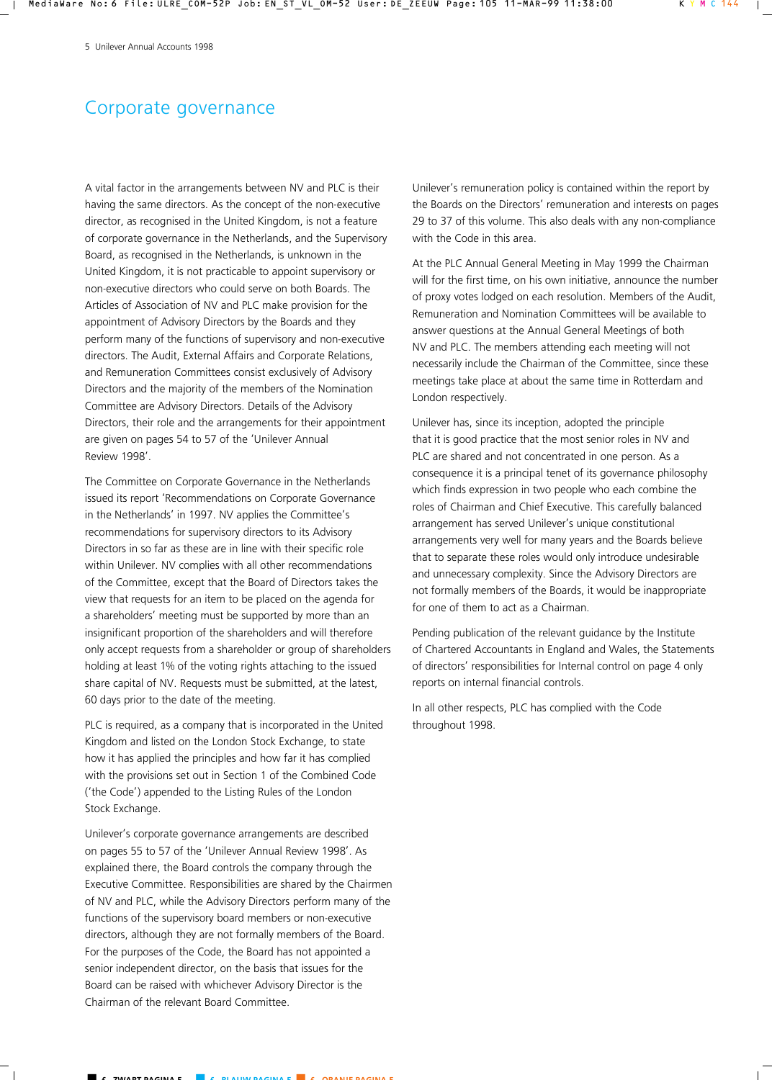# Corporate governance

A vital factor in the arrangements between NV and PLC is their having the same directors. As the concept of the non-executive director, as recognised in the United Kingdom, is not a feature of corporate governance in the Netherlands, and the Supervisory Board, as recognised in the Netherlands, is unknown in the United Kingdom, it is not practicable to appoint supervisory or non-executive directors who could serve on both Boards. The Articles of Association of NV and PLC make provision for the appointment of Advisory Directors by the Boards and they perform many of the functions of supervisory and non-executive directors. The Audit, External Affairs and Corporate Relations, and Remuneration Committees consist exclusively of Advisory Directors and the majority of the members of the Nomination Committee are Advisory Directors. Details of the Advisory Directors, their role and the arrangements for their appointment are given on pages 54 to 57 of the 'Unilever Annual Review 1998'.

The Committee on Corporate Governance in the Netherlands issued its report 'Recommendations on Corporate Governance in the Netherlands' in 1997. NV applies the Committee's recommendations for supervisory directors to its Advisory Directors in so far as these are in line with their specific role within Unilever. NV complies with all other recommendations of the Committee, except that the Board of Directors takes the view that requests for an item to be placed on the agenda for a shareholders' meeting must be supported by more than an insignificant proportion of the shareholders and will therefore only accept requests from a shareholder or group of shareholders holding at least 1% of the voting rights attaching to the issued share capital of NV. Requests must be submitted, at the latest, 60 days prior to the date of the meeting.

PLC is required, as a company that is incorporated in the United Kingdom and listed on the London Stock Exchange, to state how it has applied the principles and how far it has complied with the provisions set out in Section 1 of the Combined Code ('the Code') appended to the Listing Rules of the London Stock Exchange.

Unilever's corporate governance arrangements are described on pages 55 to 57 of the 'Unilever Annual Review 1998'. As explained there, the Board controls the company through the Executive Committee. Responsibilities are shared by the Chairmen of NV and PLC, while the Advisory Directors perform many of the functions of the supervisory board members or non-executive directors, although they are not formally members of the Board. For the purposes of the Code, the Board has not appointed a senior independent director, on the basis that issues for the Board can be raised with whichever Advisory Director is the Chairman of the relevant Board Committee.

Unilever's remuneration policy is contained within the report by the Boards on the Directors' remuneration and interests on pages 29 to 37 of this volume. This also deals with any non-compliance with the Code in this area.

At the PLC Annual General Meeting in May 1999 the Chairman will for the first time, on his own initiative, announce the number of proxy votes lodged on each resolution. Members of the Audit, Remuneration and Nomination Committees will be available to answer questions at the Annual General Meetings of both NV and PLC. The members attending each meeting will not necessarily include the Chairman of the Committee, since these meetings take place at about the same time in Rotterdam and London respectively.

Unilever has, since its inception, adopted the principle that it is good practice that the most senior roles in NV and PLC are shared and not concentrated in one person. As a consequence it is a principal tenet of its governance philosophy which finds expression in two people who each combine the roles of Chairman and Chief Executive. This carefully balanced arrangement has served Unilever's unique constitutional arrangements very well for many years and the Boards believe that to separate these roles would only introduce undesirable and unnecessary complexity. Since the Advisory Directors are not formally members of the Boards, it would be inappropriate for one of them to act as a Chairman.

Pending publication of the relevant guidance by the Institute of Chartered Accountants in England and Wales, the Statements of directors' responsibilities for Internal control on page 4 only reports on internal financial controls.

In all other respects, PLC has complied with the Code throughout 1998.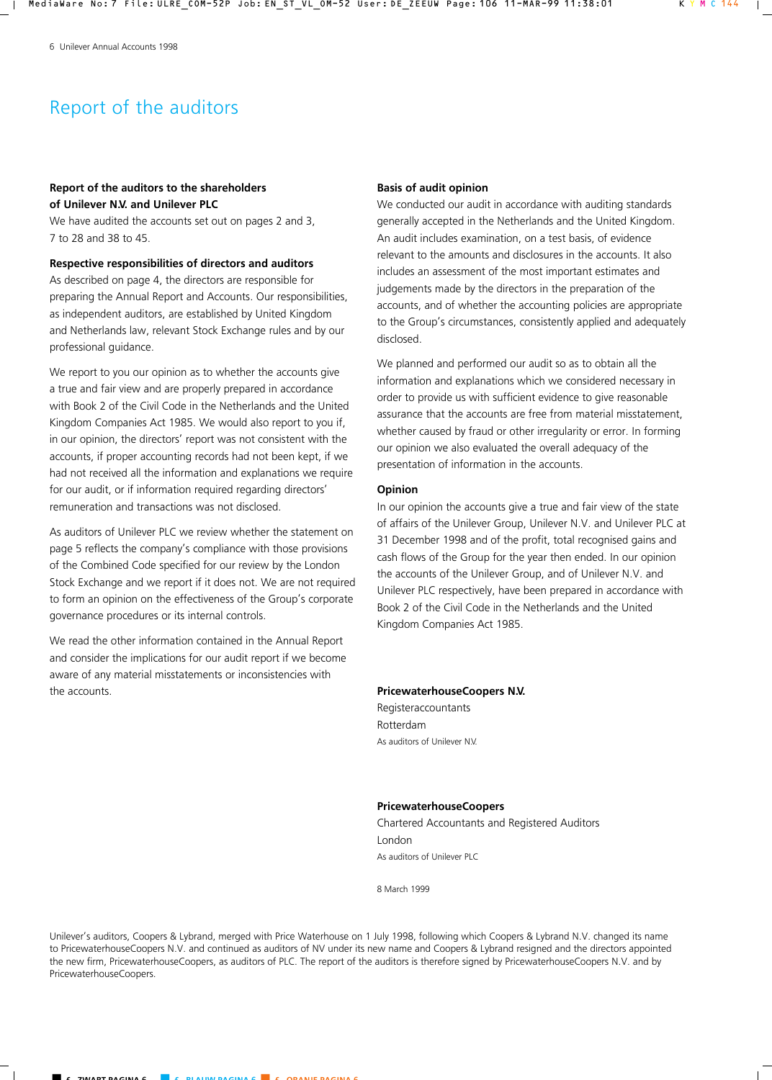# Report of the auditors

## **Report of the auditors to the shareholders of Unilever N.V. and Unilever PLC**

We have audited the accounts set out on pages 2 and 3, 7 to 28 and 38 to 45.

## **Respective responsibilities of directors and auditors**

As described on page 4, the directors are responsible for preparing the Annual Report and Accounts. Our responsibilities, as independent auditors, are established by United Kingdom and Netherlands law, relevant Stock Exchange rules and by our professional guidance.

We report to you our opinion as to whether the accounts give a true and fair view and are properly prepared in accordance with Book 2 of the Civil Code in the Netherlands and the United Kingdom Companies Act 1985. We would also report to you if, in our opinion, the directors' report was not consistent with the accounts, if proper accounting records had not been kept, if we had not received all the information and explanations we require for our audit, or if information required regarding directors' remuneration and transactions was not disclosed.

As auditors of Unilever PLC we review whether the statement on page 5 reflects the company's compliance with those provisions of the Combined Code specified for our review by the London Stock Exchange and we report if it does not. We are not required to form an opinion on the effectiveness of the Group's corporate governance procedures or its internal controls.

We read the other information contained in the Annual Report and consider the implications for our audit report if we become aware of any material misstatements or inconsistencies with the accounts.

### **Basis of audit opinion**

We conducted our audit in accordance with auditing standards generally accepted in the Netherlands and the United Kingdom. An audit includes examination, on a test basis, of evidence relevant to the amounts and disclosures in the accounts. It also includes an assessment of the most important estimates and judgements made by the directors in the preparation of the accounts, and of whether the accounting policies are appropriate to the Group's circumstances, consistently applied and adequately disclosed.

We planned and performed our audit so as to obtain all the information and explanations which we considered necessary in order to provide us with sufficient evidence to give reasonable assurance that the accounts are free from material misstatement, whether caused by fraud or other irregularity or error. In forming our opinion we also evaluated the overall adequacy of the presentation of information in the accounts.

### **Opinion**

In our opinion the accounts give a true and fair view of the state of affairs of the Unilever Group, Unilever N.V. and Unilever PLC at 31 December 1998 and of the profit, total recognised gains and cash flows of the Group for the year then ended. In our opinion the accounts of the Unilever Group, and of Unilever N.V. and Unilever PLC respectively, have been prepared in accordance with Book 2 of the Civil Code in the Netherlands and the United Kingdom Companies Act 1985.

#### **PricewaterhouseCoopers N.V.**

Registeraccountants Rotterdam As auditors of Unilever N.V.

### **PricewaterhouseCoopers**

Chartered Accountants and Registered Auditors London As auditors of Unilever PLC

8 March 1999

Unilever's auditors, Coopers & Lybrand, merged with Price Waterhouse on 1 July 1998, following which Coopers & Lybrand N.V. changed its name to PricewaterhouseCoopers N.V. and continued as auditors of NV under its new name and Coopers & Lybrand resigned and the directors appointed the new firm, PricewaterhouseCoopers, as auditors of PLC. The report of the auditors is therefore signed by PricewaterhouseCoopers N.V. and by PricewaterhouseCoopers.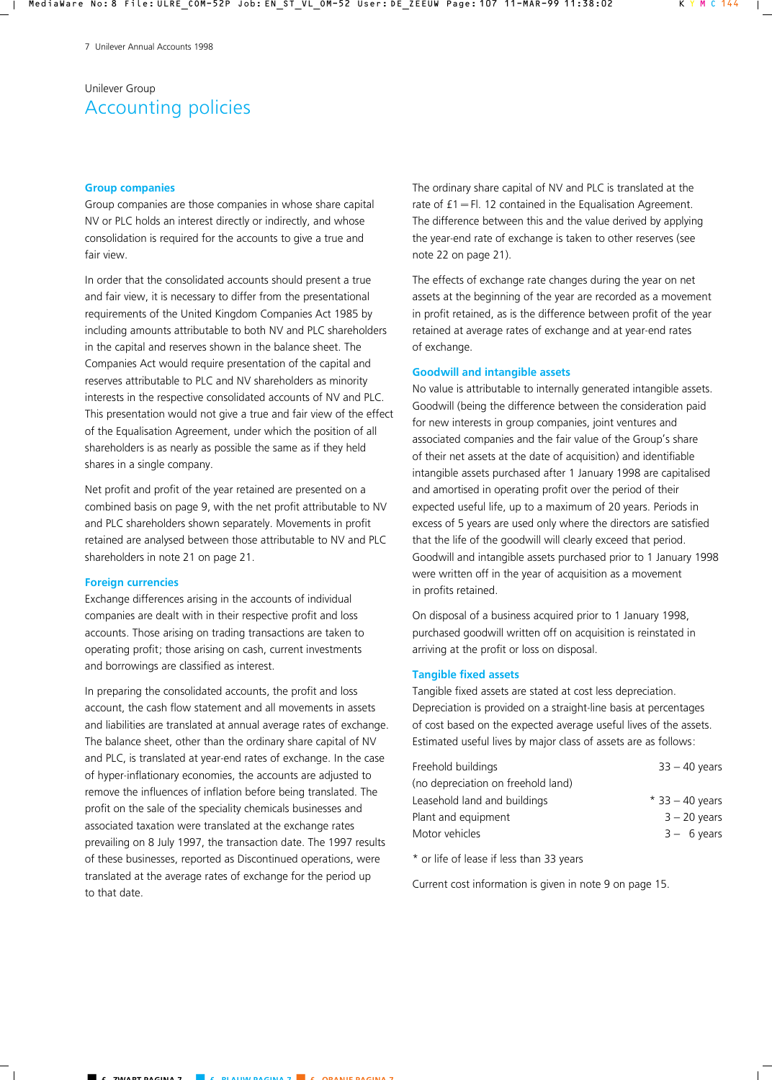# Unilever Group Accounting policies

### **Group companies**

Group companies are those companies in whose share capital NV or PLC holds an interest directly or indirectly, and whose consolidation is required for the accounts to give a true and fair view.

In order that the consolidated accounts should present a true and fair view, it is necessary to differ from the presentational requirements of the United Kingdom Companies Act 1985 by including amounts attributable to both NV and PLC shareholders in the capital and reserves shown in the balance sheet. The Companies Act would require presentation of the capital and reserves attributable to PLC and NV shareholders as minority interests in the respective consolidated accounts of NV and PLC. This presentation would not give a true and fair view of the effect of the Equalisation Agreement, under which the position of all shareholders is as nearly as possible the same as if they held shares in a single company.

Net profit and profit of the year retained are presented on a combined basis on page 9, with the net profit attributable to NV and PLC shareholders shown separately. Movements in profit retained are analysed between those attributable to NV and PLC shareholders in note 21 on page 21.

### **Foreign currencies**

Exchange differences arising in the accounts of individual companies are dealt with in their respective profit and loss accounts. Those arising on trading transactions are taken to operating profit; those arising on cash, current investments and borrowings are classified as interest.

In preparing the consolidated accounts, the profit and loss account, the cash flow statement and all movements in assets and liabilities are translated at annual average rates of exchange. The balance sheet, other than the ordinary share capital of NV and PLC, is translated at year-end rates of exchange. In the case of hyper-inflationary economies, the accounts are adjusted to remove the influences of inflation before being translated. The profit on the sale of the speciality chemicals businesses and associated taxation were translated at the exchange rates prevailing on 8 July 1997, the transaction date. The 1997 results of these businesses, reported as Discontinued operations, were translated at the average rates of exchange for the period up to that date.

The ordinary share capital of NV and PLC is translated at the rate of  $f1 = Fl.$  12 contained in the Equalisation Agreement. The difference between this and the value derived by applying the year-end rate of exchange is taken to other reserves (see note 22 on page 21).

The effects of exchange rate changes during the year on net assets at the beginning of the year are recorded as a movement in profit retained, as is the difference between profit of the year retained at average rates of exchange and at year-end rates of exchange.

### **Goodwill and intangible assets**

No value is attributable to internally generated intangible assets. Goodwill (being the difference between the consideration paid for new interests in group companies, joint ventures and associated companies and the fair value of the Group's share of their net assets at the date of acquisition) and identifiable intangible assets purchased after 1 January 1998 are capitalised and amortised in operating profit over the period of their expected useful life, up to a maximum of 20 years. Periods in excess of 5 years are used only where the directors are satisfied that the life of the goodwill will clearly exceed that period. Goodwill and intangible assets purchased prior to 1 January 1998 were written off in the year of acquisition as a movement in profits retained.

On disposal of a business acquired prior to 1 January 1998, purchased goodwill written off on acquisition is reinstated in arriving at the profit or loss on disposal.

## **Tangible fixed assets**

Tangible fixed assets are stated at cost less depreciation. Depreciation is provided on a straight-line basis at percentages of cost based on the expected average useful lives of the assets. Estimated useful lives by major class of assets are as follows:

| $33 - 40$ years   |
|-------------------|
|                   |
| $*$ 33 - 40 years |
| $3 - 20$ years    |
| $3 - 6$ years     |
|                   |

\* or life of lease if less than 33 years

Current cost information is given in note 9 on page 15.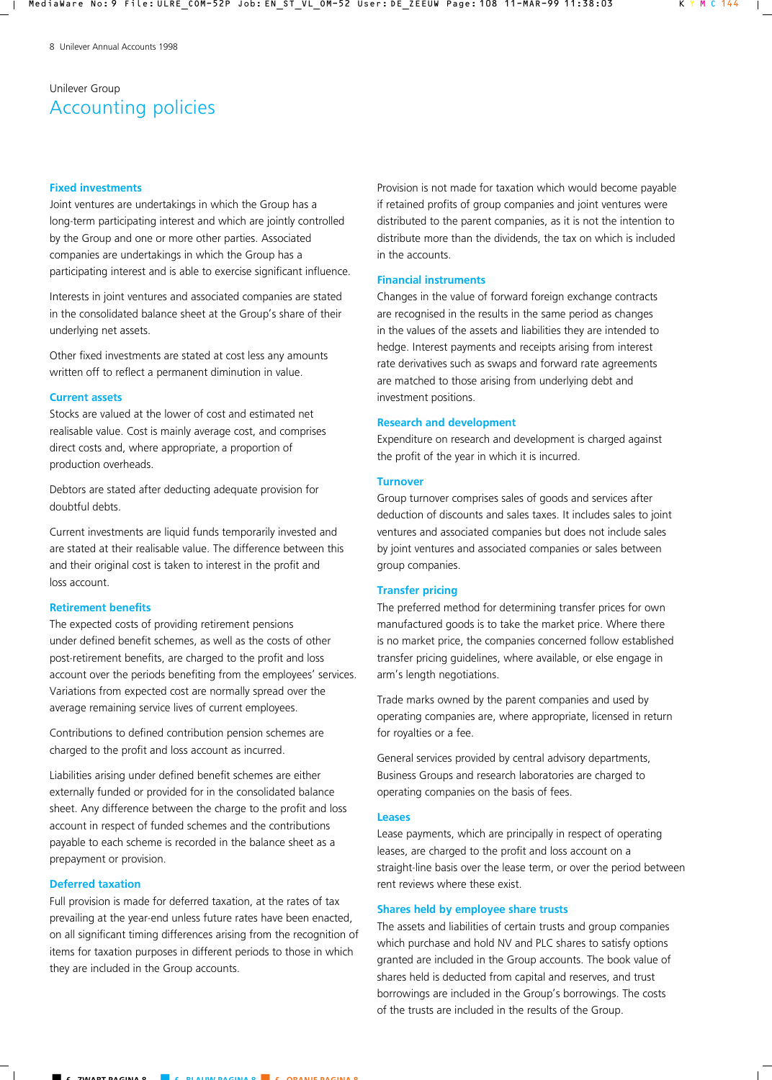# Unilever Group Accounting policies

## **Fixed investments**

Joint ventures are undertakings in which the Group has a long-term participating interest and which are jointly controlled by the Group and one or more other parties. Associated companies are undertakings in which the Group has a participating interest and is able to exercise significant influence.

Interests in joint ventures and associated companies are stated in the consolidated balance sheet at the Group's share of their underlying net assets.

Other fixed investments are stated at cost less any amounts written off to reflect a permanent diminution in value.

## **Current assets**

Stocks are valued at the lower of cost and estimated net realisable value. Cost is mainly average cost, and comprises direct costs and, where appropriate, a proportion of production overheads.

Debtors are stated after deducting adequate provision for doubtful debts.

Current investments are liquid funds temporarily invested and are stated at their realisable value. The difference between this and their original cost is taken to interest in the profit and loss account.

## **Retirement benefits**

The expected costs of providing retirement pensions under defined benefit schemes, as well as the costs of other post-retirement benefits, are charged to the profit and loss account over the periods benefiting from the employees' services. Variations from expected cost are normally spread over the average remaining service lives of current employees.

Contributions to defined contribution pension schemes are charged to the profit and loss account as incurred.

Liabilities arising under defined benefit schemes are either externally funded or provided for in the consolidated balance sheet. Any difference between the charge to the profit and loss account in respect of funded schemes and the contributions payable to each scheme is recorded in the balance sheet as a prepayment or provision.

## **Deferred taxation**

Full provision is made for deferred taxation, at the rates of tax prevailing at the year-end unless future rates have been enacted, on all significant timing differences arising from the recognition of items for taxation purposes in different periods to those in which they are included in the Group accounts.

Provision is not made for taxation which would become payable if retained profits of group companies and joint ventures were distributed to the parent companies, as it is not the intention to distribute more than the dividends, the tax on which is included in the accounts.

## **Financial instruments**

Changes in the value of forward foreign exchange contracts are recognised in the results in the same period as changes in the values of the assets and liabilities they are intended to hedge. Interest payments and receipts arising from interest rate derivatives such as swaps and forward rate agreements are matched to those arising from underlying debt and investment positions.

## **Research and development**

Expenditure on research and development is charged against the profit of the year in which it is incurred.

## **Turnover**

Group turnover comprises sales of goods and services after deduction of discounts and sales taxes. It includes sales to joint ventures and associated companies but does not include sales by joint ventures and associated companies or sales between group companies.

## **Transfer pricing**

The preferred method for determining transfer prices for own manufactured goods is to take the market price. Where there is no market price, the companies concerned follow established transfer pricing guidelines, where available, or else engage in arm's length negotiations.

Trade marks owned by the parent companies and used by operating companies are, where appropriate, licensed in return for royalties or a fee.

General services provided by central advisory departments, Business Groups and research laboratories are charged to operating companies on the basis of fees.

### **Leases**

Lease payments, which are principally in respect of operating leases, are charged to the profit and loss account on a straight-line basis over the lease term, or over the period between rent reviews where these exist.

## **Shares held by employee share trusts**

The assets and liabilities of certain trusts and group companies which purchase and hold NV and PLC shares to satisfy options granted are included in the Group accounts. The book value of shares held is deducted from capital and reserves, and trust borrowings are included in the Group's borrowings. The costs of the trusts are included in the results of the Group.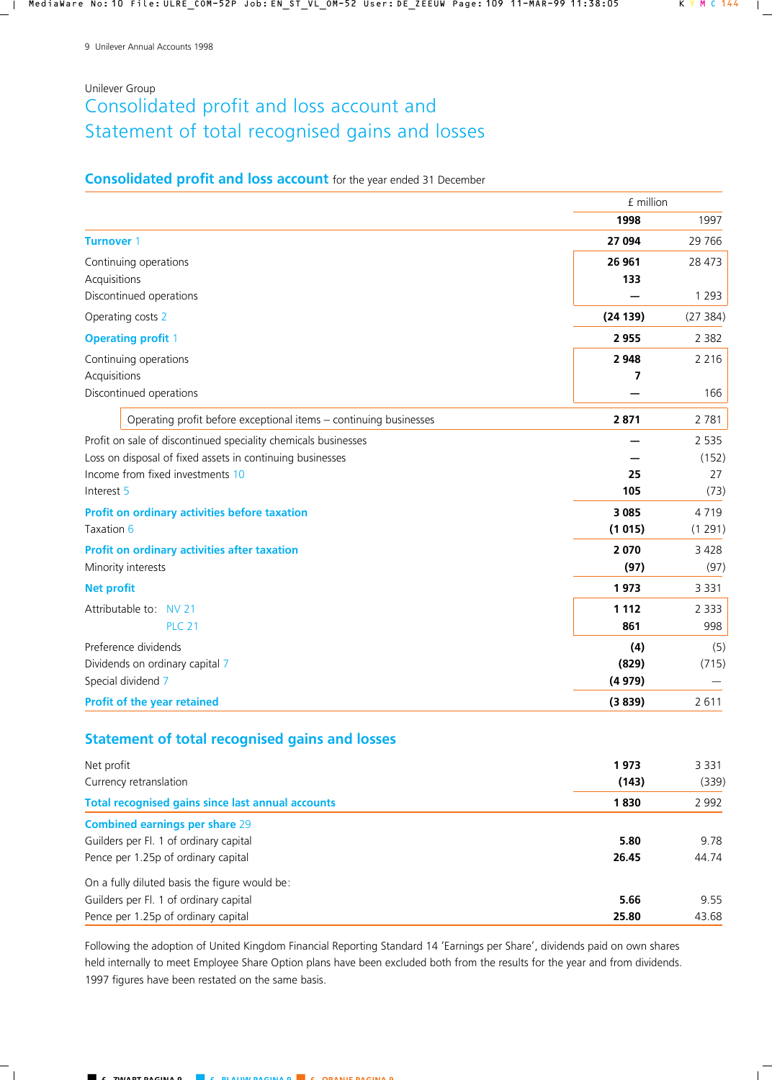# Unilever Group Consolidated profit and loss account and Statement of total recognised gains and losses

# **Consolidated profit and loss account** for the year ended 31 December

|                                                                   | £ million |         |
|-------------------------------------------------------------------|-----------|---------|
|                                                                   | 1998      | 1997    |
| <b>Turnover 1</b>                                                 | 27 094    | 29 7 66 |
| Continuing operations                                             | 26 961    | 28 473  |
| Acquisitions                                                      | 133       |         |
| Discontinued operations                                           |           | 1 2 9 3 |
| Operating costs 2                                                 | (24139)   | (27384) |
| <b>Operating profit 1</b>                                         | 2955      | 2 3 8 2 |
| Continuing operations                                             | 2 9 4 8   | 2 2 1 6 |
| Acquisitions                                                      | 7         |         |
| Discontinued operations                                           |           | 166     |
| Operating profit before exceptional items - continuing businesses | 2871      | 2 7 8 1 |
| Profit on sale of discontinued speciality chemicals businesses    |           | 2 5 3 5 |
| Loss on disposal of fixed assets in continuing businesses         |           | (152)   |
| Income from fixed investments 10                                  | 25        | 27      |
| Interest 5                                                        | 105       | (73)    |
| Profit on ordinary activities before taxation                     | 3 0 8 5   | 4719    |
| Taxation 6                                                        | (1015)    | (1291)  |
| Profit on ordinary activities after taxation                      | 2 0 7 0   | 3 4 2 8 |
| Minority interests                                                | (97)      | (97)    |
| <b>Net profit</b>                                                 | 1973      | 3 3 3 1 |
| Attributable to NV 21                                             | 1 1 1 2   | 2 3 3 3 |
| <b>PLC 21</b>                                                     | 861       | 998     |
| Preference dividends                                              | (4)       | (5)     |
| Dividends on ordinary capital 7                                   | (829)     | (715)   |
| Special dividend 7                                                | (4979)    |         |
| Profit of the year retained                                       | (3839)    | 2 6 1 1 |

# **Statement of total recognised gains and losses**

| Net profit                                        | 1973  | 3 3 3 1 |
|---------------------------------------------------|-------|---------|
| Currency retranslation                            | (143) | (339)   |
| Total recognised gains since last annual accounts | 1830  | 2 9 9 2 |
| <b>Combined earnings per share 29</b>             |       |         |
| Guilders per Fl. 1 of ordinary capital            | 5.80  | 9.78    |
| Pence per 1.25p of ordinary capital               | 26.45 | 44.74   |
| On a fully diluted basis the figure would be:     |       |         |
| Guilders per Fl. 1 of ordinary capital            | 5.66  | 9.55    |
| Pence per 1.25p of ordinary capital               | 25.80 | 43.68   |

Following the adoption of United Kingdom Financial Reporting Standard 14 'Earnings per Share', dividends paid on own shares held internally to meet Employee Share Option plans have been excluded both from the results for the year and from dividends. 1997 figures have been restated on the same basis.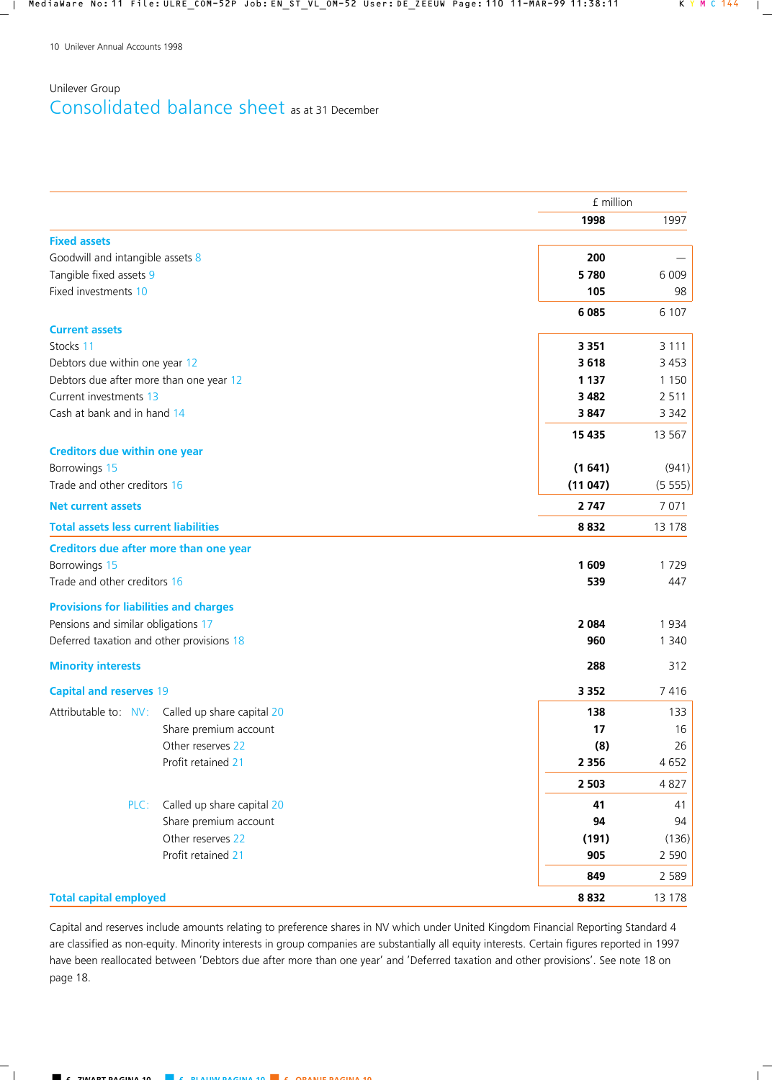# Unilever Group Consolidated balance sheet as at 31 December

|                                                    | £ million |         |
|----------------------------------------------------|-----------|---------|
|                                                    | 1998      | 1997    |
| <b>Fixed assets</b>                                |           |         |
| Goodwill and intangible assets 8                   | 200       |         |
| Tangible fixed assets 9                            | 5780      | 6 0 0 9 |
| Fixed investments 10                               | 105       | 98      |
|                                                    | 6 0 8 5   | 6 107   |
| <b>Current assets</b>                              |           |         |
| Stocks 11                                          | 3 3 5 1   | 3 1 1 1 |
| Debtors due within one year 12                     | 3618      | 3 4 5 3 |
| Debtors due after more than one year 12            | 1 1 3 7   | 1 1 5 0 |
| Current investments 13                             | 3 4 8 2   | 2 5 1 1 |
| Cash at bank and in hand 14                        | 3847      | 3 3 4 2 |
|                                                    | 15 4 35   | 13 567  |
| <b>Creditors due within one year</b>               |           |         |
| Borrowings 15                                      | (1641)    | (941)   |
| Trade and other creditors 16                       | (11047)   | (5555)  |
| <b>Net current assets</b>                          | 2 7 4 7   | 7 0 7 1 |
| <b>Total assets less current liabilities</b>       | 8832      | 13 178  |
| Creditors due after more than one year             |           |         |
| Borrowings 15                                      | 1 609     | 1729    |
| Trade and other creditors 16                       | 539       | 447     |
| <b>Provisions for liabilities and charges</b>      |           |         |
| Pensions and similar obligations 17                | 2 0 8 4   | 1934    |
| Deferred taxation and other provisions 18          | 960       | 1 3 4 0 |
|                                                    |           |         |
| <b>Minority interests</b>                          | 288       | 312     |
| <b>Capital and reserves 19</b>                     | 3 3 5 2   | 7416    |
| Attributable to: NV:<br>Called up share capital 20 | 138       | 133     |
| Share premium account                              | 17        | 16      |
| Other reserves 22                                  | (8)       | 26      |
| Profit retained 21                                 | 2 3 5 6   | 4652    |
|                                                    | 2 5 0 3   | 4827    |
| Called up share capital 20<br>PLC:                 | 41        | 41      |
| Share premium account                              | 94        | 94      |
| Other reserves 22                                  | (191)     | (136)   |
| Profit retained 21                                 | 905       | 2 5 9 0 |
|                                                    | 849       | 2 5 8 9 |
| <b>Total capital employed</b>                      | 8832      | 13 178  |

Capital and reserves include amounts relating to preference shares in NV which under United Kingdom Financial Reporting Standard 4 are classified as non-equity. Minority interests in group companies are substantially all equity interests. Certain figures reported in 1997 have been reallocated between 'Debtors due after more than one year' and 'Deferred taxation and other provisions'. See note 18 on page 18.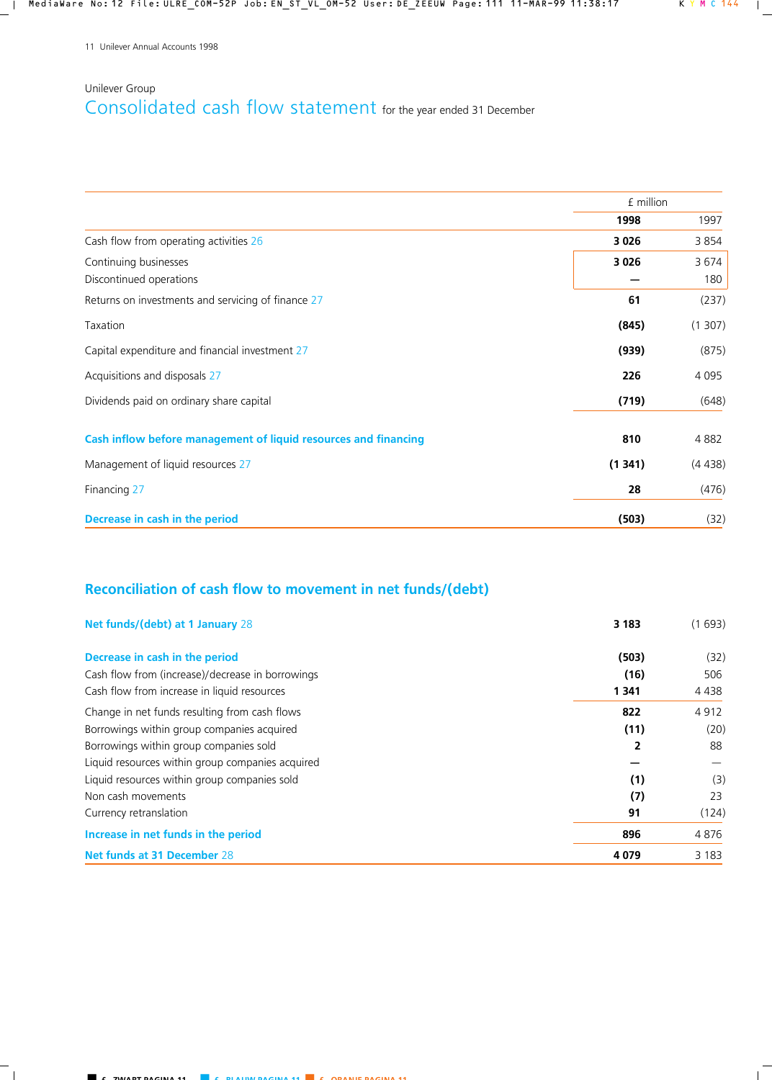# Unilever Group Consolidated cash flow statement for the year ended 31 December

|                                                                 | £ million |             |
|-----------------------------------------------------------------|-----------|-------------|
|                                                                 | 1998      | 1997        |
| Cash flow from operating activities 26                          | 3 0 2 6   | 3854        |
| Continuing businesses<br>Discontinued operations                | 3 0 2 6   | 3674<br>180 |
| Returns on investments and servicing of finance 27              | 61        | (237)       |
| Taxation                                                        | (845)     | (1307)      |
| Capital expenditure and financial investment 27                 | (939)     | (875)       |
| Acquisitions and disposals 27                                   | 226       | 4 0 9 5     |
| Dividends paid on ordinary share capital                        | (719)     | (648)       |
| Cash inflow before management of liquid resources and financing | 810       | 4882        |
| Management of liquid resources 27                               | (1341)    | (4438)      |
| Financing 27                                                    | 28        | (476)       |
| Decrease in cash in the period                                  | (503)     | (32)        |

# **Reconciliation of cash flow to movement in net funds/(debt)**

| Net funds/(debt) at 1 January 28                 | 3 1 8 3        | (1693)  |
|--------------------------------------------------|----------------|---------|
| Decrease in cash in the period                   | (503)          | (32)    |
| Cash flow from (increase)/decrease in borrowings | (16)           | 506     |
| Cash flow from increase in liquid resources      | 1 341          | 4 4 3 8 |
| Change in net funds resulting from cash flows    | 822            | 4912    |
| Borrowings within group companies acquired       | (11)           | (20)    |
| Borrowings within group companies sold           | $\overline{2}$ | 88      |
| Liquid resources within group companies acquired |                |         |
| Liquid resources within group companies sold     | (1)            | (3)     |
| Non cash movements                               | (7)            | 23      |
| Currency retranslation                           | 91             | (124)   |
| Increase in net funds in the period              | 896            | 4 8 7 6 |
| Net funds at 31 December 28                      | 4 0 7 9        | 3 1 8 3 |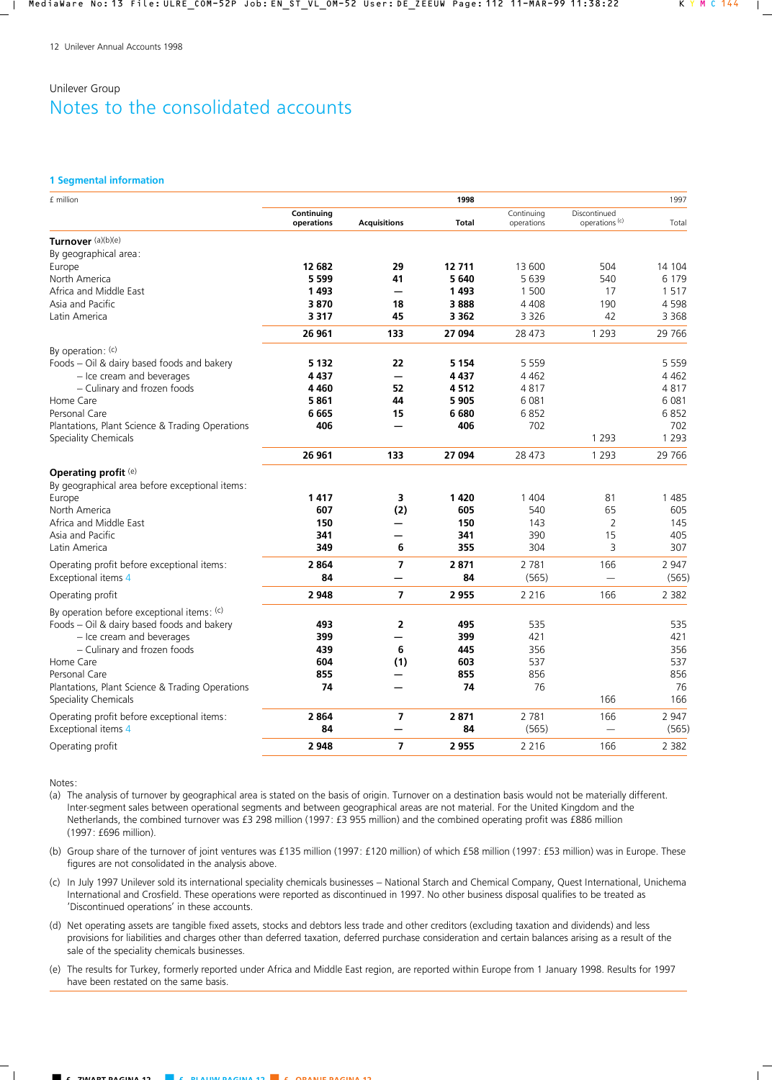#### **1 Segmental information**

| £ million                                       |                          |                     | 1998    |                          |                                           | 1997    |
|-------------------------------------------------|--------------------------|---------------------|---------|--------------------------|-------------------------------------------|---------|
|                                                 | Continuing<br>operations | <b>Acquisitions</b> | Total   | Continuing<br>operations | Discontinued<br>operations <sup>(c)</sup> | Total   |
| Turnover (a)(b)(e)                              |                          |                     |         |                          |                                           |         |
| By geographical area:                           |                          |                     |         |                          |                                           |         |
| Europe                                          | 12 682                   | 29                  | 12711   | 13 600                   | 504                                       | 14 104  |
| North America                                   | 5 5 9 9                  | 41                  | 5640    | 5639                     | 540                                       | 6 1 7 9 |
| Africa and Middle East                          | 1493                     |                     | 1493    | 1 500                    | 17                                        | 1517    |
| Asia and Pacific                                | 3870                     | 18                  | 3888    | 4 4 0 8                  | 190                                       | 4598    |
| Latin America                                   | 3 3 1 7                  | 45                  | 3 3 6 2 | 3 3 2 6                  | 42                                        | 3 3 6 8 |
|                                                 | 26 961                   | 133                 | 27 094  | 28 473                   | 1 2 9 3                                   | 29 7 66 |
| By operation: (c)                               |                          |                     |         |                          |                                           |         |
| Foods - Oil & dairy based foods and bakery      | 5 1 3 2                  | 22                  | 5 1 5 4 | 5 5 5 9                  |                                           | 5 5 5 9 |
| - Ice cream and beverages                       | 4 4 3 7                  |                     | 4437    | 4 4 6 2                  |                                           | 4 4 6 2 |
| - Culinary and frozen foods                     | 4 4 6 0                  | 52                  | 4512    | 4817                     |                                           | 4817    |
| Home Care                                       | 5861                     | 44                  | 5905    | 6 0 8 1                  |                                           | 6081    |
| Personal Care                                   | 6665                     | 15                  | 6680    | 6852                     |                                           | 6852    |
| Plantations, Plant Science & Trading Operations | 406                      |                     | 406     | 702                      |                                           | 702     |
| <b>Speciality Chemicals</b>                     |                          |                     |         |                          | 1 2 9 3                                   | 1 2 9 3 |
|                                                 | 26 961                   | 133                 | 27 094  | 28 473                   | 1 2 9 3                                   | 29 7 66 |
| Operating profit (e)                            |                          |                     |         |                          |                                           |         |
| By geographical area before exceptional items:  |                          |                     |         |                          |                                           |         |
| Europe                                          | 1417                     | 3                   | 1420    | 1 4 0 4                  | 81                                        | 1485    |
| North America                                   | 607                      | (2)                 | 605     | 540                      | 65                                        | 605     |
| Africa and Middle East                          | 150                      |                     | 150     | 143                      | $\overline{2}$                            | 145     |
| Asia and Pacific                                | 341                      |                     | 341     | 390                      | 15                                        | 405     |
| Latin America                                   | 349                      | 6                   | 355     | 304                      | 3                                         | 307     |
| Operating profit before exceptional items:      | 2864                     | $\overline{7}$      | 2871    | 2 7 8 1                  | 166                                       | 2 9 4 7 |
| Exceptional items 4                             | 84                       |                     | 84      | (565)                    |                                           | (565)   |
| Operating profit                                | 2 9 4 8                  | $\overline{ }$      | 2955    | 2 2 1 6                  | 166                                       | 2 3 8 2 |
| By operation before exceptional items: (c)      |                          |                     |         |                          |                                           |         |
| Foods - Oil & dairy based foods and bakery      | 493                      | 2                   | 495     | 535                      |                                           | 535     |
| - Ice cream and beverages                       | 399                      |                     | 399     | 421                      |                                           | 421     |
| - Culinary and frozen foods                     | 439                      | 6                   | 445     | 356                      |                                           | 356     |
| Home Care                                       | 604                      | (1)                 | 603     | 537                      |                                           | 537     |
| Personal Care                                   | 855                      |                     | 855     | 856                      |                                           | 856     |
| Plantations, Plant Science & Trading Operations | 74                       |                     | 74      | 76                       |                                           | 76      |
| <b>Speciality Chemicals</b>                     |                          |                     |         |                          | 166                                       | 166     |
| Operating profit before exceptional items:      | 2864                     | 7                   | 2871    | 2 7 8 1                  | 166                                       | 2 9 4 7 |
| Exceptional items 4                             | 84                       |                     | 84      | (565)                    | $\equiv$                                  | (565)   |
| Operating profit                                | 2 9 4 8                  | $\overline{7}$      | 2955    | 2 2 1 6                  | 166                                       | 2 3 8 2 |

Notes:

(a) The analysis of turnover by geographical area is stated on the basis of origin. Turnover on a destination basis would not be materially different. Inter-segment sales between operational segments and between geographical areas are not material. For the United Kingdom and the Netherlands, the combined turnover was £3 298 million (1997: £3 955 million) and the combined operating profit was £886 million (1997: £696 million).

(b) Group share of the turnover of joint ventures was £135 million (1997: £120 million) of which £58 million (1997: £53 million) was in Europe. These figures are not consolidated in the analysis above.

(c) In July 1997 Unilever sold its international speciality chemicals businesses – National Starch and Chemical Company, Quest International, Unichema International and Crosfield. These operations were reported as discontinued in 1997. No other business disposal qualifies to be treated as 'Discontinued operations' in these accounts.

(d) Net operating assets are tangible fixed assets, stocks and debtors less trade and other creditors (excluding taxation and dividends) and less provisions for liabilities and charges other than deferred taxation, deferred purchase consideration and certain balances arising as a result of the sale of the speciality chemicals businesses.

(e) The results for Turkey, formerly reported under Africa and Middle East region, are reported within Europe from 1 January 1998. Results for 1997 have been restated on the same basis.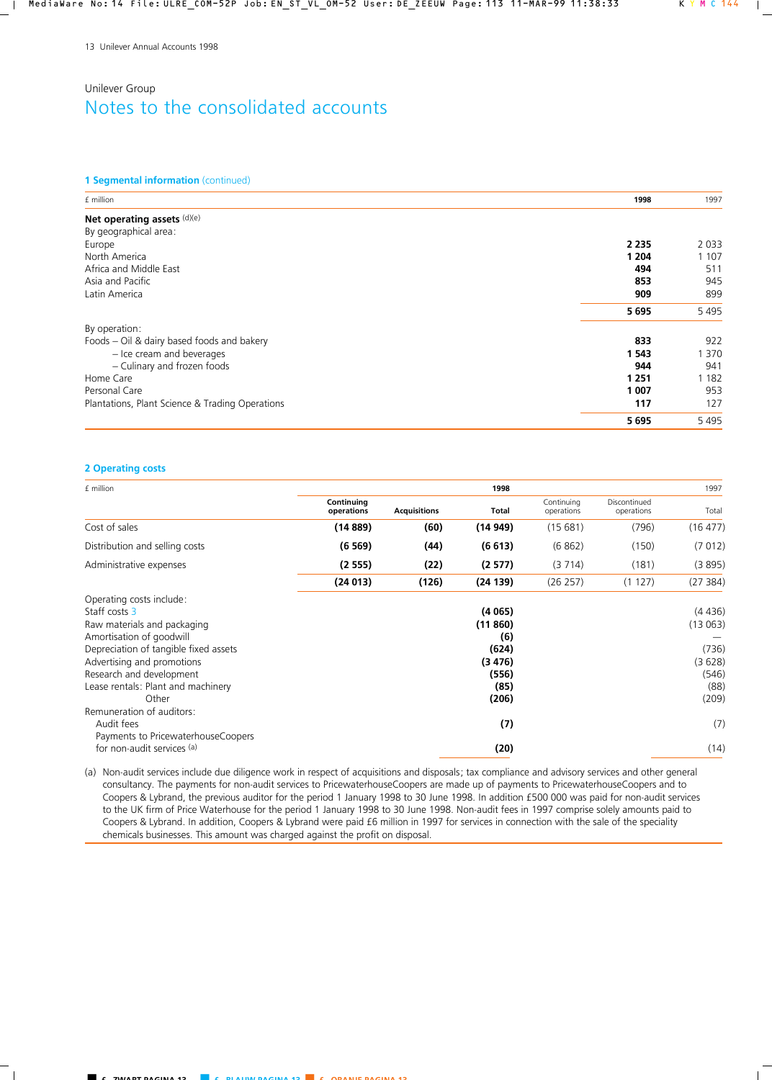### **1 Segmental information** (continued)

| £ million                                       | 1998    | 1997    |
|-------------------------------------------------|---------|---------|
| Net operating assets (d)(e)                     |         |         |
| By geographical area:                           |         |         |
| Europe                                          | 2 2 3 5 | 2 0 3 3 |
| North America                                   | 1 204   | 1 1 0 7 |
| Africa and Middle East                          | 494     | 511     |
| Asia and Pacific                                | 853     | 945     |
| Latin America                                   | 909     | 899     |
|                                                 | 5695    | 5495    |
| By operation:                                   |         |         |
| Foods – Oil & dairy based foods and bakery      | 833     | 922     |
| - Ice cream and beverages                       | 1 5 4 3 | 1 370   |
| - Culinary and frozen foods                     | 944     | 941     |
| Home Care                                       | 1 2 5 1 | 1 1 8 2 |
| Personal Care                                   | 1 007   | 953     |
| Plantations, Plant Science & Trading Operations | 117     | 127     |
|                                                 | 5695    | 5495    |

## **2 Operating costs**

| £ million                                                                                                                                                                                                                                                                           |                          |                     | 1998                                                                  |                          |                            | 1997                                                           |
|-------------------------------------------------------------------------------------------------------------------------------------------------------------------------------------------------------------------------------------------------------------------------------------|--------------------------|---------------------|-----------------------------------------------------------------------|--------------------------|----------------------------|----------------------------------------------------------------|
|                                                                                                                                                                                                                                                                                     | Continuing<br>operations | <b>Acquisitions</b> | <b>Total</b>                                                          | Continuing<br>operations | Discontinued<br>operations | Total                                                          |
| Cost of sales                                                                                                                                                                                                                                                                       | (14889)                  | (60)                | (14 949)                                                              | (15681)                  | (796)                      | (16 477)                                                       |
| Distribution and selling costs                                                                                                                                                                                                                                                      | (6569)                   | (44)                | (6613)                                                                | (6862)                   | (150)                      | (7012)                                                         |
| Administrative expenses                                                                                                                                                                                                                                                             | (2555)                   | (22)                | (2577)                                                                | (3714)                   | (181)                      | (3895)                                                         |
|                                                                                                                                                                                                                                                                                     | (24013)                  | (126)               | (24139)                                                               | (26 257)                 | (1127)                     | (27384)                                                        |
| Operating costs include:<br>Staff costs 3<br>Raw materials and packaging<br>Amortisation of goodwill<br>Depreciation of tangible fixed assets<br>Advertising and promotions<br>Research and development<br>Lease rentals: Plant and machinery<br>Other<br>Remuneration of auditors: |                          |                     | (4065)<br>(11860)<br>(6)<br>(624)<br>(3476)<br>(556)<br>(85)<br>(206) |                          |                            | (4436)<br>(13063)<br>(736)<br>(3628)<br>(546)<br>(88)<br>(209) |
| Audit fees<br>Payments to PricewaterhouseCoopers<br>for non-audit services (a)                                                                                                                                                                                                      |                          |                     | (7)<br>(20)                                                           |                          |                            | (7)<br>(14)                                                    |

(a) Non-audit services include due diligence work in respect of acquisitions and disposals; tax compliance and advisory services and other general consultancy. The payments for non-audit services to PricewaterhouseCoopers are made up of payments to PricewaterhouseCoopers and to Coopers & Lybrand, the previous auditor for the period 1 January 1998 to 30 June 1998. In addition £500 000 was paid for non-audit services to the UK firm of Price Waterhouse for the period 1 January 1998 to 30 June 1998. Non-audit fees in 1997 comprise solely amounts paid to Coopers & Lybrand. In addition, Coopers & Lybrand were paid £6 million in 1997 for services in connection with the sale of the speciality chemicals businesses. This amount was charged against the profit on disposal.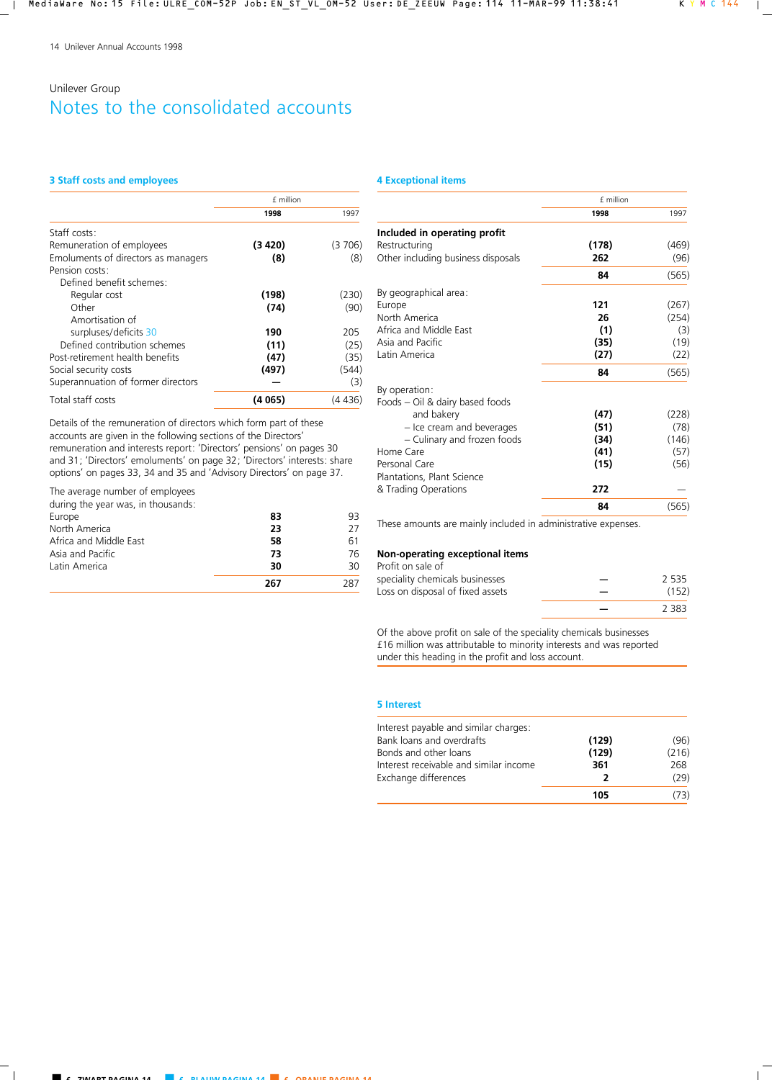### **3 Staff costs and employees**

|                                     | £ million |         |
|-------------------------------------|-----------|---------|
|                                     | 1998      | 1997    |
| Staff costs:                        |           |         |
| Remuneration of employees           | (3 420)   | (3706)  |
| Emoluments of directors as managers | (8)       | (8)     |
| Pension costs:                      |           |         |
| Defined benefit schemes:            |           |         |
| Regular cost                        | (198)     | (230)   |
| Other                               | (74)      | (90)    |
| Amortisation of                     |           |         |
| surpluses/deficits 30               | 190       | 205     |
| Defined contribution schemes        | (11)      | (25)    |
| Post-retirement health benefits     | (47)      | (35)    |
| Social security costs               | (497)     | (544)   |
| Superannuation of former directors  |           | (3)     |
| Total staff costs                   | (4 065)   | (4 436) |

Details of the remuneration of directors which form part of these accounts are given in the following sections of the Directors' remuneration and interests report: 'Directors' pensions' on pages 30 and 31; 'Directors' emoluments' on page 32; 'Directors' interests: share options' on pages 33, 34 and 35 and 'Advisory Directors' on page 37.

### The average number of employees

during the year was, in thousands:

| Europe                 | 83  | 93  |
|------------------------|-----|-----|
| North America          | 23  | 27  |
| Africa and Middle East | 58  | 61  |
| Asia and Pacific       | 73  | 76  |
| Latin America          | 30  | 30  |
|                        | 267 | 287 |

### **4 Exceptional items**

|                                    | £ million |       |
|------------------------------------|-----------|-------|
|                                    | 1998      | 1997  |
| Included in operating profit       |           |       |
| Restructuring                      | (178)     | (469) |
| Other including business disposals | 262       | (96)  |
|                                    | 84        | (565) |
| By geographical area:              |           |       |
| Europe                             | 121       | (267) |
| North America                      | 26        | (254) |
| Africa and Middle East             | (1)       | (3)   |
| Asia and Pacific                   | (35)      | (19)  |
| Latin America                      | (27)      | (22)  |
|                                    | 84        | (565) |
| By operation:                      |           |       |
| Foods - Oil & dairy based foods    |           |       |
| and bakery                         | (47)      | (228) |
| - Ice cream and beverages          | (51)      | (78)  |
| - Culinary and frozen foods        | (34)      | (146) |
| Home Care                          | (41)      | (57)  |
| Personal Care                      | (15)      | (56)  |
| Plantations, Plant Science         |           |       |
| & Trading Operations               | 272       |       |
|                                    | 84        | (565) |

These amounts are mainly included in administrative expenses.

### **Non-operating exceptional items**

| Profit on sale of                |       |
|----------------------------------|-------|
| speciality chemicals businesses  | 2535  |
| Loss on disposal of fixed assets | (152) |
|                                  | 2.383 |

Of the above profit on sale of the speciality chemicals businesses £16 million was attributable to minority interests and was reported under this heading in the profit and loss account.

#### **5 Interest**

| Interest payable and similar charges:  |       |       |
|----------------------------------------|-------|-------|
| Bank loans and overdrafts              | (129) | (96)  |
| Bonds and other loans                  | (129) | (216) |
| Interest receivable and similar income | 361   | 268   |
| Exchange differences                   | 2     | (29)  |
|                                        | 105   | (73)  |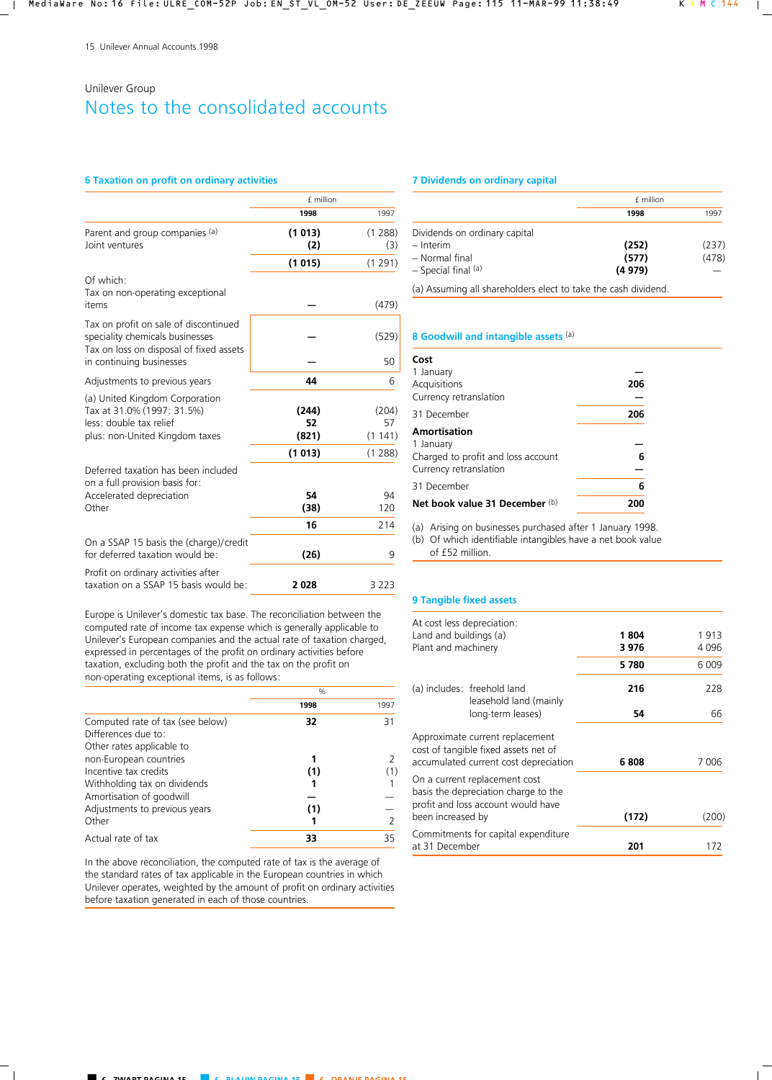### **6 Taxation on profit on ordinary activities**

|                                                                                                                           | £ million            |                       |
|---------------------------------------------------------------------------------------------------------------------------|----------------------|-----------------------|
|                                                                                                                           | 1998                 | 1997                  |
| Parent and group companies (a)<br>Joint ventures                                                                          | (1013)<br>(2)        | (1288)<br>(3)         |
|                                                                                                                           | (1015)               | (1291)                |
| Of which:<br>Tax on non-operating exceptional<br>items                                                                    |                      | (479)                 |
| Tax on profit on sale of discontinued<br>speciality chemicals businesses<br>Tax on loss on disposal of fixed assets       |                      | (529)                 |
| in continuing businesses                                                                                                  |                      | 50                    |
| Adjustments to previous years                                                                                             | 44                   | 6                     |
| (a) United Kingdom Corporation<br>Tax at 31.0% (1997: 31.5%)<br>less: double tax relief<br>plus: non-United Kingdom taxes | (244)<br>52<br>(821) | (204)<br>57<br>(1141) |
|                                                                                                                           | (1013)               | (1288)                |
| Deferred taxation has been included<br>on a full provision basis for:                                                     |                      |                       |
| Accelerated depreciation<br>Other                                                                                         | 54<br>(38)           | 94<br>120             |
|                                                                                                                           | 16                   | 214                   |
| On a SSAP 15 basis the (charge)/credit<br>for deferred taxation would be:                                                 | (26)                 | 9                     |
| Profit on ordinary activities after<br>taxation on a SSAP 15 basis would be:                                              | 2028                 | 3 2 2 3               |

Europe is Unilever's domestic tax base. The reconciliation between the computed rate of income tax expense which is generally applicable to Unilever's European companies and the actual rate of taxation charged, expressed in percentages of the profit on ordinary activities before taxation, excluding both the profit and the tax on the profit on non-operating exceptional items, is as follows:

|                                                         | $\frac{0}{0}$ |               |
|---------------------------------------------------------|---------------|---------------|
|                                                         | 1998          | 1997          |
| Computed rate of tax (see below)<br>Differences due to: | 32            | 31            |
| Other rates applicable to<br>non-European countries     |               |               |
| Incentive tax credits<br>Withholding tax on dividends   | (1)           | (1)           |
| Amortisation of goodwill                                |               |               |
| Adjustments to previous years<br>Other                  | (1)           | $\mathcal{P}$ |
| Actual rate of tax                                      | 33            | 35            |

In the above reconciliation, the computed rate of tax is the average of the standard rates of tax applicable in the European countries in which Unilever operates, weighted by the amount of profit on ordinary activities before taxation generated in each of those countries.

### **7 Dividends on ordinary capital**

|                               | £ million |       |
|-------------------------------|-----------|-------|
|                               | 1998      | 1997  |
| Dividends on ordinary capital |           |       |
| $-$ Interim                   | (252)     | (237) |
| - Normal final                | (577)     | (478) |
| $-$ Special final $(a)$       | (4979)    |       |
|                               |           |       |

(a) Assuming all shareholders elect to take the cash dividend.

### **8 Goodwill and intangible assets** (a)

| Cost                               |     |
|------------------------------------|-----|
| 1 January<br>Acquisitions          | 206 |
| Currency retranslation             |     |
| 31 December                        | 206 |
| Amortisation                       |     |
| 1 January                          |     |
| Charged to profit and loss account | 6   |
| Currency retranslation             |     |
| 31 December                        | 6   |
| Net book value 31 December (b)     | 200 |

(a) Arising on businesses purchased after 1 January 1998.

(b) Of which identifiable intangibles have a net book value of £52 million.

### **9 Tangible fixed assets**

| At cost less depreciation:<br>Land and buildings (a)<br>Plant and machinery                                 | 1804<br>3976 | 1913<br>4 0 9 6 |
|-------------------------------------------------------------------------------------------------------------|--------------|-----------------|
|                                                                                                             | 5780         | 6 0 0 9         |
| (a) includes: freehold land<br>leasehold land (mainly                                                       | 216          | 228             |
| long-term leases)                                                                                           | 54           | 66              |
| Approximate current replacement<br>cost of tangible fixed assets net of                                     |              |                 |
| accumulated current cost depreciation                                                                       | 6808         | 7 006           |
| On a current replacement cost<br>basis the depreciation charge to the<br>profit and loss account would have |              |                 |
| been increased by                                                                                           | (172)        | (200)           |
| Commitments for capital expenditure<br>at 31 December                                                       | 201          | 172             |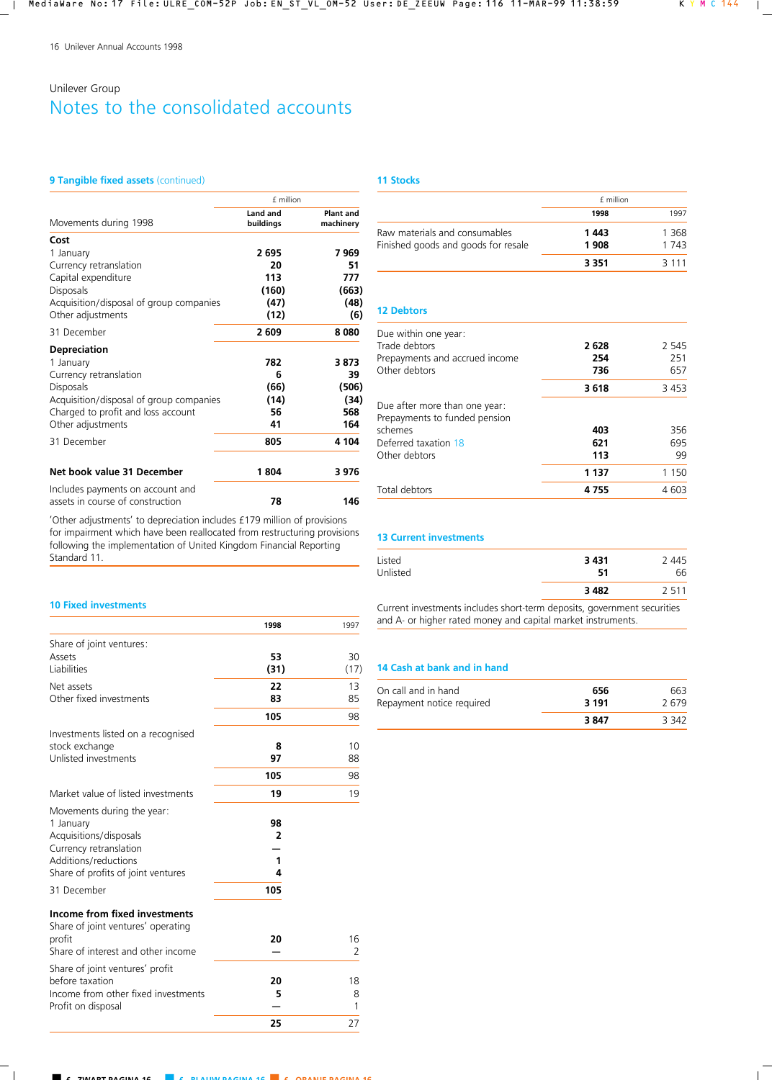## **9 Tangible fixed assets (continued)**

|                                                                      | £ million             |                               |
|----------------------------------------------------------------------|-----------------------|-------------------------------|
| Movements during 1998                                                | Land and<br>buildings | <b>Plant and</b><br>machinery |
| Cost                                                                 |                       |                               |
| 1 January                                                            | 2695                  | 7969                          |
| Currency retranslation                                               | 20                    | 51                            |
| Capital expenditure                                                  | 113                   | 777                           |
| <b>Disposals</b>                                                     | (160)                 | (663)                         |
| Acquisition/disposal of group companies                              | (47)                  | (48)                          |
| Other adjustments                                                    | (12)                  | (6)                           |
| 31 December                                                          | 2609                  | 8080                          |
| <b>Depreciation</b>                                                  |                       |                               |
| 1 January                                                            | 782                   | 3873                          |
| Currency retranslation                                               | 6                     | 39                            |
| <b>Disposals</b>                                                     | (66)                  | (506)                         |
| Acquisition/disposal of group companies                              | (14)                  | (34)                          |
| Charged to profit and loss account                                   | 56                    | 568                           |
| Other adjustments                                                    | 41                    | 164                           |
| 31 December                                                          | 805                   | 4 104                         |
| Net book value 31 December                                           | 1804                  | 3976                          |
| Includes payments on account and<br>assets in course of construction | 78                    | 146                           |

'Other adjustments' to depreciation includes £179 million of provisions for impairment which have been reallocated from restructuring provisions following the implementation of United Kingdom Financial Reporting Standard 11.

# **11 Stocks**

|                                                                      | f million    |               |
|----------------------------------------------------------------------|--------------|---------------|
|                                                                      | 1998         | 1997          |
| Raw materials and consumables<br>Finished goods and goods for resale | 1443<br>1908 | 1368<br>1 743 |
|                                                                      | 3 3 5 1      | 3 1 1 1       |

### **12 Debtors**

| Due within one year:           |         |         |
|--------------------------------|---------|---------|
| Trade debtors                  | 2628    | 2 5 4 5 |
| Prepayments and accrued income | 254     | 251     |
| Other debtors                  | 736     | 657     |
|                                | 3618    | 3453    |
| Due after more than one year:  |         |         |
| Prepayments to funded pension  |         |         |
| schemes                        | 403     | 356     |
| Deferred taxation 18           | 621     | 695     |
| Other debtors                  | 113     | 99      |
|                                | 1 1 3 7 | 1 1 5 0 |
| Total debtors                  | 4755    | 4 603   |

## **13 Current investments**

| Listed<br>Unlisted | 3 4 3 1<br>51 | 2 445<br>66 |
|--------------------|---------------|-------------|
|                    | 3 4 8 2       | 2511        |
|                    |               |             |

Current investments includes short-term deposits, government securities and A- or higher rated money and capital market instruments.

## **14 Cash at bank and in hand**

| On call and in hand       | 656     | 663   |
|---------------------------|---------|-------|
| Repayment notice required | 3 1 9 1 | 2.679 |
|                           | 3847    | 3 342 |

### **10 Fixed investments**

|                                                                     | 1998           | 1997 |
|---------------------------------------------------------------------|----------------|------|
| Share of joint ventures:                                            |                |      |
| Assets                                                              | 53             | 30   |
| Liabilities                                                         | (31)           | (17) |
| Net assets                                                          | 22             | 13   |
| Other fixed investments                                             | 83             | 85   |
|                                                                     | 105            | 98   |
| Investments listed on a recognised                                  |                |      |
| stock exchange                                                      | 8              | 10   |
| Unlisted investments                                                | 97             | 88   |
|                                                                     | 105            | 98   |
| Market value of listed investments                                  | 19             | 19   |
| Movements during the year:                                          |                |      |
| 1 January                                                           | 98             |      |
| Acquisitions/disposals                                              | $\overline{2}$ |      |
| Currency retranslation                                              |                |      |
| Additions/reductions                                                | 1              |      |
| Share of profits of joint ventures                                  | 4              |      |
| 31 December                                                         | 105            |      |
| Income from fixed investments<br>Share of joint ventures' operating |                |      |
| profit                                                              | 20             | 16   |
| Share of interest and other income                                  |                | 2    |
| Share of joint ventures' profit                                     |                |      |
| before taxation                                                     | 20             | 18   |
| Income from other fixed investments                                 | 5              | 8    |
| Profit on disposal                                                  |                | 1    |
|                                                                     | 25             | 27   |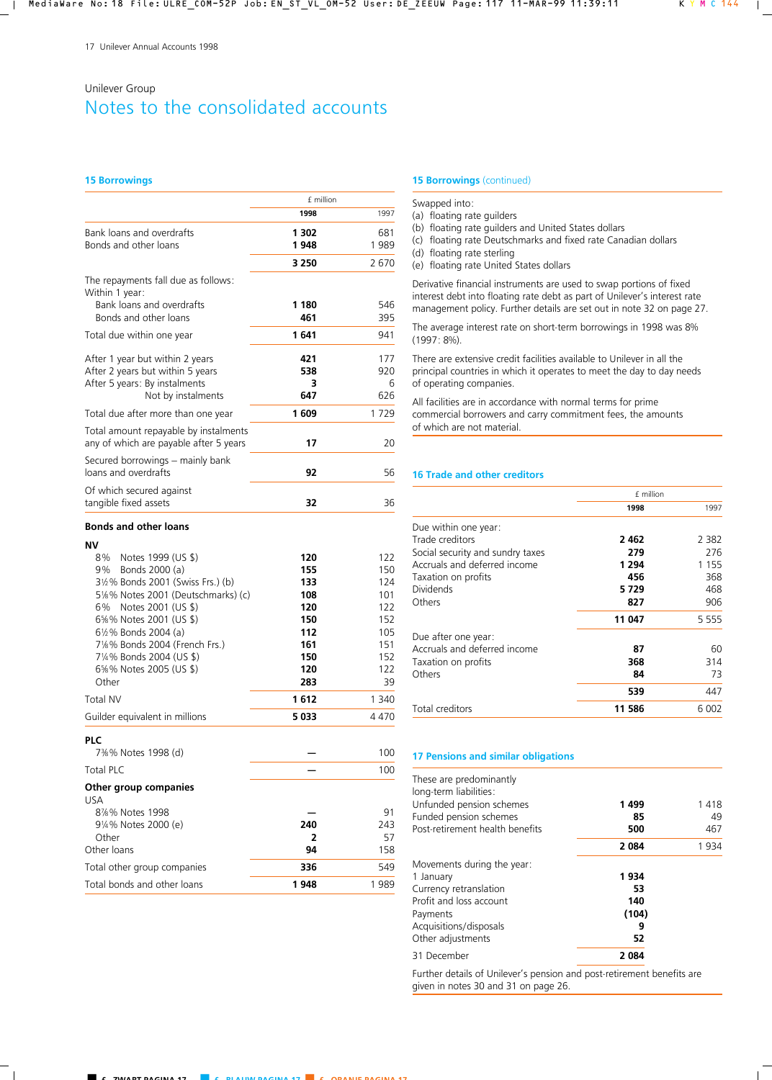#### **15 Borrowings**

|                                                       | £ million |      |  |
|-------------------------------------------------------|-----------|------|--|
|                                                       | 1998      | 1997 |  |
| Bank loans and overdrafts                             | 1 302     | 681  |  |
| Bonds and other loans                                 | 1948      | 1989 |  |
|                                                       | 3 2 5 0   | 2670 |  |
| The repayments fall due as follows:<br>Within 1 year: |           |      |  |
| Bank loans and overdrafts                             | 1 180     | 546  |  |
| Bonds and other loans                                 | 461       | 395  |  |
| Total due within one year                             | 1641      | 941  |  |
| After 1 year but within 2 years                       | 421       | 177  |  |
| After 2 years but within 5 years                      | 538       | 920  |  |
| After 5 years: By instalments                         | 3         | 6    |  |
| Not by instalments                                    | 647       | 626  |  |
| Total due after more than one year                    | 1609      | 1729 |  |
| Total amount repayable by instalments                 |           |      |  |
| any of which are payable after 5 years                | 17        | 20   |  |
| Secured borrowings - mainly bank                      |           |      |  |
| loans and overdrafts                                  | 92        | 56   |  |
| Of which secured against                              |           |      |  |
| tangible fixed assets                                 | 32        | 36   |  |
| <b>Bonds and other loans</b>                          |           |      |  |
| ΝV                                                    |           |      |  |
| Notes 1999 (US \$)<br>8%                              | 120       | 122  |  |

| ΝV                                  |      |         |
|-------------------------------------|------|---------|
| Notes 1999 (US \$)<br>8%            | 120  | 122     |
| Bonds 2000 (a)<br>9%                | 155  | 150     |
| 3½% Bonds 2001 (Swiss Frs.) (b)     | 133  | 124     |
| 5%% Notes 2001 (Deutschmarks) (c)   | 108  | 101     |
| 6% Notes 2001 (US \$)               | 120  | 122     |
| 6%% Notes 2001 (US \$)              | 150  | 152     |
| 6½% Bonds 2004 (a)                  | 112  | 105     |
| 71%% Bonds 2004 (French Frs.)       | 161  | 151     |
| 71/4% Bonds 2004 (US \$)            | 150  | 152     |
| 6%% Notes 2005 (US \$)              | 120  | 122     |
| Other                               | 283  | 39      |
| <b>Total NV</b>                     | 1612 | 1 3 4 0 |
| Guilder equivalent in millions      | 5033 | 4 4 7 0 |
| <b>PLC</b>                          |      |         |
| 7%% Notes 1998 (d)                  |      | 100     |
| <b>Total PLC</b>                    |      | 100     |
| Other group companies<br><b>USA</b> |      |         |
| 8%% Notes 1998                      |      | 91      |
| 9¼% Notes 2000 (e)                  | 240  | 243     |
| Other                               | 2    | 57      |
| Other loans                         | 94   | 158     |
| Total other group companies         | 336  | 549     |
| Total bonds and other loans         | 1948 | 1989    |

### **15 Borrowings** (continued)

#### Swapped into:

- (a) floating rate guilders
- (b) floating rate guilders and United States dollars
- (c) floating rate Deutschmarks and fixed rate Canadian dollars
- (d) floating rate sterling
- (e) floating rate United States dollars

Derivative financial instruments are used to swap portions of fixed interest debt into floating rate debt as part of Unilever's interest rate management policy. Further details are set out in note 32 on page 27.

The average interest rate on short-term borrowings in 1998 was 8% (1997: 8%).

There are extensive credit facilities available to Unilever in all the principal countries in which it operates to meet the day to day needs of operating companies.

All facilities are in accordance with normal terms for prime commercial borrowers and carry commitment fees, the amounts of which are not material.

### **16 Trade and other creditors**

|                                  | £ million |         |  |
|----------------------------------|-----------|---------|--|
|                                  | 1998      | 1997    |  |
| Due within one year:             |           |         |  |
| Trade creditors                  | 2462      | 2 3 8 2 |  |
| Social security and sundry taxes | 279       | 276     |  |
| Accruals and deferred income     | 1 2 9 4   | 1 1 5 5 |  |
| Taxation on profits              | 456       | 368     |  |
| <b>Dividends</b>                 | 5729      | 468     |  |
| Others                           | 827       | 906     |  |
|                                  | 11 047    | 5 5 5 5 |  |
| Due after one year:              |           |         |  |
| Accruals and deferred income     | 87        | 60      |  |
| Taxation on profits              | 368       | 314     |  |
| Others                           | 84        | 73      |  |
|                                  | 539       | 447     |  |
| Total creditors                  | 11 586    | 6 002   |  |

### **17 Pensions and similar obligations**

| These are predominantly<br>long-term liabilities:<br>Unfunded pension schemes<br>Funded pension schemes<br>Post-retirement health benefits | 1499<br>85<br>500 | 1418<br>49<br>467 |
|--------------------------------------------------------------------------------------------------------------------------------------------|-------------------|-------------------|
|                                                                                                                                            | 2084              | 1 934             |
| Movements during the year:                                                                                                                 |                   |                   |
| 1 January                                                                                                                                  | 1934              |                   |
| Currency retranslation                                                                                                                     | 53                |                   |
| Profit and loss account                                                                                                                    | 140               |                   |
| Payments                                                                                                                                   | (104)             |                   |
| Acquisitions/disposals                                                                                                                     | 9                 |                   |
| Other adjustments                                                                                                                          | 52                |                   |
| 31 December                                                                                                                                | 2084              |                   |

Further details of Unilever's pension and post-retirement benefits are given in notes 30 and 31 on page 26.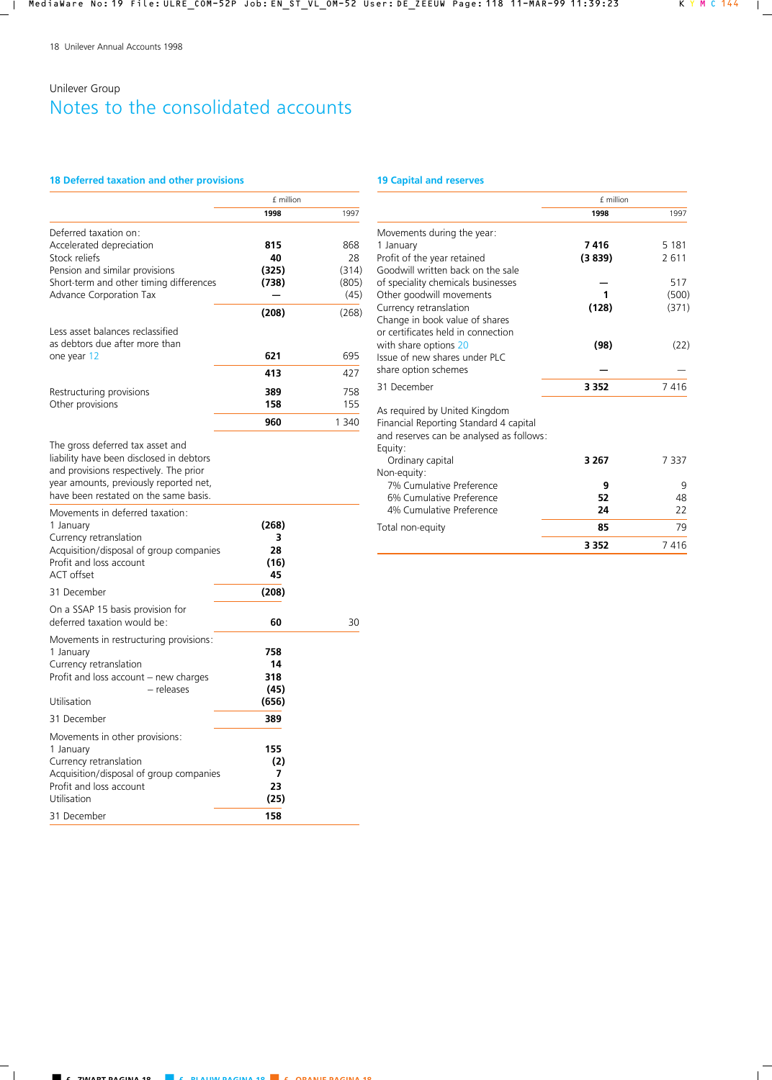## **18 Deferred taxation and other provisions**

## **19 Capital and reserves**

|                                                                                                                                                                                                           | f million |       |  |
|-----------------------------------------------------------------------------------------------------------------------------------------------------------------------------------------------------------|-----------|-------|--|
|                                                                                                                                                                                                           | 1998      | 1997  |  |
| Deferred taxation on:                                                                                                                                                                                     |           |       |  |
| Accelerated depreciation                                                                                                                                                                                  | 815       | 868   |  |
| Stock reliefs                                                                                                                                                                                             | 40        | 28    |  |
| Pension and similar provisions                                                                                                                                                                            | (325)     | (314) |  |
| Short-term and other timing differences                                                                                                                                                                   | (738)     | (805) |  |
| Advance Corporation Tax                                                                                                                                                                                   |           | (45)  |  |
|                                                                                                                                                                                                           | (208)     | (268) |  |
| Less asset balances reclassified<br>as debtors due after more than                                                                                                                                        |           |       |  |
| one year 12                                                                                                                                                                                               | 621       | 695   |  |
|                                                                                                                                                                                                           | 413       | 427   |  |
| Restructuring provisions                                                                                                                                                                                  | 389       | 758   |  |
| Other provisions                                                                                                                                                                                          | 158       | 155   |  |
|                                                                                                                                                                                                           | 960       | 1 340 |  |
| The gross deferred tax asset and<br>liability have been disclosed in debtors<br>and provisions respectively. The prior<br>year amounts, previously reported net,<br>have been restated on the same basis. |           |       |  |
| Movements in deferred taxation:<br>1 January                                                                                                                                                              | (268)     |       |  |

| i January<br>Currency retranslation<br>Acquisition/disposal of group companies<br>Profit and loss account<br><b>ACT</b> offset                             | (208)<br>з<br>28<br>(16)<br>45    |    |
|------------------------------------------------------------------------------------------------------------------------------------------------------------|-----------------------------------|----|
| 31 December                                                                                                                                                | (208)                             |    |
| On a SSAP 15 basis provision for<br>deferred taxation would be:                                                                                            | 60                                | 30 |
| Movements in restructuring provisions:<br>1 January<br>Currency retranslation<br>Profit and loss account – new charges<br>- releases<br>Utilisation        | 758<br>14<br>318<br>(45)<br>(656) |    |
| 31 December                                                                                                                                                | 389                               |    |
| Movements in other provisions:<br>1 January<br>Currency retranslation<br>Acquisition/disposal of group companies<br>Profit and loss account<br>Utilisation | 155<br>(2)<br>7<br>23<br>(25)     |    |
| 31 December                                                                                                                                                | 158                               |    |

|                                          | f million |         |  |
|------------------------------------------|-----------|---------|--|
|                                          | 1998      | 1997    |  |
| Movements during the year:               |           |         |  |
| 1 January                                | 7416      | 5 1 8 1 |  |
| Profit of the year retained              | (3839)    | 2611    |  |
| Goodwill written back on the sale        |           |         |  |
| of speciality chemicals businesses       |           | 517     |  |
| Other goodwill movements                 |           | (500)   |  |
| Currency retranslation                   | (128)     | (371)   |  |
| Change in book value of shares           |           |         |  |
| or certificates held in connection       |           |         |  |
| with share options 20                    | (98)      | (22)    |  |
| Issue of new shares under PLC            |           |         |  |
| share option schemes                     |           |         |  |
| 31 December                              | 3 3 5 2   | 7416    |  |
| As required by United Kingdom            |           |         |  |
| Financial Reporting Standard 4 capital   |           |         |  |
| and reserves can be analysed as follows: |           |         |  |
| Equity:                                  |           |         |  |
| Ordinary capital                         | 3 2 6 7   | 7 3 3 7 |  |
| Non-equity:                              |           |         |  |
| 7% Cumulative Preference                 | 9         | 9       |  |
| 6% Cumulative Preference                 | 52        | 48      |  |
| 4% Cumulative Preference                 | 24        | 22      |  |
| Total non-equity                         | 85        | 79      |  |
|                                          | 3 3 5 2   | 7416    |  |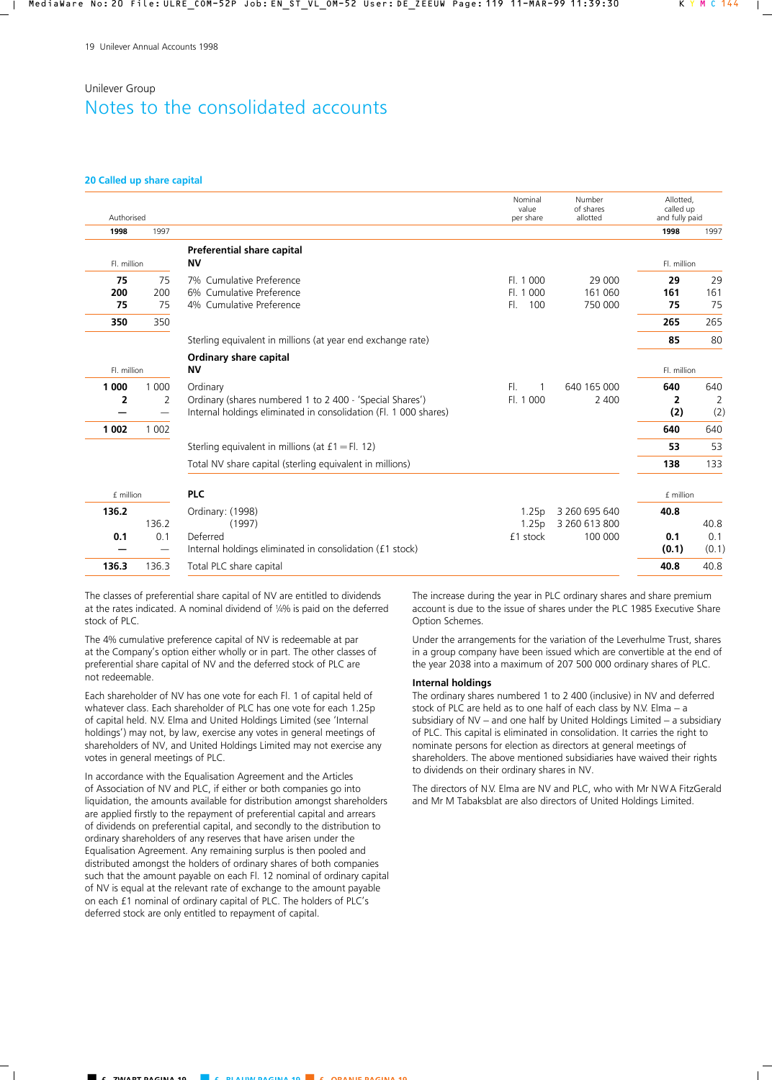#### **20 Called up share capital**

| Authorised      |                 |                                                                                                                                          | Nominal<br>value<br>per share         | Number<br>of shares<br>allotted           | Allotted.<br>called up<br>and fully paid |                      |
|-----------------|-----------------|------------------------------------------------------------------------------------------------------------------------------------------|---------------------------------------|-------------------------------------------|------------------------------------------|----------------------|
| 1998            | 1997            |                                                                                                                                          |                                       |                                           | 1998                                     | 1997                 |
| Fl. million     |                 | Preferential share capital<br><b>NV</b>                                                                                                  |                                       |                                           | Fl. million                              |                      |
| 75<br>200<br>75 | 75<br>200<br>75 | 7% Cumulative Preference<br>6% Cumulative Preference<br>4% Cumulative Preference                                                         | FI. 1000<br>000<br>FL.1<br>100<br>FL. | 29 000<br>161 060<br>750 000              | 29<br>161<br>75                          | 29<br>161<br>75      |
| 350             | 350             |                                                                                                                                          |                                       |                                           | 265                                      | 265                  |
|                 |                 | Sterling equivalent in millions (at year end exchange rate)                                                                              |                                       |                                           | 85                                       | 80                   |
| Fl. million     |                 | Ordinary share capital<br><b>NV</b>                                                                                                      |                                       |                                           | Fl. million                              |                      |
| 1 0 0 0<br>2    | 1 0 0 0<br>2    | Ordinary<br>Ordinary (shares numbered 1 to 2 400 - 'Special Shares')<br>Internal holdings eliminated in consolidation (Fl. 1 000 shares) | FI.<br>Fl. 1 000                      | 640 165 000<br>2 400                      | 640<br>$\overline{2}$<br>(2)             | 640<br>2<br>(2)      |
| 1 0 0 2         | 1 0 0 2         |                                                                                                                                          |                                       |                                           | 640                                      | 640                  |
|                 |                 | Sterling equivalent in millions (at $f1 = Fl. 12$ )                                                                                      |                                       |                                           | 53                                       | 53                   |
|                 |                 | Total NV share capital (sterling equivalent in millions)                                                                                 |                                       |                                           | 138                                      | 133                  |
| £ million       |                 | <b>PLC</b>                                                                                                                               |                                       |                                           | £ million                                |                      |
| 136.2<br>0.1    | 136.2<br>0.1    | Ordinary: (1998)<br>(1997)<br>Deferred<br>Internal holdings eliminated in consolidation (£1 stock)                                       | 1.25p<br>1.25p<br>£1 stock            | 3 260 695 640<br>3 260 613 800<br>100 000 | 40.8<br>0.1<br>(0.1)                     | 40.8<br>0.1<br>(0.1) |
| 136.3           | 136.3           | Total PLC share capital                                                                                                                  |                                       |                                           | 40.8                                     | 40.8                 |

The classes of preferential share capital of NV are entitled to dividends at the rates indicated. A nominal dividend of 1⁄4% is paid on the deferred stock of PLC.

The 4% cumulative preference capital of NV is redeemable at par at the Company's option either wholly or in part. The other classes of preferential share capital of NV and the deferred stock of PLC are not redeemable.

Each shareholder of NV has one vote for each Fl. 1 of capital held of whatever class. Each shareholder of PLC has one vote for each 1.25p of capital held. N.V. Elma and United Holdings Limited (see 'Internal holdings') may not, by law, exercise any votes in general meetings of shareholders of NV, and United Holdings Limited may not exercise any votes in general meetings of PLC.

In accordance with the Equalisation Agreement and the Articles of Association of NV and PLC, if either or both companies go into liquidation, the amounts available for distribution amongst shareholders are applied firstly to the repayment of preferential capital and arrears of dividends on preferential capital, and secondly to the distribution to ordinary shareholders of any reserves that have arisen under the Equalisation Agreement. Any remaining surplus is then pooled and distributed amongst the holders of ordinary shares of both companies such that the amount payable on each Fl. 12 nominal of ordinary capital of NV is equal at the relevant rate of exchange to the amount payable on each £1 nominal of ordinary capital of PLC. The holders of PLC's deferred stock are only entitled to repayment of capital.

The increase during the year in PLC ordinary shares and share premium account is due to the issue of shares under the PLC 1985 Executive Share Option Schemes.

Under the arrangements for the variation of the Leverhulme Trust, shares in a group company have been issued which are convertible at the end of the year 2038 into a maximum of 207 500 000 ordinary shares of PLC.

#### **Internal holdings**

The ordinary shares numbered 1 to 2 400 (inclusive) in NV and deferred stock of PLC are held as to one half of each class by N.V. Elma – a subsidiary of NV – and one half by United Holdings Limited – a subsidiary of PLC. This capital is eliminated in consolidation. It carries the right to nominate persons for election as directors at general meetings of shareholders. The above mentioned subsidiaries have waived their rights to dividends on their ordinary shares in NV.

The directors of N.V. Elma are NV and PLC, who with Mr NWA FitzGerald and Mr M Tabaksblat are also directors of United Holdings Limited.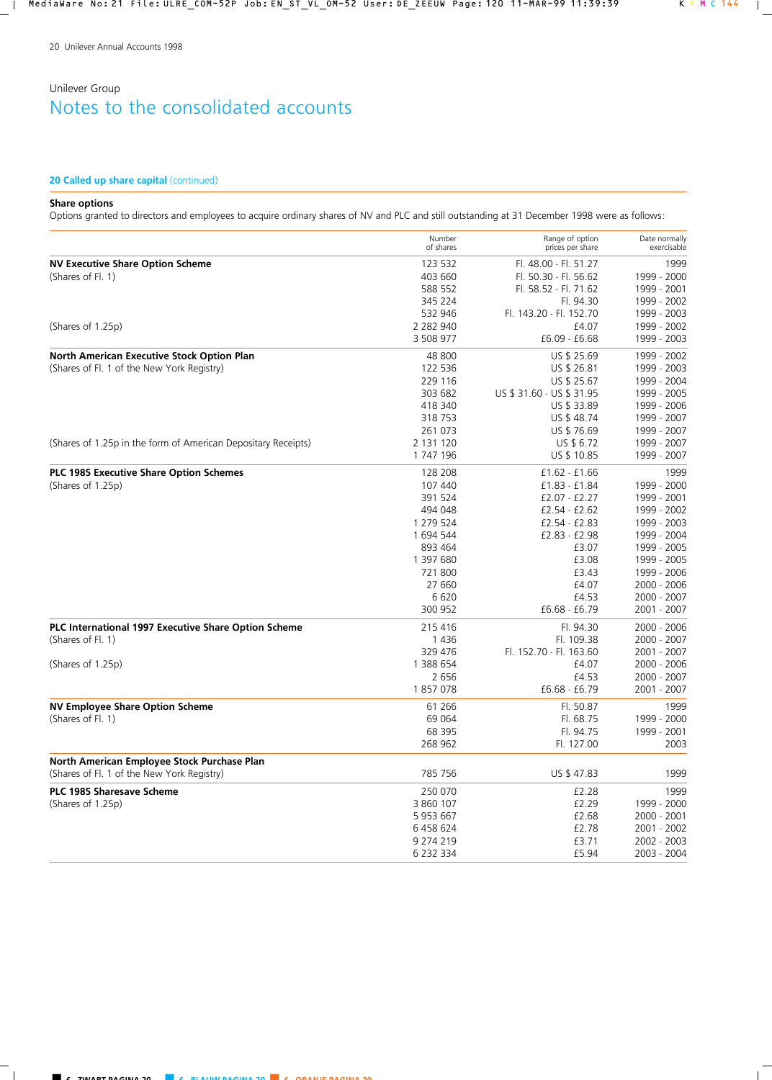## **20 Called up share capital (continued)**

## **Share options**

Options granted to directors and employees to acquire ordinary shares of NV and PLC and still outstanding at 31 December 1998 were as follows:

|                                                               | Number<br>of shares | Range of option<br>prices per share | Date normally<br>exercisable |
|---------------------------------------------------------------|---------------------|-------------------------------------|------------------------------|
| <b>NV Executive Share Option Scheme</b>                       | 123 532             | Fl. 48.00 - Fl. 51.27               | 1999                         |
| (Shares of Fl. 1)                                             | 403 660             | Fl. 50.30 - Fl. 56.62               | 1999 - 2000                  |
|                                                               | 588 552             | Fl. 58.52 - Fl. 71.62               | 1999 - 2001                  |
|                                                               | 345 224             | Fl. 94.30                           | 1999 - 2002                  |
|                                                               | 532 946             | Fl. 143.20 - Fl. 152.70             | 1999 - 2003                  |
| (Shares of 1.25p)                                             | 2 2 8 2 9 4 0       | £4.07                               | 1999 - 2002                  |
|                                                               | 3 508 977           | $£6.09 - £6.68$                     | 1999 - 2003                  |
| <b>North American Executive Stock Option Plan</b>             | 48 800              | US \$ 25.69                         | 1999 - 2002                  |
| (Shares of Fl. 1 of the New York Registry)                    | 122 536             | US \$ 26.81                         | 1999 - 2003                  |
|                                                               | 229 116             | US \$ 25.67                         | 1999 - 2004                  |
|                                                               | 303 682             | US \$ 31.60 - US \$ 31.95           | 1999 - 2005                  |
|                                                               | 418 340             | US \$ 33.89                         | 1999 - 2006                  |
|                                                               | 318 753             | US \$48.74                          | 1999 - 2007                  |
|                                                               | 261 073             | US \$76.69                          | 1999 - 2007                  |
| (Shares of 1.25p in the form of American Depositary Receipts) | 2 131 120           | US \$ 6.72                          | 1999 - 2007                  |
|                                                               | 1 747 196           | US \$ 10.85                         | 1999 - 2007                  |
| PLC 1985 Executive Share Option Schemes                       | 128 208             | $£1.62 - £1.66$                     | 1999                         |
| (Shares of 1.25p)                                             | 107 440             | £1.83 - £1.84                       | 1999 - 2000                  |
|                                                               | 391 524             | $£2.07 - £2.27$                     | 1999 - 2001                  |
|                                                               | 494 048             | $£2.54 - £2.62$                     | 1999 - 2002                  |
|                                                               | 1 279 524           | £2.54 - £2.83                       | 1999 - 2003                  |
|                                                               | 1 694 544           | £2.83 - £2.98                       | 1999 - 2004                  |
|                                                               | 893 464             | £3.07                               | 1999 - 2005                  |
|                                                               | 1 397 680           | £3.08                               | 1999 - 2005                  |
|                                                               | 721800              | £3.43                               | 1999 - 2006                  |
|                                                               |                     |                                     |                              |
|                                                               | 27 660              | £4.07                               | 2000 - 2006                  |
|                                                               | 6620<br>300 952     | £4.53<br>£6.68 - £6.79              | 2000 - 2007<br>2001 - 2007   |
| PLC International 1997 Executive Share Option Scheme          | 215 416             | Fl. 94.30                           | 2000 - 2006                  |
| (Shares of Fl. 1)                                             | 1436                | Fl. 109.38                          | 2000 - 2007                  |
|                                                               | 329 476             | Fl. 152.70 - Fl. 163.60             | 2001 - 2007                  |
| (Shares of 1.25p)                                             | 1 388 654           | £4.07                               | 2000 - 2006                  |
|                                                               | 2 6 5 6             | £4.53                               | 2000 - 2007                  |
|                                                               | 1857078             | £6.68 - £6.79                       | 2001 - 2007                  |
| <b>NV Employee Share Option Scheme</b>                        | 61 266              | Fl. 50.87                           | 1999                         |
| (Shares of Fl. 1)                                             | 69 064              | Fl. 68.75                           | 1999 - 2000                  |
|                                                               | 68 395              | Fl. 94.75                           | 1999 - 2001                  |
|                                                               | 268 962             | Fl. 127.00                          | 2003                         |
| North American Employee Stock Purchase Plan                   |                     |                                     |                              |
| (Shares of Fl. 1 of the New York Registry)                    | 785 756             | US \$47.83                          | 1999                         |
| PLC 1985 Sharesave Scheme                                     | 250 070             | £2.28                               | 1999                         |
| (Shares of 1.25p)                                             | 3 860 107           | £2.29                               | 1999 - 2000                  |
|                                                               | 5 953 667           | £2.68                               | 2000 - 2001                  |
|                                                               | 6 458 624           | £2.78                               | 2001 - 2002                  |
|                                                               | 9 274 219           | £3.71                               | 2002 - 2003                  |
|                                                               | 6 232 334           | £5.94                               | 2003 - 2004                  |
|                                                               |                     |                                     |                              |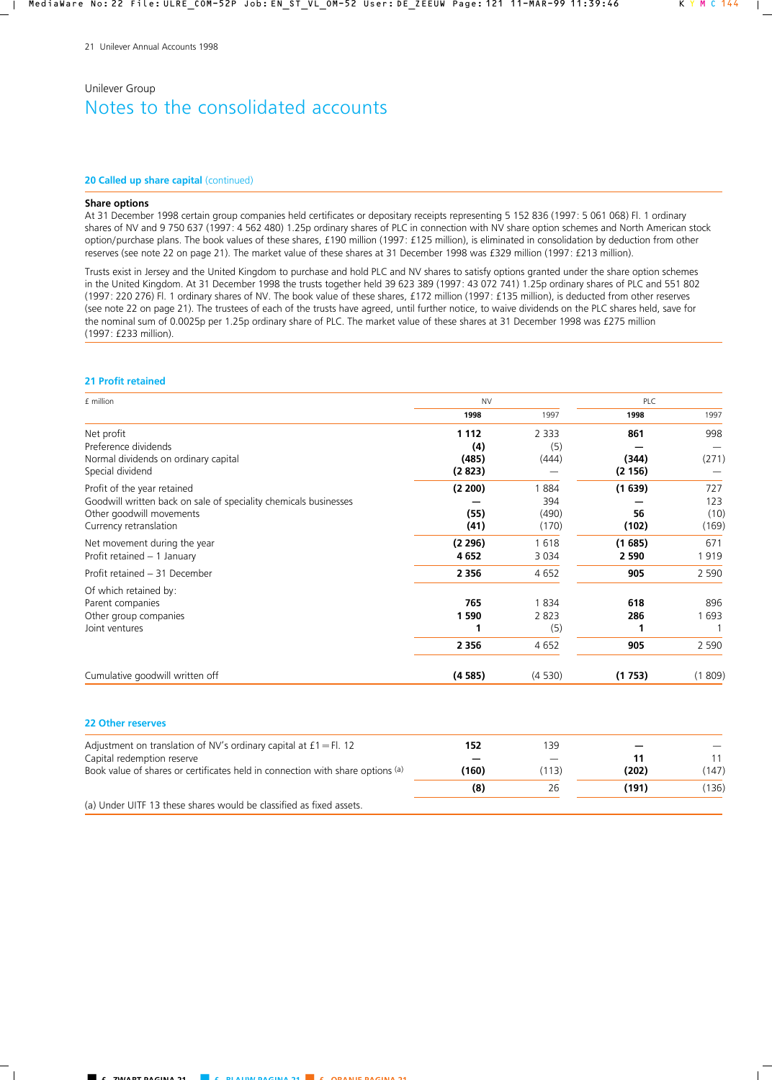#### **20 Called up share capital (continued)**

### **Share options**

At 31 December 1998 certain group companies held certificates or depositary receipts representing 5 152 836 (1997: 5 061 068) Fl. 1 ordinary shares of NV and 9 750 637 (1997: 4 562 480) 1.25p ordinary shares of PLC in connection with NV share option schemes and North American stock option/purchase plans. The book values of these shares, £190 million (1997: £125 million), is eliminated in consolidation by deduction from other reserves (see note 22 on page 21). The market value of these shares at 31 December 1998 was £329 million (1997: £213 million).

Trusts exist in Jersey and the United Kingdom to purchase and hold PLC and NV shares to satisfy options granted under the share option schemes in the United Kingdom. At 31 December 1998 the trusts together held 39 623 389 (1997: 43 072 741) 1.25p ordinary shares of PLC and 551 802 (1997: 220 276) Fl. 1 ordinary shares of NV. The book value of these shares, £172 million (1997: £135 million), is deducted from other reserves (see note 22 on page 21). The trustees of each of the trusts have agreed, until further notice, to waive dividends on the PLC shares held, save for the nominal sum of 0.0025p per 1.25p ordinary share of PLC. The market value of these shares at 31 December 1998 was £275 million (1997: £233 million).

#### **21 Profit retained**

| £ million                                                        | <b>NV</b> |         |         | PLC         |  |
|------------------------------------------------------------------|-----------|---------|---------|-------------|--|
|                                                                  | 1998      | 1997    | 1998    | 1997        |  |
| Net profit                                                       | 1 1 1 2   | 2 3 3 3 | 861     | 998         |  |
| Preference dividends                                             | (4)       | (5)     |         |             |  |
| Normal dividends on ordinary capital                             | (485)     | (444)   | (344)   | (271)       |  |
| Special dividend                                                 | (2823)    |         | (2156)  |             |  |
| Profit of the year retained                                      | (2 200)   | 1884    | (1639)  | 727         |  |
| Goodwill written back on sale of speciality chemicals businesses |           | 394     |         | 123         |  |
| Other goodwill movements                                         | (55)      | (490)   | 56      | (10)        |  |
| Currency retranslation                                           | (41)      | (170)   | (102)   | (169)       |  |
| Net movement during the year                                     | (2 296)   | 1618    | (1685)  | 671         |  |
| Profit retained - 1 January                                      | 4 6 5 2   | 3 0 3 4 | 2 5 9 0 | 1919        |  |
| Profit retained - 31 December                                    | 2 3 5 6   | 4652    | 905     | 2 5 9 0     |  |
| Of which retained by:                                            |           |         |         |             |  |
| Parent companies                                                 | 765       | 1834    | 618     | 896         |  |
| Other group companies                                            | 1 590     | 2 8 2 3 | 286     | 693         |  |
| Joint ventures                                                   | 1         | (5)     |         |             |  |
|                                                                  | 2 3 5 6   | 4 6 5 2 | 905     | 2 5 9 0     |  |
| Cumulative goodwill written off                                  | (4585)    | (4530)  | (1753)  | 809)<br>(1) |  |

#### **22 Other reserves**

| Adjustment on translation of NV's ordinary capital at $f1 = Fl. 12$            | 152   | 139   |       |       |
|--------------------------------------------------------------------------------|-------|-------|-------|-------|
| Capital redemption reserve                                                     |       |       |       |       |
| Book value of shares or certificates held in connection with share options (a) | (160) | (113) | (202) | (147) |
|                                                                                | (8)   | 26    | (191) | 136)  |
| (a) Under UITF 13 these shares would be classified as fixed assets.            |       |       |       |       |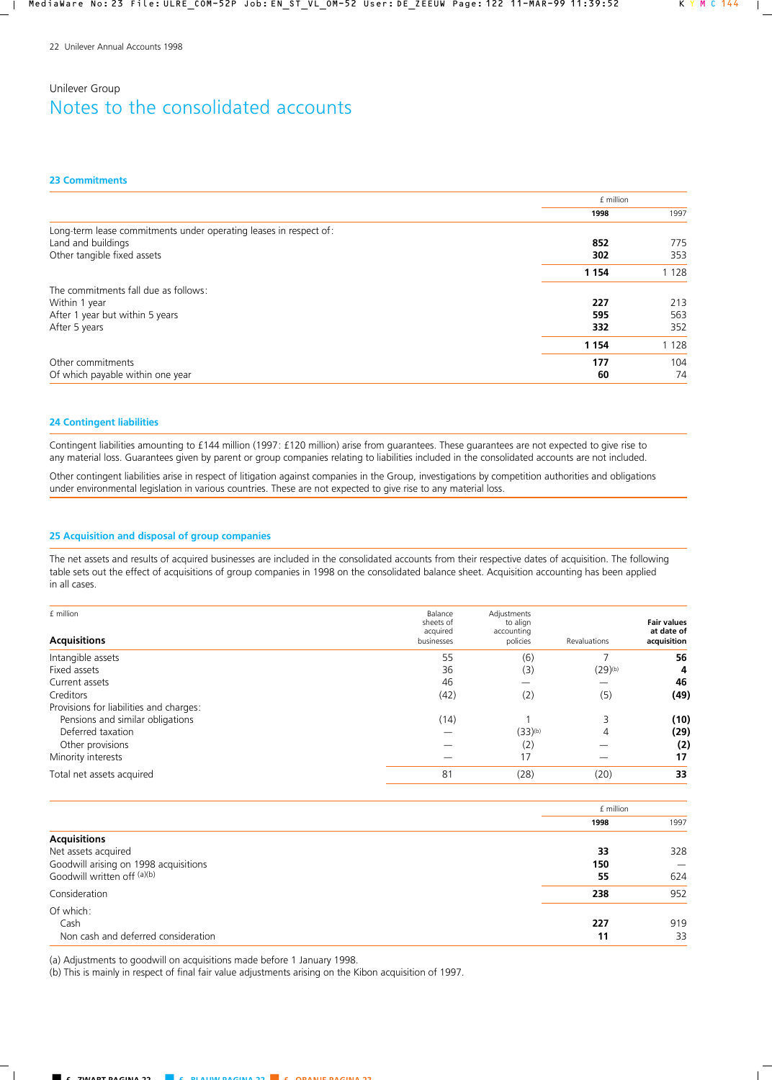#### **23 Commitments**

|                                                                   | £ million |         |
|-------------------------------------------------------------------|-----------|---------|
|                                                                   | 1998      | 1997    |
| Long-term lease commitments under operating leases in respect of: |           |         |
| Land and buildings                                                | 852       | 775     |
| Other tangible fixed assets                                       | 302       | 353     |
|                                                                   | 1 1 5 4   | 1 1 2 8 |
| The commitments fall due as follows:                              |           |         |
| Within 1 year                                                     | 227       | 213     |
| After 1 year but within 5 years                                   | 595       | 563     |
| After 5 years                                                     | 332       | 352     |
|                                                                   | 1 1 5 4   | 1 1 2 8 |
| Other commitments                                                 | 177       | 104     |
| Of which payable within one year                                  | 60        | 74      |

## **24 Contingent liabilities**

Contingent liabilities amounting to £144 million (1997: £120 million) arise from guarantees. These guarantees are not expected to give rise to any material loss. Guarantees given by parent or group companies relating to liabilities included in the consolidated accounts are not included.

Other contingent liabilities arise in respect of litigation against companies in the Group, investigations by competition authorities and obligations under environmental legislation in various countries. These are not expected to give rise to any material loss.

## **25 Acquisition and disposal of group companies**

The net assets and results of acquired businesses are included in the consolidated accounts from their respective dates of acquisition. The following table sets out the effect of acquisitions of group companies in 1998 on the consolidated balance sheet. Acquisition accounting has been applied in all cases.

| £ million<br><b>Acquisitions</b>        | Balance<br>sheets of<br>acquired<br>businesses | Adjustments<br>to align<br>accounting<br>policies | Revaluations | <b>Fair values</b><br>at date of<br>acquisition |
|-----------------------------------------|------------------------------------------------|---------------------------------------------------|--------------|-------------------------------------------------|
| Intangible assets                       | 55                                             | (6)                                               |              | 56                                              |
| Fixed assets                            | 36                                             | (3)                                               | $(29)^{(b)}$ | 4                                               |
| Current assets                          | 46                                             |                                                   |              | 46                                              |
| Creditors                               | (42)                                           | (2)                                               | (5)          | (49)                                            |
| Provisions for liabilities and charges: |                                                |                                                   |              |                                                 |
| Pensions and similar obligations        | (14)                                           |                                                   | 3            | (10)                                            |
| Deferred taxation                       |                                                | $(33)$ <sup>(b)</sup>                             | 4            | (29)                                            |
| Other provisions                        |                                                | (2)                                               |              | (2)                                             |
| Minority interests                      |                                                | 17                                                |              | 17                                              |
| Total net assets acquired               | 81                                             | (28)                                              | (20)         | 33                                              |

|                                       | f million |      |
|---------------------------------------|-----------|------|
|                                       | 1998      | 1997 |
| <b>Acquisitions</b>                   |           |      |
| Net assets acquired                   | 33        | 328  |
| Goodwill arising on 1998 acquisitions | 150       |      |
| Goodwill written off (a)(b)           | 55        | 624  |
| Consideration                         | 238       | 952  |
| Of which:                             |           |      |
| Cash                                  | 227       | 919  |
| Non cash and deferred consideration   | 11        | 33   |

(a) Adjustments to goodwill on acquisitions made before 1 January 1998.

(b) This is mainly in respect of final fair value adjustments arising on the Kibon acquisition of 1997.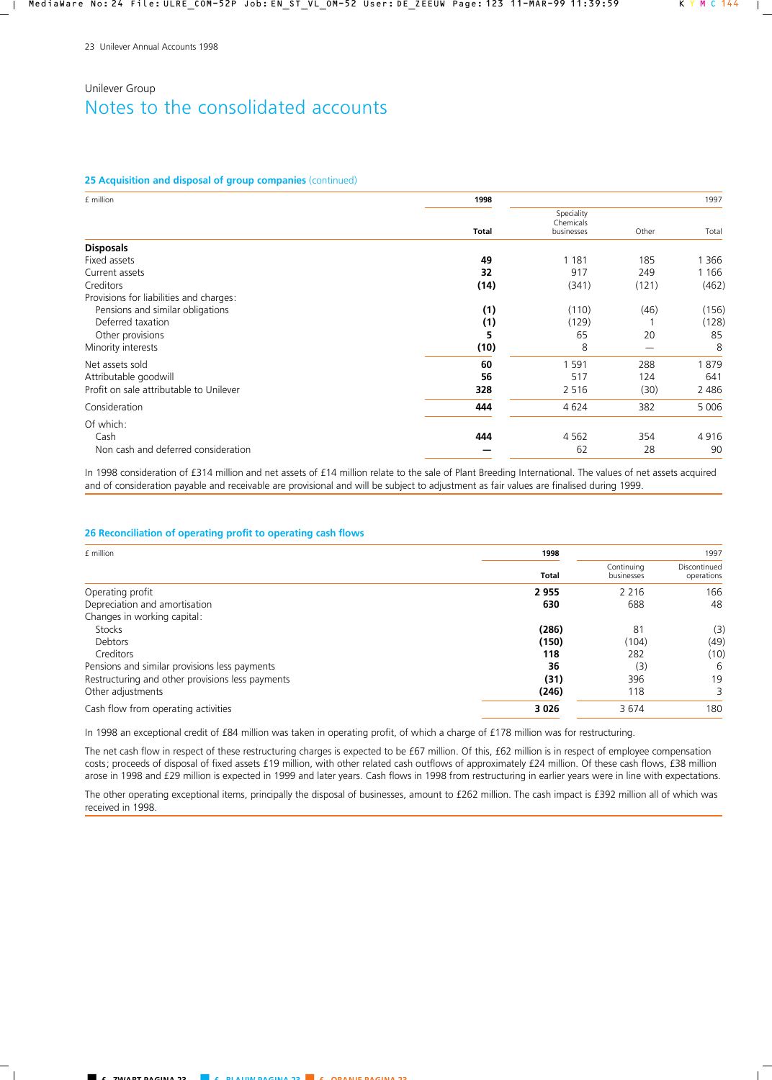### **25 Acquisition and disposal of group companies** (continued)

| £ million                               | 1998         |                                       |       | 1997    |
|-----------------------------------------|--------------|---------------------------------------|-------|---------|
|                                         | <b>Total</b> | Speciality<br>Chemicals<br>businesses | Other | Total   |
| <b>Disposals</b>                        |              |                                       |       |         |
| Fixed assets                            | 49           | 1 1 8 1                               | 185   | 366     |
| Current assets                          | 32           | 917                                   | 249   | 1 1 6 6 |
| Creditors                               | (14)         | (341)                                 | (121) | (462)   |
| Provisions for liabilities and charges: |              |                                       |       |         |
| Pensions and similar obligations        | (1)          | (110)                                 | (46)  | (156)   |
| Deferred taxation                       | (1)          | (129)                                 |       | (128)   |
| Other provisions                        | 5            | 65                                    | 20    | 85      |
| Minority interests                      | (10)         | 8                                     |       | 8       |
| Net assets sold                         | 60           | 1 5 9 1                               | 288   | 1879    |
| Attributable goodwill                   | 56           | 517                                   | 124   | 641     |
| Profit on sale attributable to Unilever | 328          | 2 5 1 6                               | (30)  | 2 4 8 6 |
| Consideration                           | 444          | 4624                                  | 382   | 5 0 0 6 |
| Of which:                               |              |                                       |       |         |
| Cash                                    | 444          | 4 5 6 2                               | 354   | 4916    |
| Non cash and deferred consideration     |              | 62                                    | 28    | 90      |

In 1998 consideration of £314 million and net assets of £14 million relate to the sale of Plant Breeding International. The values of net assets acquired and of consideration payable and receivable are provisional and will be subject to adjustment as fair values are finalised during 1999.

### **26 Reconciliation of operating profit to operating cash flows**

| £ million                                        | 1998         |                          | 1997                       |
|--------------------------------------------------|--------------|--------------------------|----------------------------|
|                                                  | <b>Total</b> | Continuina<br>businesses | Discontinued<br>operations |
| Operating profit                                 | 2955         | 2 2 1 6                  | 166                        |
| Depreciation and amortisation                    | 630          | 688                      | 48                         |
| Changes in working capital:                      |              |                          |                            |
| <b>Stocks</b>                                    | (286)        | 81                       | (3)                        |
| Debtors                                          | (150)        | (104)                    | (49)                       |
| Creditors                                        | 118          | 282                      | (10)                       |
| Pensions and similar provisions less payments    | 36           | (3)                      | 6                          |
| Restructuring and other provisions less payments | (31)         | 396                      | 19                         |
| Other adjustments                                | (246)        | 118                      | 3.                         |
| Cash flow from operating activities              | 3 0 2 6      | 3674                     | 180                        |

In 1998 an exceptional credit of £84 million was taken in operating profit, of which a charge of £178 million was for restructuring.

The net cash flow in respect of these restructuring charges is expected to be £67 million. Of this, £62 million is in respect of employee compensation costs; proceeds of disposal of fixed assets £19 million, with other related cash outflows of approximately £24 million. Of these cash flows, £38 million arose in 1998 and £29 million is expected in 1999 and later years. Cash flows in 1998 from restructuring in earlier years were in line with expectations.

The other operating exceptional items, principally the disposal of businesses, amount to £262 million. The cash impact is £392 million all of which was received in 1998.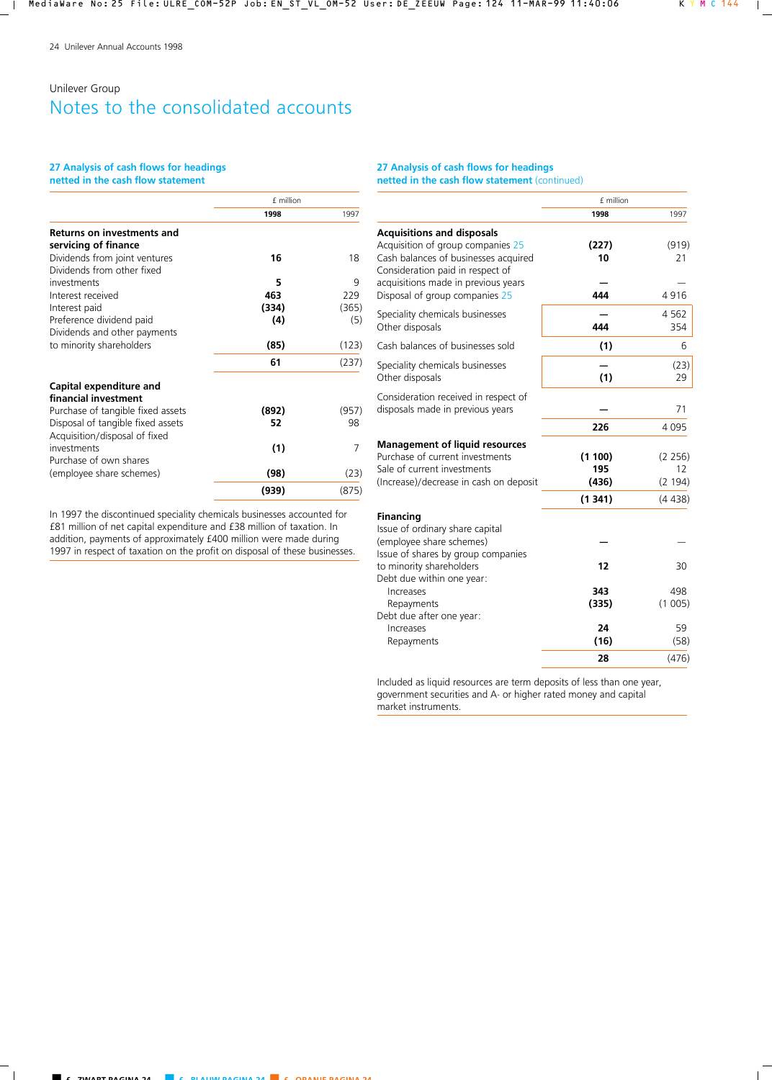## **27 Analysis of cash flows for headings**

**netted in the cash flow statement**

|                                                             | £ million |       |  |
|-------------------------------------------------------------|-----------|-------|--|
|                                                             | 1998      | 1997  |  |
| <b>Returns on investments and</b><br>servicing of finance   |           |       |  |
| Dividends from joint ventures<br>Dividends from other fixed | 16        | 18    |  |
| investments                                                 | 5         | 9     |  |
| Interest received                                           | 463       | 229   |  |
| Interest paid                                               | (334)     | (365) |  |
| Preference dividend paid                                    | (4)       | (5)   |  |
| Dividends and other payments                                |           |       |  |
| to minority shareholders                                    | (85)      | (123) |  |
|                                                             | 61        | (237) |  |
| Capital expenditure and<br>financial investment             |           |       |  |
| Purchase of tangible fixed assets                           | (892)     | (957) |  |
| Disposal of tangible fixed assets                           | 52        | 98    |  |
| Acquisition/disposal of fixed                               |           |       |  |
| investments                                                 | (1)       | 7     |  |
| Purchase of own shares                                      |           |       |  |
| (employee share schemes)                                    | (98)      | (23)  |  |
|                                                             | (939)     | (875) |  |

In 1997 the discontinued speciality chemicals businesses accounted for £81 million of net capital expenditure and £38 million of taxation. In addition, payments of approximately £400 million were made during 1997 in respect of taxation on the profit on disposal of these businesses.

## **27 Analysis of cash flows for headings**

**netted in the cash flow statement** (continued)

|                                                                                                                                                   | f million    |                |  |
|---------------------------------------------------------------------------------------------------------------------------------------------------|--------------|----------------|--|
|                                                                                                                                                   | 1998         | 1997           |  |
| <b>Acquisitions and disposals</b><br>Acquisition of group companies 25                                                                            | (227)        | (919)          |  |
| Cash balances of businesses acquired<br>Consideration paid in respect of<br>acquisitions made in previous years<br>Disposal of group companies 25 | 10<br>444    | 21<br>4916     |  |
| Speciality chemicals businesses<br>Other disposals                                                                                                | 444          | 4 5 6 2<br>354 |  |
| Cash balances of businesses sold                                                                                                                  | (1)          | 6              |  |
| Speciality chemicals businesses<br>Other disposals                                                                                                | (1)          | (23)<br>29     |  |
| Consideration received in respect of<br>disposals made in previous years                                                                          |              | 71             |  |
|                                                                                                                                                   | 226          | 4095           |  |
| <b>Management of liquid resources</b>                                                                                                             |              |                |  |
| Purchase of current investments                                                                                                                   | (1 100)      | (2 256)        |  |
| Sale of current investments<br>(Increase)/decrease in cash on deposit                                                                             | 195<br>(436) | 12<br>(2 194)  |  |
|                                                                                                                                                   | (1341)       | (4438)         |  |
| <b>Financing</b><br>Issue of ordinary share capital                                                                                               |              |                |  |
| (employee share schemes)<br>Issue of shares by group companies                                                                                    |              |                |  |
| to minority shareholders<br>Debt due within one year:                                                                                             | 12           | 30             |  |
| Increases                                                                                                                                         | 343          | 498            |  |
| Repayments<br>Debt due after one year:                                                                                                            | (335)        | (1005)         |  |
| Increases                                                                                                                                         | 24           | 59             |  |
| Repayments                                                                                                                                        | (16)         | (58)           |  |
|                                                                                                                                                   | 28           | (476)          |  |

Included as liquid resources are term deposits of less than one year, government securities and A- or higher rated money and capital market instruments.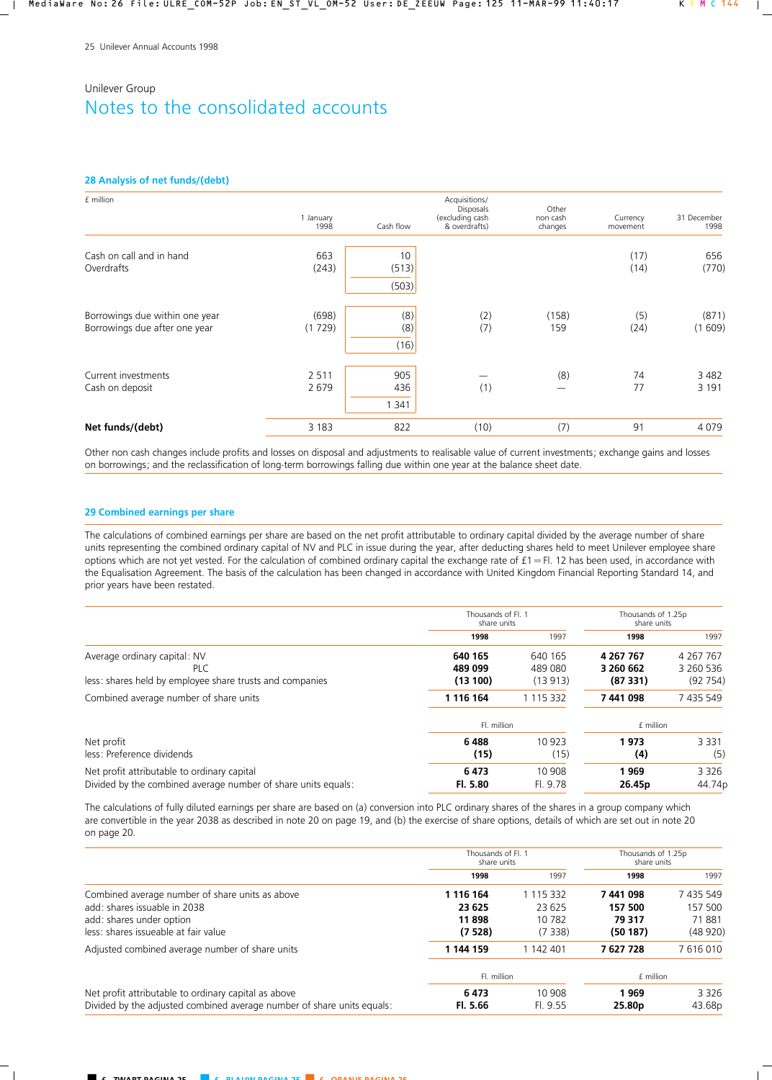### **28 Analysis of net funds/(debt)**

| £ million                                                       | 1 January<br>1998  | Cash flow            | Acquisitions/<br>Disposals<br>(excluding cash<br>& overdrafts) | Other<br>non cash<br>changes | Currency<br>movement | 31 December<br>1998 |
|-----------------------------------------------------------------|--------------------|----------------------|----------------------------------------------------------------|------------------------------|----------------------|---------------------|
| Cash on call and in hand<br>Overdrafts                          | 663<br>(243)       | 10<br>(513)<br>(503) |                                                                |                              | (17)<br>(14)         | 656<br>(770)        |
| Borrowings due within one year<br>Borrowings due after one year | (698)<br>(1729)    | (8)<br>(8)<br>(16)   | (2)<br>(7)                                                     | (158)<br>159                 | (5)<br>(24)          | (871)<br>(1609)     |
| Current investments<br>Cash on deposit                          | 2 5 1 1<br>2 6 7 9 | 905<br>436<br>1 341  | (1)                                                            | (8)                          | 74<br>77             | 3 4 8 2<br>3 1 9 1  |
| Net funds/(debt)                                                | 3 1 8 3            | 822                  | (10)                                                           | (7)                          | 91                   | 4079                |

Other non cash changes include profits and losses on disposal and adjustments to realisable value of current investments; exchange gains and losses on borrowings; and the reclassification of long-term borrowings falling due within one year at the balance sheet date.

### **29 Combined earnings per share**

The calculations of combined earnings per share are based on the net profit attributable to ordinary capital divided by the average number of share units representing the combined ordinary capital of NV and PLC in issue during the year, after deducting shares held to meet Unilever employee share options which are not yet vested. For the calculation of combined ordinary capital the exchange rate of  $f1 = Fl$ . 12 has been used, in accordance with the Equalisation Agreement. The basis of the calculation has been changed in accordance with United Kingdom Financial Reporting Standard 14, and prior years have been restated.

|                                                                                                              | Thousands of Fl. 1<br>share units |                    | Thousands of 1.25p<br>share units |                        |
|--------------------------------------------------------------------------------------------------------------|-----------------------------------|--------------------|-----------------------------------|------------------------|
|                                                                                                              | 1998                              | 1997               | 1998                              | 1997                   |
| Average ordinary capital: NV<br>PLC                                                                          | 640 165<br>489 099                | 640 165<br>489 080 | 4 267 767<br>3 260 662            | 4 267 767<br>3 260 536 |
| less: shares held by employee share trusts and companies                                                     | (13100)                           | (13913)            | (87331)                           | (92754)                |
| Combined average number of share units                                                                       | 1 1 1 6 1 6 4                     | 1 115 332          | 7441098                           | 7 435 549              |
|                                                                                                              | Fl. million                       |                    | £ million                         |                        |
| Net profit<br>less: Preference dividends                                                                     | 6488<br>(15)                      | 10 923<br>(15)     | 1973<br>(4)                       | 3 3 3 1<br>(5)         |
| Net profit attributable to ordinary capital<br>Divided by the combined average number of share units equals: | 6473<br>Fl. 5.80                  | 10 908<br>Fl. 9.78 | 1969<br>26.45p                    | 3 3 2 6<br>44.74p      |

The calculations of fully diluted earnings per share are based on (a) conversion into PLC ordinary shares of the shares in a group company which are convertible in the year 2038 as described in note 20 on page 19, and (b) the exercise of share options, details of which are set out in note 20 on page 20.

|                                                                        | Thousands of Fl. 1<br>share units |           | Thousands of 1.25p<br>share units |                    |
|------------------------------------------------------------------------|-----------------------------------|-----------|-----------------------------------|--------------------|
|                                                                        | 1998                              | 1997      | 1998                              | 1997               |
| Combined average number of share units as above                        | 1 116 164                         | 1 115 332 | 7441098                           | 7 435 549          |
| add: shares issuable in 2038                                           | 23 625                            | 23 625    | 157 500                           | 157 500            |
| add: shares under option                                               | 11898                             | 10 782    | 79 317                            | 71881              |
| less: shares issueable at fair value                                   | (7528)                            | (7338)    | (50187)                           | (48920)            |
| Adjusted combined average number of share units                        | 1 144 159                         | 1 142 401 | 7627728                           | 7616010            |
|                                                                        | Fl. million                       |           | £ million                         |                    |
| Net profit attributable to ordinary capital as above                   | 6473                              | 10 908    | 1969                              | 3 3 2 6            |
| Divided by the adjusted combined average number of share units equals: | Fl. 5.66                          | Fl. 9.55  | 25.80 <sub>p</sub>                | 43.68 <sub>p</sub> |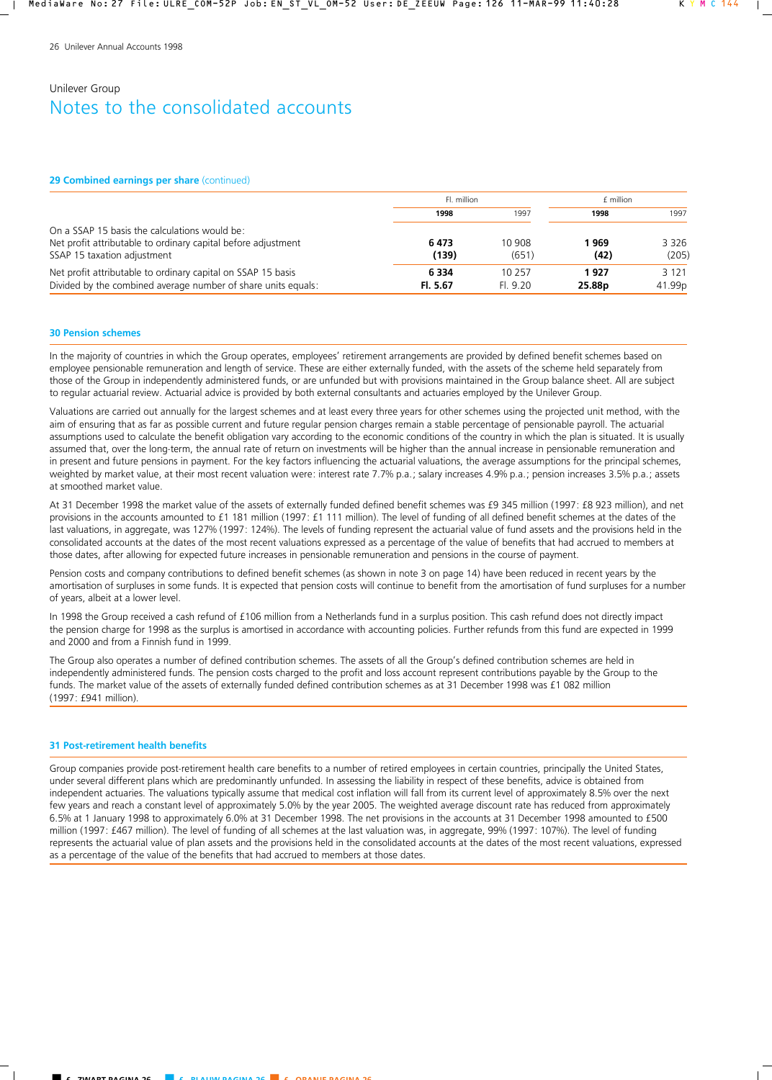#### **29 Combined earnings per share** (continued)

|                                                                                                                                               | Fl. million         |                    | £ million                  |                   |
|-----------------------------------------------------------------------------------------------------------------------------------------------|---------------------|--------------------|----------------------------|-------------------|
|                                                                                                                                               | 1998                | 1997               | 1998                       | 1997              |
| On a SSAP 15 basis the calculations would be:<br>Net profit attributable to ordinary capital before adjustment<br>SSAP 15 taxation adjustment | 6473<br>(139)       | 10 908<br>(651)    | 1 969<br>(42)              | 3 3 2 6<br>(205)  |
| Net profit attributable to ordinary capital on SSAP 15 basis<br>Divided by the combined average number of share units equals:                 | 6 3 3 4<br>Fl. 5.67 | 10 257<br>FI. 9.20 | 1927<br>25.88 <sub>p</sub> | 3 1 2 1<br>41.99p |

### **30 Pension schemes**

In the majority of countries in which the Group operates, employees' retirement arrangements are provided by defined benefit schemes based on employee pensionable remuneration and length of service. These are either externally funded, with the assets of the scheme held separately from those of the Group in independently administered funds, or are unfunded but with provisions maintained in the Group balance sheet. All are subject to regular actuarial review. Actuarial advice is provided by both external consultants and actuaries employed by the Unilever Group.

Valuations are carried out annually for the largest schemes and at least every three years for other schemes using the projected unit method, with the aim of ensuring that as far as possible current and future regular pension charges remain a stable percentage of pensionable payroll. The actuarial assumptions used to calculate the benefit obligation vary according to the economic conditions of the country in which the plan is situated. It is usually assumed that, over the long-term, the annual rate of return on investments will be higher than the annual increase in pensionable remuneration and in present and future pensions in payment. For the key factors influencing the actuarial valuations, the average assumptions for the principal schemes, weighted by market value, at their most recent valuation were: interest rate 7.7% p.a.; salary increases 4.9% p.a.; pension increases 3.5% p.a.; assets at smoothed market value.

At 31 December 1998 the market value of the assets of externally funded defined benefit schemes was £9 345 million (1997: £8 923 million), and net provisions in the accounts amounted to £1 181 million (1997: £1 111 million). The level of funding of all defined benefit schemes at the dates of the last valuations, in aggregate, was 127% (1997: 124%). The levels of funding represent the actuarial value of fund assets and the provisions held in the consolidated accounts at the dates of the most recent valuations expressed as a percentage of the value of benefits that had accrued to members at those dates, after allowing for expected future increases in pensionable remuneration and pensions in the course of payment.

Pension costs and company contributions to defined benefit schemes (as shown in note 3 on page 14) have been reduced in recent years by the amortisation of surpluses in some funds. It is expected that pension costs will continue to benefit from the amortisation of fund surpluses for a number of years, albeit at a lower level.

In 1998 the Group received a cash refund of £106 million from a Netherlands fund in a surplus position. This cash refund does not directly impact the pension charge for 1998 as the surplus is amortised in accordance with accounting policies. Further refunds from this fund are expected in 1999 and 2000 and from a Finnish fund in 1999.

The Group also operates a number of defined contribution schemes. The assets of all the Group's defined contribution schemes are held in independently administered funds. The pension costs charged to the profit and loss account represent contributions payable by the Group to the funds. The market value of the assets of externally funded defined contribution schemes as at 31 December 1998 was £1 082 million (1997: £941 million).

### **31 Post-retirement health benefits**

Group companies provide post-retirement health care benefits to a number of retired employees in certain countries, principally the United States, under several different plans which are predominantly unfunded. In assessing the liability in respect of these benefits, advice is obtained from independent actuaries. The valuations typically assume that medical cost inflation will fall from its current level of approximately 8.5% over the next few years and reach a constant level of approximately 5.0% by the year 2005. The weighted average discount rate has reduced from approximately 6.5% at 1 January 1998 to approximately 6.0% at 31 December 1998. The net provisions in the accounts at 31 December 1998 amounted to £500 million (1997: £467 million). The level of funding of all schemes at the last valuation was, in aggregate, 99% (1997: 107%). The level of funding represents the actuarial value of plan assets and the provisions held in the consolidated accounts at the dates of the most recent valuations, expressed as a percentage of the value of the benefits that had accrued to members at those dates.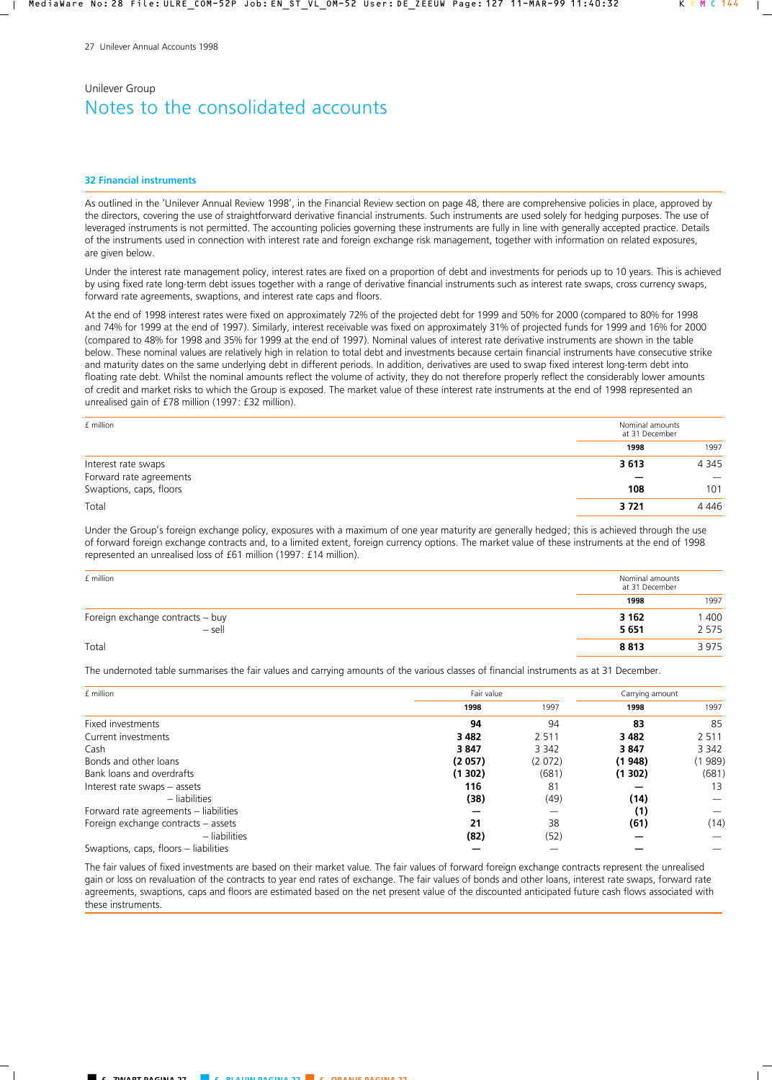#### **32 Financial instruments**

As outlined in the 'Unilever Annual Review 1998', in the Financial Review section on page 48, there are comprehensive policies in place, approved by the directors, covering the use of straightforward derivative financial instruments. Such instruments are used solely for hedging purposes. The use of leveraged instruments is not permitted. The accounting policies governing these instruments are fully in line with generally accepted practice. Details of the instruments used in connection with interest rate and foreign exchange risk management, together with information on related exposures, are given below.

Under the interest rate management policy, interest rates are fixed on a proportion of debt and investments for periods up to 10 years. This is achieved by using fixed rate long-term debt issues together with a range of derivative financial instruments such as interest rate swaps, cross currency swaps, forward rate agreements, swaptions, and interest rate caps and floors.

At the end of 1998 interest rates were fixed on approximately 72% of the projected debt for 1999 and 50% for 2000 (compared to 80% for 1998 and 74% for 1999 at the end of 1997). Similarly, interest receivable was fixed on approximately 31% of projected funds for 1999 and 16% for 2000 (compared to 48% for 1998 and 35% for 1999 at the end of 1997). Nominal values of interest rate derivative instruments are shown in the table below. These nominal values are relatively high in relation to total debt and investments because certain financial instruments have consecutive strike and maturity dates on the same underlying debt in different periods. In addition, derivatives are used to swap fixed interest long-term debt into floating rate debt. Whilst the nominal amounts reflect the volume of activity, they do not therefore properly reflect the considerably lower amounts of credit and market risks to which the Group is exposed. The market value of these interest rate instruments at the end of 1998 represented an unrealised gain of £78 million (1997: £32 million).

| f million               | Nominal amounts<br>at 31 December |                                 |
|-------------------------|-----------------------------------|---------------------------------|
|                         | 1998                              | 1997                            |
| Interest rate swaps     | 3613                              | 4 3 4 5                         |
| Forward rate agreements |                                   | $\hspace{0.1mm}-\hspace{0.1mm}$ |
| Swaptions, caps, floors | 108                               | 101                             |
| Total                   | 3721                              | 4 4 4 6                         |

Under the Group's foreign exchange policy, exposures with a maximum of one year maturity are generally hedged; this is achieved through the use of forward foreign exchange contracts and, to a limited extent, foreign currency options. The market value of these instruments at the end of 1998 represented an unrealised loss of £61 million (1997: £14 million).

| £ million                        | Nominal amounts<br>at 31 December |         |  |
|----------------------------------|-----------------------------------|---------|--|
|                                  | 1998                              | 1997    |  |
| Foreign exchange contracts - buy | 3 1 6 2                           | 400     |  |
| $-$ sell                         | 5651                              | 2 5 7 5 |  |
| Total                            | 8813                              | 3975    |  |

The undernoted table summarises the fair values and carrying amounts of the various classes of financial instruments as at 31 December.

| £ million                             | Fair value |         |         |         |
|---------------------------------------|------------|---------|---------|---------|
|                                       | 1998       | 1997    | 1998    | 1997    |
| Fixed investments                     | 94         | 94      | 83      | 85      |
| Current investments                   | 3 4 8 2    | 2 5 1 1 | 3 4 8 2 | 2 5 1 1 |
| Cash                                  | 3847       | 3 3 4 2 | 3847    | 3 3 4 2 |
| Bonds and other loans                 | (2057)     | (2072)  | (1948)  | 989)    |
| Bank loans and overdrafts             | (1302)     | (681)   | (1302)  | (681)   |
| Interest rate swaps - assets          | 116        | 81      |         | 13      |
| - liabilities                         | (38)       | (49)    | (14)    |         |
| Forward rate agreements – liabilities |            |         | (1)     |         |
| Foreign exchange contracts - assets   | 21         | 38      | (61)    | (14)    |
| - liabilities                         | (82)       | (52)    |         |         |
| Swaptions, caps, floors – liabilities |            |         |         |         |

The fair values of fixed investments are based on their market value. The fair values of forward foreign exchange contracts represent the unrealised gain or loss on revaluation of the contracts to year end rates of exchange. The fair values of bonds and other loans, interest rate swaps, forward rate agreements, swaptions, caps and floors are estimated based on the net present value of the discounted anticipated future cash flows associated with these instruments.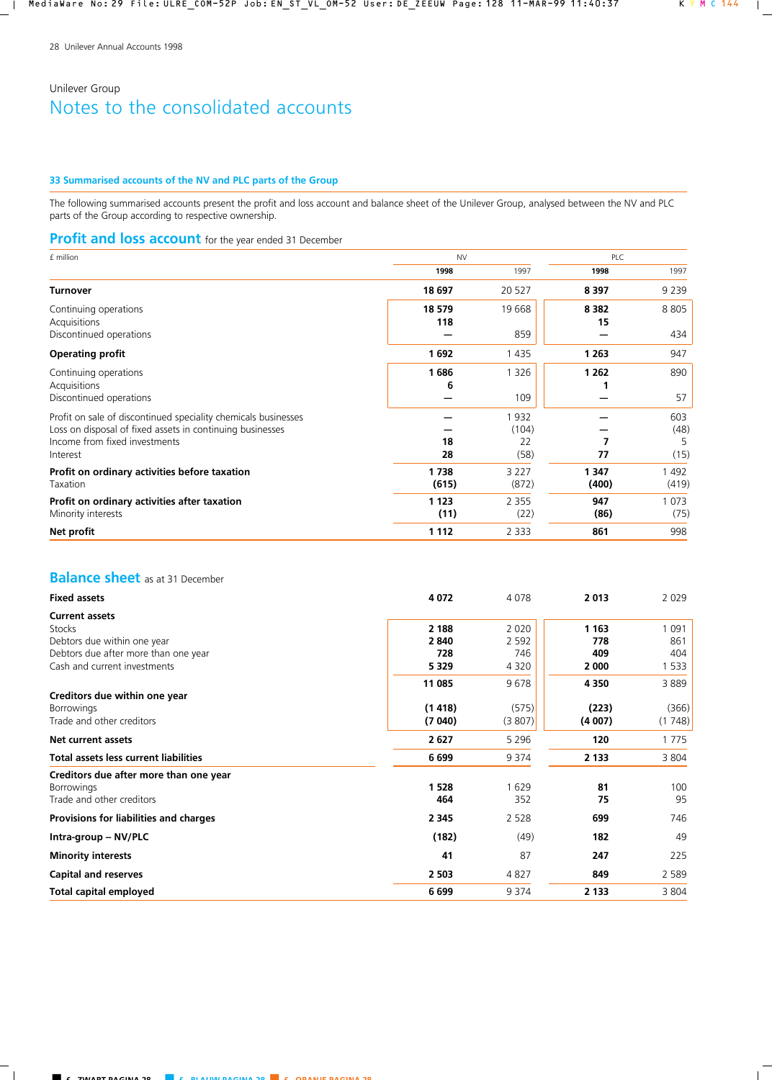## **33 Summarised accounts of the NV and PLC parts of the Group**

The following summarised accounts present the profit and loss account and balance sheet of the Unilever Group, analysed between the NV and PLC parts of the Group according to respective ownership.

## **Profit and loss account** for the year ended 31 December

| £ million                                                                                                                                                                | <b>NV</b>       |                             | PLC              |                          |
|--------------------------------------------------------------------------------------------------------------------------------------------------------------------------|-----------------|-----------------------------|------------------|--------------------------|
|                                                                                                                                                                          | 1998            | 1997                        | 1998             | 1997                     |
| <b>Turnover</b>                                                                                                                                                          | 18 697          | 20 5 27                     | 8 3 9 7          | 9 2 3 9                  |
| Continuing operations<br>Acquisitions                                                                                                                                    | 18 579<br>118   | 19668                       | 8 3 8 2<br>15    | 8805                     |
| Discontinued operations                                                                                                                                                  |                 | 859                         |                  | 434                      |
| <b>Operating profit</b>                                                                                                                                                  | 1692            | 1 4 3 5                     | 1 2 6 3          | 947                      |
| Continuing operations<br>Acquisitions<br>Discontinued operations                                                                                                         | 1686<br>6       | 1 3 2 6<br>109              | 1 2 6 2          | 890<br>57                |
| Profit on sale of discontinued speciality chemicals businesses<br>Loss on disposal of fixed assets in continuing businesses<br>Income from fixed investments<br>Interest | 18<br>28        | 1932<br>(104)<br>22<br>(58) | 77               | 603<br>(48)<br>5<br>(15) |
| Profit on ordinary activities before taxation<br>Taxation                                                                                                                | 1738<br>(615)   | 3 2 2 7<br>(872)            | 1 3 4 7<br>(400) | 1492<br>(419)            |
| Profit on ordinary activities after taxation<br>Minority interests                                                                                                       | 1 1 2 3<br>(11) | 2 3 5 5<br>(22)             | 947<br>(86)      | 1 0 7 3<br>(75)          |
| Net profit                                                                                                                                                               | 1 1 1 2         | 2 3 3 3                     | 861              | 998                      |

# **Balance sheet** as at 31 December

| <b>Fixed assets</b>                          | 4072    | 4078               | 2013    | 2029           |
|----------------------------------------------|---------|--------------------|---------|----------------|
| <b>Current assets</b><br><b>Stocks</b>       | 2 1 8 8 |                    | 1 1 6 3 |                |
| Debtors due within one year                  | 2840    | 2 0 2 0<br>2 5 9 2 | 778     | 1 0 9 1<br>861 |
| Debtors due after more than one year         | 728     | 746                | 409     | 404            |
| Cash and current investments                 | 5 3 2 9 | 4 3 2 0            | 2 0 0 0 | 1 5 3 3        |
|                                              | 11 085  | 9678               | 4350    | 3889           |
| Creditors due within one year                |         |                    |         |                |
| <b>Borrowings</b>                            | (1418)  | (575)              | (223)   | (366)          |
| Trade and other creditors                    | (7040)  | (3807)             | (4007)  | (1748)         |
| Net current assets                           | 2627    | 5 2 9 6            | 120     | 1 7 7 5        |
| <b>Total assets less current liabilities</b> | 6699    | 9 3 7 4            | 2 1 3 3 | 3 8 0 4        |
| Creditors due after more than one year       |         |                    |         |                |
| <b>Borrowings</b>                            | 1 5 2 8 | 1629               | 81      | 100            |
| Trade and other creditors                    | 464     | 352                | 75      | 95             |
| Provisions for liabilities and charges       | 2 3 4 5 | 2 5 2 8            | 699     | 746            |
| Intra-group - NV/PLC                         | (182)   | (49)               | 182     | 49             |
| <b>Minority interests</b>                    | 41      | 87                 | 247     | 225            |
| <b>Capital and reserves</b>                  | 2 5 0 3 | 4827               | 849     | 2 5 8 9        |
| Total capital employed                       | 6699    | 9 3 7 4            | 2 1 3 3 | 3 8 0 4        |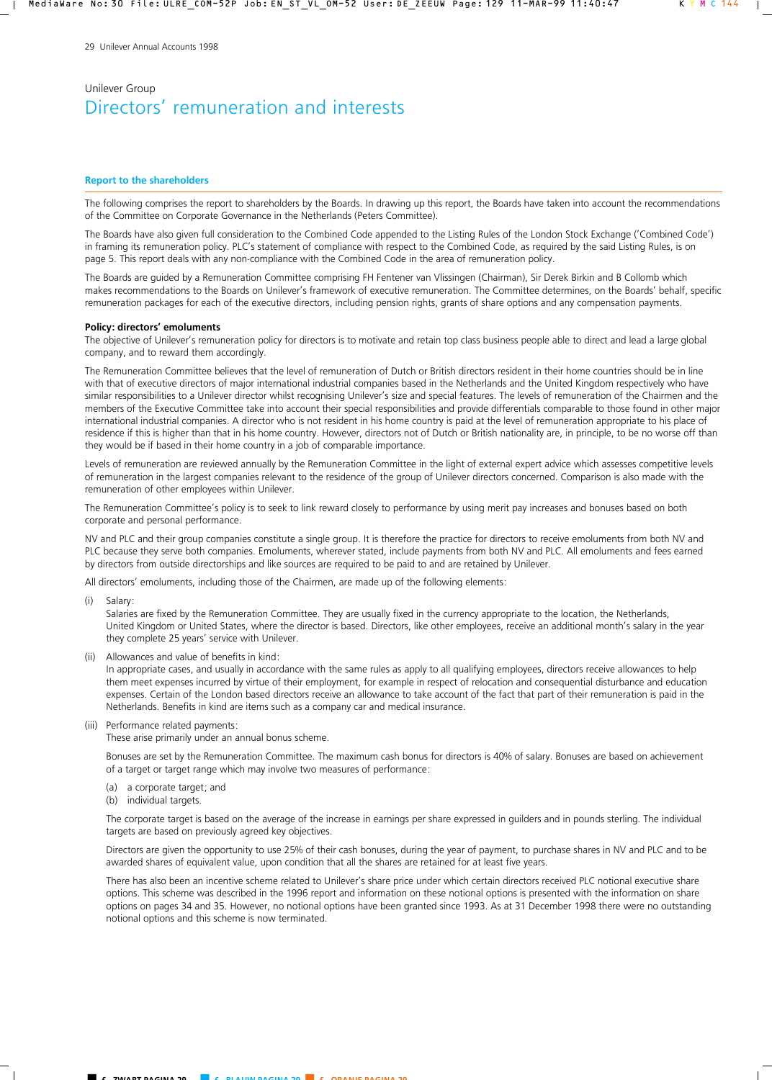### **Report to the shareholders**

The following comprises the report to shareholders by the Boards. In drawing up this report, the Boards have taken into account the recommendations of the Committee on Corporate Governance in the Netherlands (Peters Committee).

The Boards have also given full consideration to the Combined Code appended to the Listing Rules of the London Stock Exchange ('Combined Code') in framing its remuneration policy. PLC's statement of compliance with respect to the Combined Code, as required by the said Listing Rules, is on page 5. This report deals with any non-compliance with the Combined Code in the area of remuneration policy.

The Boards are guided by a Remuneration Committee comprising FH Fentener van Vlissingen (Chairman), Sir Derek Birkin and B Collomb which makes recommendations to the Boards on Unilever's framework of executive remuneration. The Committee determines, on the Boards' behalf, specific remuneration packages for each of the executive directors, including pension rights, grants of share options and any compensation payments.

#### **Policy: directors' emoluments**

The objective of Unilever's remuneration policy for directors is to motivate and retain top class business people able to direct and lead a large global company, and to reward them accordingly.

The Remuneration Committee believes that the level of remuneration of Dutch or British directors resident in their home countries should be in line with that of executive directors of major international industrial companies based in the Netherlands and the United Kingdom respectively who have similar responsibilities to a Unilever director whilst recognising Unilever's size and special features. The levels of remuneration of the Chairmen and the members of the Executive Committee take into account their special responsibilities and provide differentials comparable to those found in other major international industrial companies. A director who is not resident in his home country is paid at the level of remuneration appropriate to his place of residence if this is higher than that in his home country. However, directors not of Dutch or British nationality are, in principle, to be no worse off than they would be if based in their home country in a job of comparable importance.

Levels of remuneration are reviewed annually by the Remuneration Committee in the light of external expert advice which assesses competitive levels of remuneration in the largest companies relevant to the residence of the group of Unilever directors concerned. Comparison is also made with the remuneration of other employees within Unilever.

The Remuneration Committee's policy is to seek to link reward closely to performance by using merit pay increases and bonuses based on both corporate and personal performance.

NV and PLC and their group companies constitute a single group. It is therefore the practice for directors to receive emoluments from both NV and PLC because they serve both companies. Emoluments, wherever stated, include payments from both NV and PLC. All emoluments and fees earned by directors from outside directorships and like sources are required to be paid to and are retained by Unilever.

All directors' emoluments, including those of the Chairmen, are made up of the following elements:

(i) Salary:

 Salaries are fixed by the Remuneration Committee. They are usually fixed in the currency appropriate to the location, the Netherlands, United Kingdom or United States, where the director is based. Directors, like other employees, receive an additional month's salary in the year they complete 25 years' service with Unilever.

(ii) Allowances and value of benefits in kind:

 In appropriate cases, and usually in accordance with the same rules as apply to all qualifying employees, directors receive allowances to help them meet expenses incurred by virtue of their employment, for example in respect of relocation and consequential disturbance and education expenses. Certain of the London based directors receive an allowance to take account of the fact that part of their remuneration is paid in the Netherlands. Benefits in kind are items such as a company car and medical insurance.

(iii) Performance related payments:

These arise primarily under an annual bonus scheme.

 Bonuses are set by the Remuneration Committee. The maximum cash bonus for directors is 40% of salary. Bonuses are based on achievement of a target or target range which may involve two measures of performance:

- (a) a corporate target; and
- (b) individual targets.

The corporate target is based on the average of the increase in earnings per share expressed in guilders and in pounds sterling. The individual targets are based on previously agreed key objectives.

 Directors are given the opportunity to use 25% of their cash bonuses, during the year of payment, to purchase shares in NV and PLC and to be awarded shares of equivalent value, upon condition that all the shares are retained for at least five years.

 There has also been an incentive scheme related to Unilever's share price under which certain directors received PLC notional executive share options. This scheme was described in the 1996 report and information on these notional options is presented with the information on share options on pages 34 and 35. However, no notional options have been granted since 1993. As at 31 December 1998 there were no outstanding notional options and this scheme is now terminated.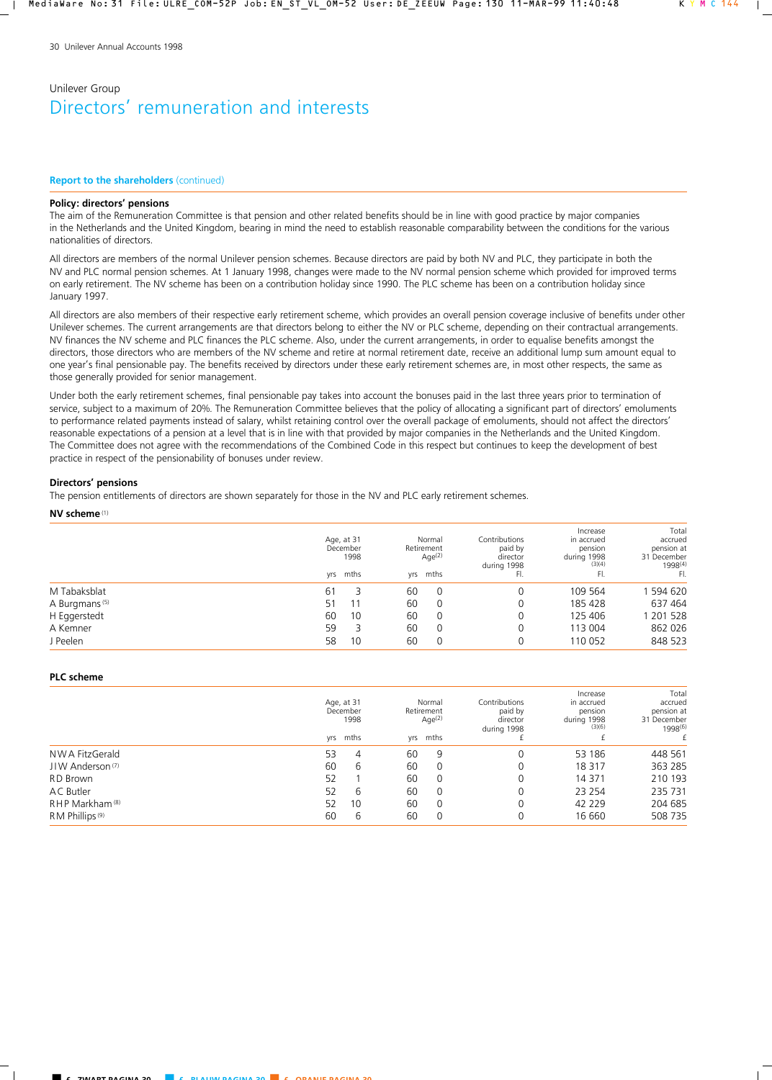### **Report to the shareholders** (continued)

### **Policy: directors' pensions**

The aim of the Remuneration Committee is that pension and other related benefits should be in line with good practice by major companies in the Netherlands and the United Kingdom, bearing in mind the need to establish reasonable comparability between the conditions for the various nationalities of directors.

All directors are members of the normal Unilever pension schemes. Because directors are paid by both NV and PLC, they participate in both the NV and PLC normal pension schemes. At 1 January 1998, changes were made to the NV normal pension scheme which provided for improved terms on early retirement. The NV scheme has been on a contribution holiday since 1990. The PLC scheme has been on a contribution holiday since January 1997.

All directors are also members of their respective early retirement scheme, which provides an overall pension coverage inclusive of benefits under other Unilever schemes. The current arrangements are that directors belong to either the NV or PLC scheme, depending on their contractual arrangements. NV finances the NV scheme and PLC finances the PLC scheme. Also, under the current arrangements, in order to equalise benefits amongst the directors, those directors who are members of the NV scheme and retire at normal retirement date, receive an additional lump sum amount equal to one year's final pensionable pay. The benefits received by directors under these early retirement schemes are, in most other respects, the same as those generally provided for senior management.

Under both the early retirement schemes, final pensionable pay takes into account the bonuses paid in the last three years prior to termination of service, subject to a maximum of 20%. The Remuneration Committee believes that the policy of allocating a significant part of directors' emoluments to performance related payments instead of salary, whilst retaining control over the overall package of emoluments, should not affect the directors' reasonable expectations of a pension at a level that is in line with that provided by major companies in the Netherlands and the United Kingdom. The Committee does not agree with the recommendations of the Combined Code in this respect but continues to keep the development of best practice in respect of the pensionability of bonuses under review.

### **Directors' pensions**

The pension entitlements of directors are shown separately for those in the NV and PLC early retirement schemes.

### **NV scheme** (1)

|                           | Age, at 31<br>December<br>1998 | Normal<br>Retirement<br>Age <sup>(2)</sup> | Contributions<br>paid by<br>director<br>during 1998 | Increase<br>in accrued<br>pension<br>during 1998<br>(3)(4) | Total<br>accrued<br>pension at<br>31 December<br>$1998^{(4)}$ |
|---------------------------|--------------------------------|--------------------------------------------|-----------------------------------------------------|------------------------------------------------------------|---------------------------------------------------------------|
|                           | mths<br>yrs                    | mths<br>yrs                                | FI.                                                 | FI.                                                        | FI.                                                           |
| M Tabaksblat              | 3<br>61                        | 60                                         | 0<br>$\mathbf 0$                                    | 109 564                                                    | 594 620                                                       |
| A Burgmans <sup>(5)</sup> | 51                             | 60                                         | 0<br>$\overline{0}$                                 | 185 428                                                    | 637 464                                                       |
| H Eggerstedt              | 60<br>10                       | 60                                         | 0<br>$\overline{0}$                                 | 125 406                                                    | 1 201 528                                                     |
| A Kemner                  | 59<br>3                        | 60                                         | 0<br>$\mathbf 0$                                    | 113 004                                                    | 862 026                                                       |
| J Peelen                  | 58<br>10                       | 60                                         | 0<br>$\mathbf 0$                                    | 110 052                                                    | 848 523                                                       |

### **PLC scheme**

|                             | Age, at 31<br>December | 1998 | Retirement | Normal<br>Age <sup>(2)</sup> | Contributions<br>paid by<br>director<br>during 1998 | Increase<br>in accrued<br>pension<br>during 1998<br>(3)(6) | Total<br>accrued<br>pension at<br>31 December<br>1998(6) |
|-----------------------------|------------------------|------|------------|------------------------------|-----------------------------------------------------|------------------------------------------------------------|----------------------------------------------------------|
|                             | yrs                    | mths | yrs        | mths                         |                                                     |                                                            |                                                          |
| NWA FitzGerald              | 53                     | 4    | 60         | 9                            | $\Omega$                                            | 53 186                                                     | 448 561                                                  |
| JIW Anderson <sup>(7)</sup> | 60                     | 6    | 60         | 0                            | 0                                                   | 18 3 17                                                    | 363 285                                                  |
| RD Brown                    | 52                     |      | 60         | $\Omega$                     | 0                                                   | 14 371                                                     | 210 193                                                  |
| AC Butler                   | 52                     | 6    | 60         | 0                            | 0                                                   | 23 2 54                                                    | 235 731                                                  |
| RHP Markham <sup>(8)</sup>  | 52                     | 10   | 60         | 0                            | 0                                                   | 42 2 2 9                                                   | 204 685                                                  |
| RM Phillips <sup>(9)</sup>  | 60                     | 6    | 60         | 0                            | $\Omega$                                            | 16 660                                                     | 508 735                                                  |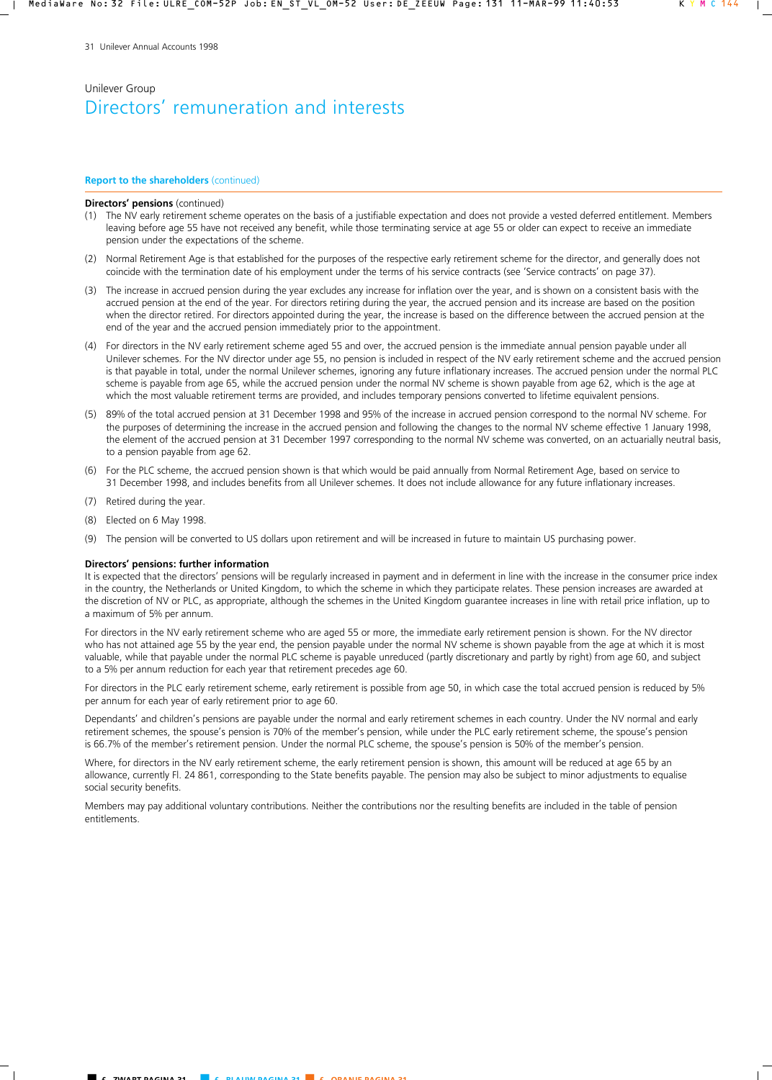#### **Report to the shareholders** (continued)

#### **Directors' pensions** (continued)

- (1) The NV early retirement scheme operates on the basis of a justifiable expectation and does not provide a vested deferred entitlement. Members leaving before age 55 have not received any benefit, while those terminating service at age 55 or older can expect to receive an immediate pension under the expectations of the scheme.
- (2) Normal Retirement Age is that established for the purposes of the respective early retirement scheme for the director, and generally does not coincide with the termination date of his employment under the terms of his service contracts (see 'Service contracts' on page 37).
- (3) The increase in accrued pension during the year excludes any increase for inflation over the year, and is shown on a consistent basis with the accrued pension at the end of the year. For directors retiring during the year, the accrued pension and its increase are based on the position when the director retired. For directors appointed during the year, the increase is based on the difference between the accrued pension at the end of the year and the accrued pension immediately prior to the appointment.
- (4) For directors in the NV early retirement scheme aged 55 and over, the accrued pension is the immediate annual pension payable under all Unilever schemes. For the NV director under age 55, no pension is included in respect of the NV early retirement scheme and the accrued pension is that payable in total, under the normal Unilever schemes, ignoring any future inflationary increases. The accrued pension under the normal PLC scheme is payable from age 65, while the accrued pension under the normal NV scheme is shown payable from age 62, which is the age at which the most valuable retirement terms are provided, and includes temporary pensions converted to lifetime equivalent pensions.
- (5) 89% of the total accrued pension at 31 December 1998 and 95% of the increase in accrued pension correspond to the normal NV scheme. For the purposes of determining the increase in the accrued pension and following the changes to the normal NV scheme effective 1 January 1998, the element of the accrued pension at 31 December 1997 corresponding to the normal NV scheme was converted, on an actuarially neutral basis, to a pension payable from age 62.
- (6) For the PLC scheme, the accrued pension shown is that which would be paid annually from Normal Retirement Age, based on service to 31 December 1998, and includes benefits from all Unilever schemes. It does not include allowance for any future inflationary increases.
- (7) Retired during the year.
- (8) Elected on 6 May 1998.
- (9) The pension will be converted to US dollars upon retirement and will be increased in future to maintain US purchasing power.

#### **Directors' pensions: further information**

It is expected that the directors' pensions will be regularly increased in payment and in deferment in line with the increase in the consumer price index in the country, the Netherlands or United Kingdom, to which the scheme in which they participate relates. These pension increases are awarded at the discretion of NV or PLC, as appropriate, although the schemes in the United Kingdom guarantee increases in line with retail price inflation, up to a maximum of 5% per annum.

For directors in the NV early retirement scheme who are aged 55 or more, the immediate early retirement pension is shown. For the NV director who has not attained age 55 by the year end, the pension payable under the normal NV scheme is shown payable from the age at which it is most valuable, while that payable under the normal PLC scheme is payable unreduced (partly discretionary and partly by right) from age 60, and subject to a 5% per annum reduction for each year that retirement precedes age 60.

For directors in the PLC early retirement scheme, early retirement is possible from age 50, in which case the total accrued pension is reduced by 5% per annum for each year of early retirement prior to age 60.

Dependants' and children's pensions are payable under the normal and early retirement schemes in each country. Under the NV normal and early retirement schemes, the spouse's pension is 70% of the member's pension, while under the PLC early retirement scheme, the spouse's pension is 66.7% of the member's retirement pension. Under the normal PLC scheme, the spouse's pension is 50% of the member's pension.

Where, for directors in the NV early retirement scheme, the early retirement pension is shown, this amount will be reduced at age 65 by an allowance, currently Fl. 24 861, corresponding to the State benefits payable. The pension may also be subject to minor adjustments to equalise social security benefits.

Members may pay additional voluntary contributions. Neither the contributions nor the resulting benefits are included in the table of pension entitlements.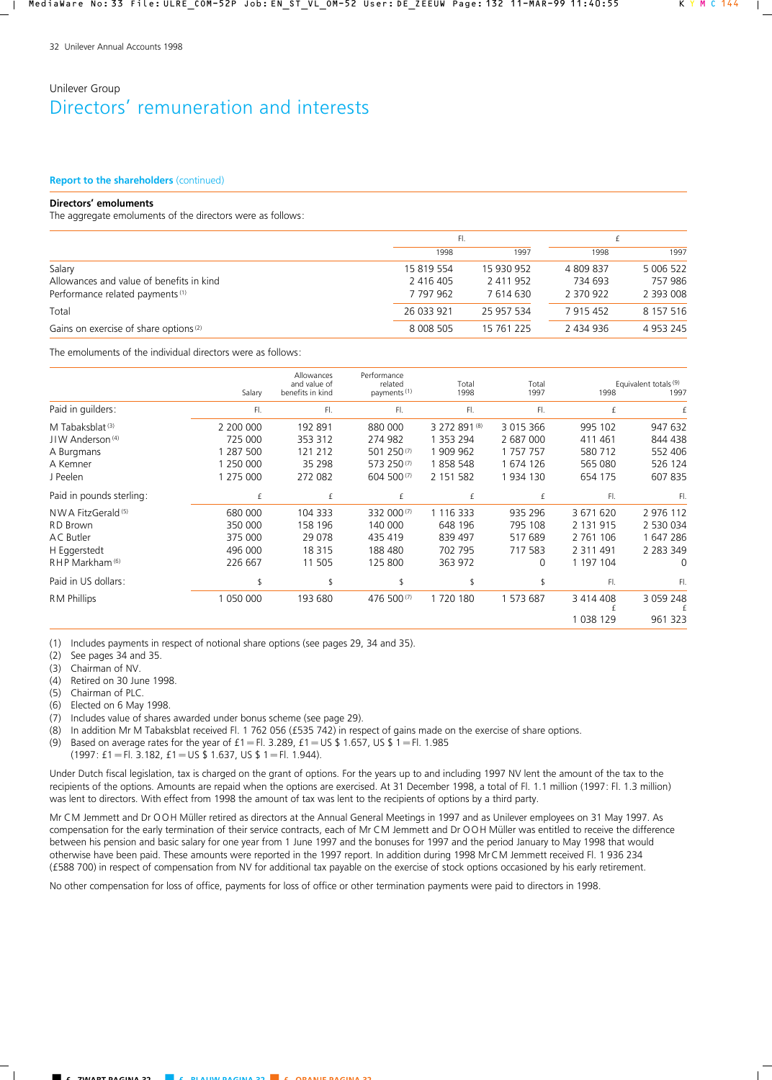#### **Report to the shareholders** (continued)

### **Directors' emoluments**

The aggregate emoluments of the directors were as follows:

|                                                   |                 | FI.        |           |               |  |
|---------------------------------------------------|-----------------|------------|-----------|---------------|--|
|                                                   | 1998            | 1997       | 1998      | 1997          |  |
| Salary                                            | 15 819 554      | 15 930 952 | 4809837   | 5 006 522     |  |
| Allowances and value of benefits in kind          | 2 416 405       | 2 411 952  | 734 693   | 757 986       |  |
| Performance related payments <sup>(1)</sup>       | 7 797 962       | 7614630    | 2 370 922 | 2 393 008     |  |
| Total                                             | 26 033 921      | 25 957 534 | 7 915 452 | 8 157 516     |  |
| Gains on exercise of share options <sup>(2)</sup> | 8 0 0 5 0 5 0 5 | 15 761 225 | 2 434 936 | 4 9 5 3 2 4 5 |  |

The emoluments of the individual directors were as follows:

|                               | Salary    | Allowances<br>and value of<br>benefits in kind | Performance<br>related<br>payments <sup>(1)</sup> | Total<br>1998 | Total<br>1997 | 1998           | Equivalent totals (9)<br>1997 |
|-------------------------------|-----------|------------------------------------------------|---------------------------------------------------|---------------|---------------|----------------|-------------------------------|
| Paid in guilders:             | FI.       | FI.                                            | FI.                                               | FI.           | FI.           | £              |                               |
| M Tabaksblat <sup>(3)</sup>   | 2 200 000 | 192 891                                        | 880 000                                           | 3 272 891 (8) | 3 015 366     | 995 102        | 947 632                       |
| JIW Anderson <sup>(4)</sup>   | 725 000   | 353 312                                        | 274 982                                           | 1 353 294     | 2 687 000     | 411 461        | 844 438                       |
| A Burgmans                    | 287 500   | 121 212                                        | 501 250(7)                                        | 1 909 962     | 1 757 757     | 580 712        | 552 406                       |
| A Kemner                      | 1 250 000 | 35 298                                         | 573 250(7)                                        | 1858 548      | 1 674 126     | 565 080        | 526 124                       |
| J Peelen                      | 1 275 000 | 272 082                                        | 604 500(7)                                        | 2 151 582     | 1934 130      | 654 175        | 607 835                       |
| Paid in pounds sterling:      | £         | £                                              | £                                                 | £             | £             | FI.            | FI.                           |
| NWA FitzGerald <sup>(5)</sup> | 680 000   | 104 333                                        | 332 000(7)                                        | 1 116 333     | 935 296       | 3 671 620      | 2 976 112                     |
| <b>RD</b> Brown               | 350 000   | 158 196                                        | 140 000                                           | 648 196       | 795 108       | 2 131 915      | 2 530 034                     |
| <b>AC</b> Butler              | 375 000   | 29 0 78                                        | 435 419                                           | 839 497       | 517 689       | 2 7 6 1<br>106 | 1 647 286                     |
| H Eggerstedt                  | 496 000   | 18 3 15                                        | 188 480                                           | 702 795       | 717 583       | 2 3 1 1 4 9 1  | 2 2 8 3 3 4 9                 |
| RHP Markham <sup>(6)</sup>    | 226 667   | 11 505                                         | 125 800                                           | 363 972       | 0             | 1 197 104      | 0                             |
| Paid in US dollars:           |           |                                                | \$                                                |               |               | FI.            | FI.                           |
| <b>RM Phillips</b>            | 1 050 000 | 193 680                                        | 476 500(7)                                        | 1720180       | 1 573 687     | 3 414 408      | 3 0 5 9 2 4 8                 |
|                               |           |                                                |                                                   |               |               | 1 038 129      | 961 323                       |

(1) Includes payments in respect of notional share options (see pages 29, 34 and 35).

(2) See pages 34 and 35.

(3) Chairman of NV.

(4) Retired on 30 June 1998.

(5) Chairman of PLC.

(6) Elected on 6 May 1998.

(7) Includes value of shares awarded under bonus scheme (see page 29).

(8) In addition Mr M Tabaksblat received Fl. 1 762 056 (£535 742) in respect of gains made on the exercise of share options.

(9) Based on average rates for the year of  $f1 = Fl. 3.289$ ,  $f1 = US $ 1.657$ , US  $I = Fl. 1.985$ 

 $(1997: f1 = F1. 3.182, f1 = US $ 1.637, US $ 1 = F1. 1.944).$ 

Under Dutch fiscal legislation, tax is charged on the grant of options. For the years up to and including 1997 NV lent the amount of the tax to the recipients of the options. Amounts are repaid when the options are exercised. At 31 December 1998, a total of Fl. 1.1 million (1997: Fl. 1.3 million) was lent to directors. With effect from 1998 the amount of tax was lent to the recipients of options by a third party.

Mr CM Jemmett and Dr OOH Müller retired as directors at the Annual General Meetings in 1997 and as Unilever employees on 31 May 1997. As compensation for the early termination of their service contracts, each of Mr CM Jemmett and Dr OOH Müller was entitled to receive the difference between his pension and basic salary for one year from 1 June 1997 and the bonuses for 1997 and the period January to May 1998 that would otherwise have been paid. These amounts were reported in the 1997 report. In addition during 1998 MrCM Jemmett received Fl. 1 936 234 (£588 700) in respect of compensation from NV for additional tax payable on the exercise of stock options occasioned by his early retirement.

No other compensation for loss of office, payments for loss of office or other termination payments were paid to directors in 1998.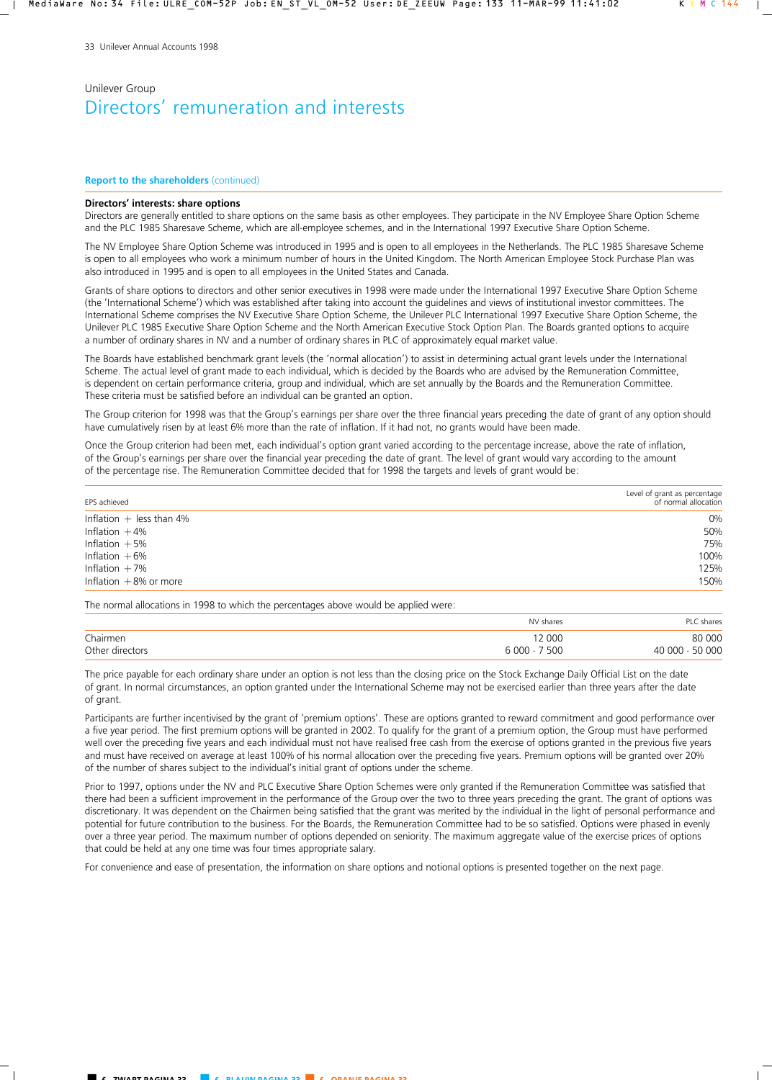#### **Report to the shareholders** (continued)

#### **Directors' interests: share options**

Directors are generally entitled to share options on the same basis as other employees. They participate in the NV Employee Share Option Scheme and the PLC 1985 Sharesave Scheme, which are all-employee schemes, and in the International 1997 Executive Share Option Scheme.

The NV Employee Share Option Scheme was introduced in 1995 and is open to all employees in the Netherlands. The PLC 1985 Sharesave Scheme is open to all employees who work a minimum number of hours in the United Kingdom. The North American Employee Stock Purchase Plan was also introduced in 1995 and is open to all employees in the United States and Canada.

Grants of share options to directors and other senior executives in 1998 were made under the International 1997 Executive Share Option Scheme (the 'International Scheme') which was established after taking into account the guidelines and views of institutional investor committees. The International Scheme comprises the NV Executive Share Option Scheme, the Unilever PLC International 1997 Executive Share Option Scheme, the Unilever PLC 1985 Executive Share Option Scheme and the North American Executive Stock Option Plan. The Boards granted options to acquire a number of ordinary shares in NV and a number of ordinary shares in PLC of approximately equal market value.

The Boards have established benchmark grant levels (the 'normal allocation') to assist in determining actual grant levels under the International Scheme. The actual level of grant made to each individual, which is decided by the Boards who are advised by the Remuneration Committee, is dependent on certain performance criteria, group and individual, which are set annually by the Boards and the Remuneration Committee. These criteria must be satisfied before an individual can be granted an option.

The Group criterion for 1998 was that the Group's earnings per share over the three financial years preceding the date of grant of any option should have cumulatively risen by at least 6% more than the rate of inflation. If it had not, no grants would have been made.

Once the Group criterion had been met, each individual's option grant varied according to the percentage increase, above the rate of inflation, of the Group's earnings per share over the financial year preceding the date of grant. The level of grant would vary according to the amount of the percentage rise. The Remuneration Committee decided that for 1998 the targets and levels of grant would be:

| EPS achieved               | Level of grant as percentage<br>of normal allocation |
|----------------------------|------------------------------------------------------|
| Inflation $+$ less than 4% | 0%                                                   |
| Inflation $+4%$            | 50%                                                  |
| Inflation $+5%$            | 75%                                                  |
| Inflation $+6%$            | 100%                                                 |
| Inflation $+7\%$           | 125%                                                 |
| Inflation $+8%$ or more    | 150%                                                 |

The normal allocations in 1998 to which the percentages above would be applied were:

|                 | NV shares     | PLC shares      |
|-----------------|---------------|-----------------|
| Chairmen        | 12 000        | 80 000          |
| Other directors | $6000 - 7500$ | 40 000 - 50 000 |

The price payable for each ordinary share under an option is not less than the closing price on the Stock Exchange Daily Official List on the date of grant. In normal circumstances, an option granted under the International Scheme may not be exercised earlier than three years after the date of grant.

Participants are further incentivised by the grant of 'premium options'. These are options granted to reward commitment and good performance over a five year period. The first premium options will be granted in 2002. To qualify for the grant of a premium option, the Group must have performed well over the preceding five years and each individual must not have realised free cash from the exercise of options granted in the previous five years and must have received on average at least 100% of his normal allocation over the preceding five years. Premium options will be granted over 20% of the number of shares subject to the individual's initial grant of options under the scheme.

Prior to 1997, options under the NV and PLC Executive Share Option Schemes were only granted if the Remuneration Committee was satisfied that there had been a sufficient improvement in the performance of the Group over the two to three years preceding the grant. The grant of options was discretionary. It was dependent on the Chairmen being satisfied that the grant was merited by the individual in the light of personal performance and potential for future contribution to the business. For the Boards, the Remuneration Committee had to be so satisfied. Options were phased in evenly over a three year period. The maximum number of options depended on seniority. The maximum aggregate value of the exercise prices of options that could be held at any one time was four times appropriate salary.

For convenience and ease of presentation, the information on share options and notional options is presented together on the next page.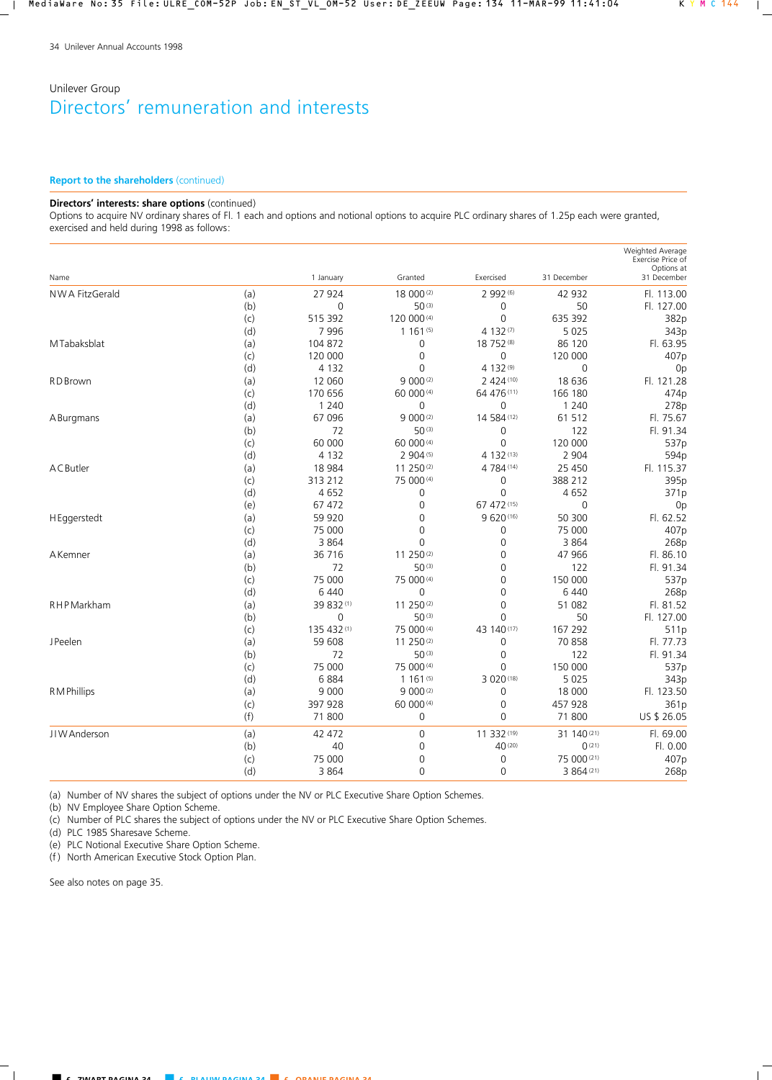### **Report to the shareholders** (continued)

#### **Directors' interests: share options** (continued)

Options to acquire NV ordinary shares of Fl. 1 each and options and notional options to acquire PLC ordinary shares of 1.25p each were granted, exercised and held during 1998 as follows:

| NWA FitzGerald<br>(a)<br>27 924<br>18 000(2)<br>2 992 (6)<br>42 932<br>Fl. 113.00<br>$50^{(3)}$<br>50<br>(b)<br>$\mathbf 0$<br>$\boldsymbol{0}$<br>Fl. 127.00<br>515 392<br>$\mathsf 0$<br>635 392<br>120 000 (4)<br>(c)<br>382p<br>5 0 2 5<br>7996<br>1161(5)<br>4 132 (7)<br>343p<br>(d)<br>18 752 (8)<br>M Tabaksblat<br>104 872<br>86 120<br>Fl. 63.95<br>(a)<br>0<br>(c)<br>120 000<br>$\mathbf 0$<br>0<br>120 000<br>407p<br>4 132 (9)<br>(d)<br>4 1 3 2<br>$\mathbf 0$<br>$\mathbf 0$<br>0 <sub>p</sub><br>12 060<br>9 000(2)<br>2 424 (10)<br>18 636<br>Fl. 121.28<br>RD Brown<br>(a)<br>(c)<br>170 656<br>60 000 (4)<br>64 476 (11)<br>166 180<br>474p<br>(d)<br>1 2 4 0<br>$\mathbf 0$<br>0<br>1 2 4 0<br>278p<br>$9000^{(2)}$<br>14 584 (12)<br>61 512<br>67 096<br>Fl. 75.67<br>(a)<br>A Burgmans<br>72<br>122<br>Fl. 91.34<br>(b)<br>50(3)<br>0<br>120 000<br>(c)<br>60 000<br>60 000 (4)<br>$\mathbf 0$<br>537p<br>(d)<br>4 1 3 2<br>2 904 (5)<br>4 132 (13)<br>2 9 0 4<br>594p<br>ACButler<br>18 9 84<br>11 250(2)<br>4 784 (14)<br>25 4 50<br>Fl. 115.37<br>(a)<br>313 212<br>75 000 (4)<br>395p<br>(c)<br>0<br>388 212<br>(d)<br>4 6 5 2<br>0<br>4652<br>0<br>371p<br>67 472 (15)<br>67 472<br>$\mathbf 0$<br>(e)<br>0<br>0 <sub>p</sub><br>59 9 20<br>$\Omega$<br>9 620 (16)<br>50 300<br>Fl. 62.52<br>H Eggerstedt<br>(a)<br>75 000<br>75 000<br>(c)<br>0<br>0<br>407p<br>(d)<br>3 8 6 4<br>$\mathbf 0$<br>3 8 6 4<br>0<br>268p<br>36 716<br>11 250(2)<br>47 966<br>Fl. 86.10<br>AKemner<br>(a)<br>0<br>72<br>50(3)<br>122<br>(b)<br>0<br>Fl. 91.34<br>75 000<br>150 000<br>(c)<br>75 000 (4)<br>0<br>(d)<br>6 4 4 0<br>0<br>$\overline{0}$<br>6 4 4 0<br><b>RHP</b> Markham<br>39 832 (1)<br>11 250(2)<br>$\overline{0}$<br>51 082<br>(a)<br>$\mathbf 0$<br>$50^{(3)}$<br>50<br>(b)<br>0<br>135 432 (1)<br>75 000 (4)<br>43 140 (17)<br>167 292<br>(c)<br>59 608<br>11 250(2)<br>0<br>70 858<br><b>JPeelen</b><br>(a)<br>(b)<br>72<br>50(3)<br>0<br>122<br>150 000<br>(c)<br>75 000<br>75 000 (4)<br>0<br>(d)<br>6884<br>1161(5)<br>3 020 (18)<br>5 0 2 5<br>R M Phillips<br>9 0 0 0<br>9 000(2)<br>18 000<br>(a)<br>0<br>397 928<br>60 000 (4)<br>(c)<br>0<br>457 928<br>(f)<br>71 800<br>$\mathbf 0$<br>$\Omega$<br>71 800<br>11 332 (19)<br>31 140 (21)<br>JIW Anderson<br>(a)<br>42 472<br>$\mathbf 0$<br>Fl. 69.00<br>(b)<br>40<br>40 (20)<br>0(21)<br>Fl. 0.00<br>0<br>75 000<br>0<br>0<br>75 000 (21)<br>(c)<br>407p | Name |     | 1 January | Granted | Exercised | 31 December | Weighted Average<br>Exercise Price of<br>Options at<br>31 December |
|-------------------------------------------------------------------------------------------------------------------------------------------------------------------------------------------------------------------------------------------------------------------------------------------------------------------------------------------------------------------------------------------------------------------------------------------------------------------------------------------------------------------------------------------------------------------------------------------------------------------------------------------------------------------------------------------------------------------------------------------------------------------------------------------------------------------------------------------------------------------------------------------------------------------------------------------------------------------------------------------------------------------------------------------------------------------------------------------------------------------------------------------------------------------------------------------------------------------------------------------------------------------------------------------------------------------------------------------------------------------------------------------------------------------------------------------------------------------------------------------------------------------------------------------------------------------------------------------------------------------------------------------------------------------------------------------------------------------------------------------------------------------------------------------------------------------------------------------------------------------------------------------------------------------------------------------------------------------------------------------------------------------------------------------------------------------------------------------------------------------------------------------------------------------------------------------------------------------------------------------------------------------------------------------------------------------------------------------------------------------------------------------------------------------------------------------------|------|-----|-----------|---------|-----------|-------------|--------------------------------------------------------------------|
|                                                                                                                                                                                                                                                                                                                                                                                                                                                                                                                                                                                                                                                                                                                                                                                                                                                                                                                                                                                                                                                                                                                                                                                                                                                                                                                                                                                                                                                                                                                                                                                                                                                                                                                                                                                                                                                                                                                                                                                                                                                                                                                                                                                                                                                                                                                                                                                                                                                 |      |     |           |         |           |             |                                                                    |
|                                                                                                                                                                                                                                                                                                                                                                                                                                                                                                                                                                                                                                                                                                                                                                                                                                                                                                                                                                                                                                                                                                                                                                                                                                                                                                                                                                                                                                                                                                                                                                                                                                                                                                                                                                                                                                                                                                                                                                                                                                                                                                                                                                                                                                                                                                                                                                                                                                                 |      |     |           |         |           |             |                                                                    |
|                                                                                                                                                                                                                                                                                                                                                                                                                                                                                                                                                                                                                                                                                                                                                                                                                                                                                                                                                                                                                                                                                                                                                                                                                                                                                                                                                                                                                                                                                                                                                                                                                                                                                                                                                                                                                                                                                                                                                                                                                                                                                                                                                                                                                                                                                                                                                                                                                                                 |      |     |           |         |           |             |                                                                    |
|                                                                                                                                                                                                                                                                                                                                                                                                                                                                                                                                                                                                                                                                                                                                                                                                                                                                                                                                                                                                                                                                                                                                                                                                                                                                                                                                                                                                                                                                                                                                                                                                                                                                                                                                                                                                                                                                                                                                                                                                                                                                                                                                                                                                                                                                                                                                                                                                                                                 |      |     |           |         |           |             |                                                                    |
|                                                                                                                                                                                                                                                                                                                                                                                                                                                                                                                                                                                                                                                                                                                                                                                                                                                                                                                                                                                                                                                                                                                                                                                                                                                                                                                                                                                                                                                                                                                                                                                                                                                                                                                                                                                                                                                                                                                                                                                                                                                                                                                                                                                                                                                                                                                                                                                                                                                 |      |     |           |         |           |             |                                                                    |
|                                                                                                                                                                                                                                                                                                                                                                                                                                                                                                                                                                                                                                                                                                                                                                                                                                                                                                                                                                                                                                                                                                                                                                                                                                                                                                                                                                                                                                                                                                                                                                                                                                                                                                                                                                                                                                                                                                                                                                                                                                                                                                                                                                                                                                                                                                                                                                                                                                                 |      |     |           |         |           |             |                                                                    |
|                                                                                                                                                                                                                                                                                                                                                                                                                                                                                                                                                                                                                                                                                                                                                                                                                                                                                                                                                                                                                                                                                                                                                                                                                                                                                                                                                                                                                                                                                                                                                                                                                                                                                                                                                                                                                                                                                                                                                                                                                                                                                                                                                                                                                                                                                                                                                                                                                                                 |      |     |           |         |           |             |                                                                    |
|                                                                                                                                                                                                                                                                                                                                                                                                                                                                                                                                                                                                                                                                                                                                                                                                                                                                                                                                                                                                                                                                                                                                                                                                                                                                                                                                                                                                                                                                                                                                                                                                                                                                                                                                                                                                                                                                                                                                                                                                                                                                                                                                                                                                                                                                                                                                                                                                                                                 |      |     |           |         |           |             |                                                                    |
|                                                                                                                                                                                                                                                                                                                                                                                                                                                                                                                                                                                                                                                                                                                                                                                                                                                                                                                                                                                                                                                                                                                                                                                                                                                                                                                                                                                                                                                                                                                                                                                                                                                                                                                                                                                                                                                                                                                                                                                                                                                                                                                                                                                                                                                                                                                                                                                                                                                 |      |     |           |         |           |             |                                                                    |
|                                                                                                                                                                                                                                                                                                                                                                                                                                                                                                                                                                                                                                                                                                                                                                                                                                                                                                                                                                                                                                                                                                                                                                                                                                                                                                                                                                                                                                                                                                                                                                                                                                                                                                                                                                                                                                                                                                                                                                                                                                                                                                                                                                                                                                                                                                                                                                                                                                                 |      |     |           |         |           |             |                                                                    |
|                                                                                                                                                                                                                                                                                                                                                                                                                                                                                                                                                                                                                                                                                                                                                                                                                                                                                                                                                                                                                                                                                                                                                                                                                                                                                                                                                                                                                                                                                                                                                                                                                                                                                                                                                                                                                                                                                                                                                                                                                                                                                                                                                                                                                                                                                                                                                                                                                                                 |      |     |           |         |           |             |                                                                    |
|                                                                                                                                                                                                                                                                                                                                                                                                                                                                                                                                                                                                                                                                                                                                                                                                                                                                                                                                                                                                                                                                                                                                                                                                                                                                                                                                                                                                                                                                                                                                                                                                                                                                                                                                                                                                                                                                                                                                                                                                                                                                                                                                                                                                                                                                                                                                                                                                                                                 |      |     |           |         |           |             |                                                                    |
|                                                                                                                                                                                                                                                                                                                                                                                                                                                                                                                                                                                                                                                                                                                                                                                                                                                                                                                                                                                                                                                                                                                                                                                                                                                                                                                                                                                                                                                                                                                                                                                                                                                                                                                                                                                                                                                                                                                                                                                                                                                                                                                                                                                                                                                                                                                                                                                                                                                 |      |     |           |         |           |             |                                                                    |
|                                                                                                                                                                                                                                                                                                                                                                                                                                                                                                                                                                                                                                                                                                                                                                                                                                                                                                                                                                                                                                                                                                                                                                                                                                                                                                                                                                                                                                                                                                                                                                                                                                                                                                                                                                                                                                                                                                                                                                                                                                                                                                                                                                                                                                                                                                                                                                                                                                                 |      |     |           |         |           |             |                                                                    |
|                                                                                                                                                                                                                                                                                                                                                                                                                                                                                                                                                                                                                                                                                                                                                                                                                                                                                                                                                                                                                                                                                                                                                                                                                                                                                                                                                                                                                                                                                                                                                                                                                                                                                                                                                                                                                                                                                                                                                                                                                                                                                                                                                                                                                                                                                                                                                                                                                                                 |      |     |           |         |           |             |                                                                    |
|                                                                                                                                                                                                                                                                                                                                                                                                                                                                                                                                                                                                                                                                                                                                                                                                                                                                                                                                                                                                                                                                                                                                                                                                                                                                                                                                                                                                                                                                                                                                                                                                                                                                                                                                                                                                                                                                                                                                                                                                                                                                                                                                                                                                                                                                                                                                                                                                                                                 |      |     |           |         |           |             |                                                                    |
|                                                                                                                                                                                                                                                                                                                                                                                                                                                                                                                                                                                                                                                                                                                                                                                                                                                                                                                                                                                                                                                                                                                                                                                                                                                                                                                                                                                                                                                                                                                                                                                                                                                                                                                                                                                                                                                                                                                                                                                                                                                                                                                                                                                                                                                                                                                                                                                                                                                 |      |     |           |         |           |             |                                                                    |
|                                                                                                                                                                                                                                                                                                                                                                                                                                                                                                                                                                                                                                                                                                                                                                                                                                                                                                                                                                                                                                                                                                                                                                                                                                                                                                                                                                                                                                                                                                                                                                                                                                                                                                                                                                                                                                                                                                                                                                                                                                                                                                                                                                                                                                                                                                                                                                                                                                                 |      |     |           |         |           |             |                                                                    |
|                                                                                                                                                                                                                                                                                                                                                                                                                                                                                                                                                                                                                                                                                                                                                                                                                                                                                                                                                                                                                                                                                                                                                                                                                                                                                                                                                                                                                                                                                                                                                                                                                                                                                                                                                                                                                                                                                                                                                                                                                                                                                                                                                                                                                                                                                                                                                                                                                                                 |      |     |           |         |           |             |                                                                    |
|                                                                                                                                                                                                                                                                                                                                                                                                                                                                                                                                                                                                                                                                                                                                                                                                                                                                                                                                                                                                                                                                                                                                                                                                                                                                                                                                                                                                                                                                                                                                                                                                                                                                                                                                                                                                                                                                                                                                                                                                                                                                                                                                                                                                                                                                                                                                                                                                                                                 |      |     |           |         |           |             |                                                                    |
|                                                                                                                                                                                                                                                                                                                                                                                                                                                                                                                                                                                                                                                                                                                                                                                                                                                                                                                                                                                                                                                                                                                                                                                                                                                                                                                                                                                                                                                                                                                                                                                                                                                                                                                                                                                                                                                                                                                                                                                                                                                                                                                                                                                                                                                                                                                                                                                                                                                 |      |     |           |         |           |             |                                                                    |
|                                                                                                                                                                                                                                                                                                                                                                                                                                                                                                                                                                                                                                                                                                                                                                                                                                                                                                                                                                                                                                                                                                                                                                                                                                                                                                                                                                                                                                                                                                                                                                                                                                                                                                                                                                                                                                                                                                                                                                                                                                                                                                                                                                                                                                                                                                                                                                                                                                                 |      |     |           |         |           |             |                                                                    |
|                                                                                                                                                                                                                                                                                                                                                                                                                                                                                                                                                                                                                                                                                                                                                                                                                                                                                                                                                                                                                                                                                                                                                                                                                                                                                                                                                                                                                                                                                                                                                                                                                                                                                                                                                                                                                                                                                                                                                                                                                                                                                                                                                                                                                                                                                                                                                                                                                                                 |      |     |           |         |           |             |                                                                    |
|                                                                                                                                                                                                                                                                                                                                                                                                                                                                                                                                                                                                                                                                                                                                                                                                                                                                                                                                                                                                                                                                                                                                                                                                                                                                                                                                                                                                                                                                                                                                                                                                                                                                                                                                                                                                                                                                                                                                                                                                                                                                                                                                                                                                                                                                                                                                                                                                                                                 |      |     |           |         |           |             |                                                                    |
|                                                                                                                                                                                                                                                                                                                                                                                                                                                                                                                                                                                                                                                                                                                                                                                                                                                                                                                                                                                                                                                                                                                                                                                                                                                                                                                                                                                                                                                                                                                                                                                                                                                                                                                                                                                                                                                                                                                                                                                                                                                                                                                                                                                                                                                                                                                                                                                                                                                 |      |     |           |         |           |             | 537p                                                               |
|                                                                                                                                                                                                                                                                                                                                                                                                                                                                                                                                                                                                                                                                                                                                                                                                                                                                                                                                                                                                                                                                                                                                                                                                                                                                                                                                                                                                                                                                                                                                                                                                                                                                                                                                                                                                                                                                                                                                                                                                                                                                                                                                                                                                                                                                                                                                                                                                                                                 |      |     |           |         |           |             | 268p                                                               |
|                                                                                                                                                                                                                                                                                                                                                                                                                                                                                                                                                                                                                                                                                                                                                                                                                                                                                                                                                                                                                                                                                                                                                                                                                                                                                                                                                                                                                                                                                                                                                                                                                                                                                                                                                                                                                                                                                                                                                                                                                                                                                                                                                                                                                                                                                                                                                                                                                                                 |      |     |           |         |           |             | Fl. 81.52                                                          |
|                                                                                                                                                                                                                                                                                                                                                                                                                                                                                                                                                                                                                                                                                                                                                                                                                                                                                                                                                                                                                                                                                                                                                                                                                                                                                                                                                                                                                                                                                                                                                                                                                                                                                                                                                                                                                                                                                                                                                                                                                                                                                                                                                                                                                                                                                                                                                                                                                                                 |      |     |           |         |           |             | Fl. 127.00                                                         |
|                                                                                                                                                                                                                                                                                                                                                                                                                                                                                                                                                                                                                                                                                                                                                                                                                                                                                                                                                                                                                                                                                                                                                                                                                                                                                                                                                                                                                                                                                                                                                                                                                                                                                                                                                                                                                                                                                                                                                                                                                                                                                                                                                                                                                                                                                                                                                                                                                                                 |      |     |           |         |           |             | 511p                                                               |
|                                                                                                                                                                                                                                                                                                                                                                                                                                                                                                                                                                                                                                                                                                                                                                                                                                                                                                                                                                                                                                                                                                                                                                                                                                                                                                                                                                                                                                                                                                                                                                                                                                                                                                                                                                                                                                                                                                                                                                                                                                                                                                                                                                                                                                                                                                                                                                                                                                                 |      |     |           |         |           |             | Fl. 77.73                                                          |
|                                                                                                                                                                                                                                                                                                                                                                                                                                                                                                                                                                                                                                                                                                                                                                                                                                                                                                                                                                                                                                                                                                                                                                                                                                                                                                                                                                                                                                                                                                                                                                                                                                                                                                                                                                                                                                                                                                                                                                                                                                                                                                                                                                                                                                                                                                                                                                                                                                                 |      |     |           |         |           |             | Fl. 91.34                                                          |
|                                                                                                                                                                                                                                                                                                                                                                                                                                                                                                                                                                                                                                                                                                                                                                                                                                                                                                                                                                                                                                                                                                                                                                                                                                                                                                                                                                                                                                                                                                                                                                                                                                                                                                                                                                                                                                                                                                                                                                                                                                                                                                                                                                                                                                                                                                                                                                                                                                                 |      |     |           |         |           |             | 537p                                                               |
|                                                                                                                                                                                                                                                                                                                                                                                                                                                                                                                                                                                                                                                                                                                                                                                                                                                                                                                                                                                                                                                                                                                                                                                                                                                                                                                                                                                                                                                                                                                                                                                                                                                                                                                                                                                                                                                                                                                                                                                                                                                                                                                                                                                                                                                                                                                                                                                                                                                 |      |     |           |         |           |             | 343p                                                               |
|                                                                                                                                                                                                                                                                                                                                                                                                                                                                                                                                                                                                                                                                                                                                                                                                                                                                                                                                                                                                                                                                                                                                                                                                                                                                                                                                                                                                                                                                                                                                                                                                                                                                                                                                                                                                                                                                                                                                                                                                                                                                                                                                                                                                                                                                                                                                                                                                                                                 |      |     |           |         |           |             | Fl. 123.50                                                         |
|                                                                                                                                                                                                                                                                                                                                                                                                                                                                                                                                                                                                                                                                                                                                                                                                                                                                                                                                                                                                                                                                                                                                                                                                                                                                                                                                                                                                                                                                                                                                                                                                                                                                                                                                                                                                                                                                                                                                                                                                                                                                                                                                                                                                                                                                                                                                                                                                                                                 |      |     |           |         |           |             | 361p                                                               |
|                                                                                                                                                                                                                                                                                                                                                                                                                                                                                                                                                                                                                                                                                                                                                                                                                                                                                                                                                                                                                                                                                                                                                                                                                                                                                                                                                                                                                                                                                                                                                                                                                                                                                                                                                                                                                                                                                                                                                                                                                                                                                                                                                                                                                                                                                                                                                                                                                                                 |      |     |           |         |           |             | US \$ 26.05                                                        |
|                                                                                                                                                                                                                                                                                                                                                                                                                                                                                                                                                                                                                                                                                                                                                                                                                                                                                                                                                                                                                                                                                                                                                                                                                                                                                                                                                                                                                                                                                                                                                                                                                                                                                                                                                                                                                                                                                                                                                                                                                                                                                                                                                                                                                                                                                                                                                                                                                                                 |      |     |           |         |           |             |                                                                    |
|                                                                                                                                                                                                                                                                                                                                                                                                                                                                                                                                                                                                                                                                                                                                                                                                                                                                                                                                                                                                                                                                                                                                                                                                                                                                                                                                                                                                                                                                                                                                                                                                                                                                                                                                                                                                                                                                                                                                                                                                                                                                                                                                                                                                                                                                                                                                                                                                                                                 |      |     |           |         |           |             |                                                                    |
|                                                                                                                                                                                                                                                                                                                                                                                                                                                                                                                                                                                                                                                                                                                                                                                                                                                                                                                                                                                                                                                                                                                                                                                                                                                                                                                                                                                                                                                                                                                                                                                                                                                                                                                                                                                                                                                                                                                                                                                                                                                                                                                                                                                                                                                                                                                                                                                                                                                 |      |     |           |         |           |             |                                                                    |
|                                                                                                                                                                                                                                                                                                                                                                                                                                                                                                                                                                                                                                                                                                                                                                                                                                                                                                                                                                                                                                                                                                                                                                                                                                                                                                                                                                                                                                                                                                                                                                                                                                                                                                                                                                                                                                                                                                                                                                                                                                                                                                                                                                                                                                                                                                                                                                                                                                                 |      | (d) | 3 8 6 4   | 0       | 0         | 3 864 (21)  | 268p                                                               |

(a) Number of NV shares the subject of options under the NV or PLC Executive Share Option Schemes.

(b) NV Employee Share Option Scheme.

(c) Number of PLC shares the subject of options under the NV or PLC Executive Share Option Schemes.

(d) PLC 1985 Sharesave Scheme.

(e) PLC Notional Executive Share Option Scheme.

(f) North American Executive Stock Option Plan.

See also notes on page 35.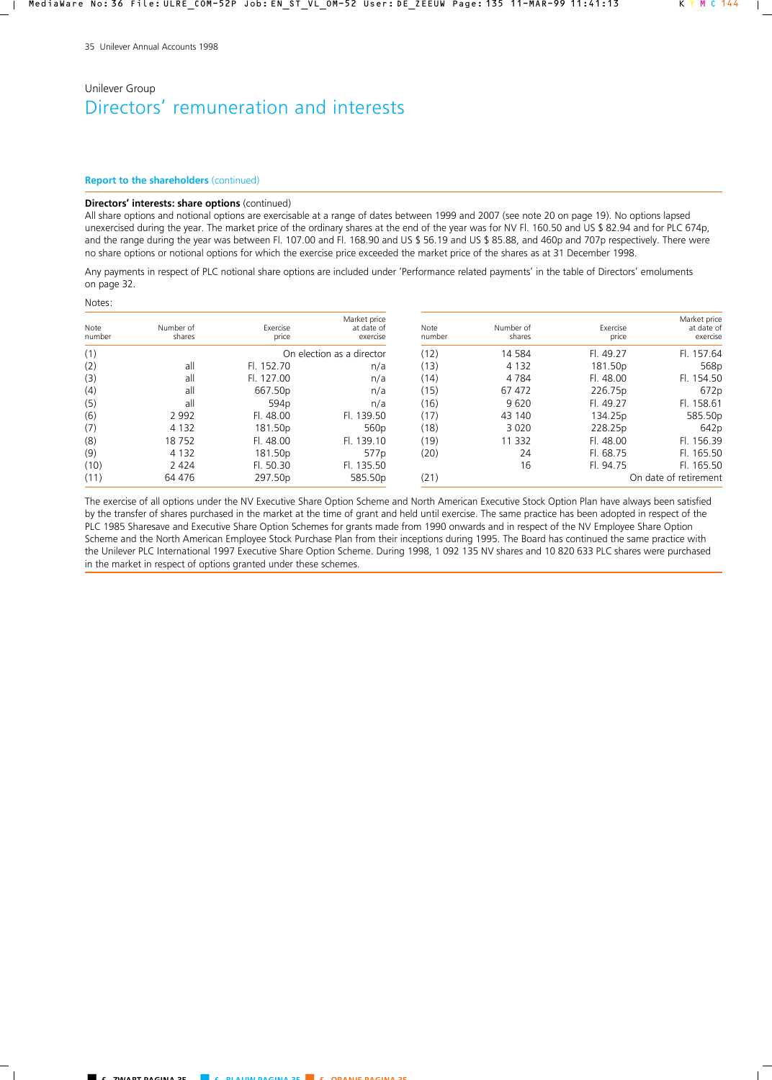#### **Report to the shareholders** (continued)

### **Directors' interests: share options** (continued)

All share options and notional options are exercisable at a range of dates between 1999 and 2007 (see note 20 on page 19). No options lapsed unexercised during the year. The market price of the ordinary shares at the end of the year was for NV Fl. 160.50 and US \$ 82.94 and for PLC 674p, and the range during the year was between Fl. 107.00 and Fl. 168.90 and US \$ 56.19 and US \$ 85.88, and 460p and 707p respectively. There were no share options or notional options for which the exercise price exceeded the market price of the shares as at 31 December 1998.

Any payments in respect of PLC notional share options are included under 'Performance related payments' in the table of Directors' emoluments on page 32.

#### Notes:

| Note<br>number | Number of<br>shares | Exercise<br>price | Market price<br>at date of<br>exercise | Note<br>number | Number of<br>shares | Exercise<br>price | Market price<br>at date of<br>exercise |
|----------------|---------------------|-------------------|----------------------------------------|----------------|---------------------|-------------------|----------------------------------------|
| (1)            |                     |                   | On election as a director              | (12)           | 14 5 84             | Fl. 49.27         | Fl. 157.64                             |
| (2)            | all                 | Fl. 152.70        | n/a                                    | (13)           | 4 1 3 2             | 181.50p           | 568p                                   |
| (3)            | all                 | Fl. 127.00        | n/a                                    | (14)           | 4 7 8 4             | Fl. 48.00         | Fl. 154.50                             |
| (4)            | all                 | 667.50p           | n/a                                    | (15)           | 67 472              | 226.75p           | 672p                                   |
| (5)            | all                 | 594 <sub>p</sub>  | n/a                                    | (16)           | 9620                | Fl. 49.27         | Fl. 158.61                             |
| (6)            | 2 9 9 2             | Fl. 48.00         | Fl. 139.50                             | (17)           | 43 140              | 134.25p           | 585.50p                                |
| (7)            | 4 1 3 2             | 181.50p           | 560 <sub>p</sub>                       | (18)           | 3 0 2 0             | 228.25p           | 642p                                   |
| (8)            | 18752               | Fl. 48.00         | Fl. 139.10                             | (19)           | 11 3 32             | Fl. 48.00         | Fl. 156.39                             |
| (9)            | 4 1 3 2             | 181.50p           | 577 <sub>p</sub>                       | (20)           | 24                  | FL 68.75          | Fl. 165.50                             |
| (10)           | 2 4 2 4             | Fl. 50.30         | Fl. 135.50                             |                | 16                  | Fl. 94.75         | Fl. 165.50                             |
| (11)           | 64 476              | 297.50p           | 585.50p                                | (21)           |                     |                   | On date of retirement                  |

The exercise of all options under the NV Executive Share Option Scheme and North American Executive Stock Option Plan have always been satisfied by the transfer of shares purchased in the market at the time of grant and held until exercise. The same practice has been adopted in respect of the PLC 1985 Sharesave and Executive Share Option Schemes for grants made from 1990 onwards and in respect of the NV Employee Share Option Scheme and the North American Employee Stock Purchase Plan from their inceptions during 1995. The Board has continued the same practice with the Unilever PLC International 1997 Executive Share Option Scheme. During 1998, 1 092 135 NV shares and 10 820 633 PLC shares were purchased in the market in respect of options granted under these schemes.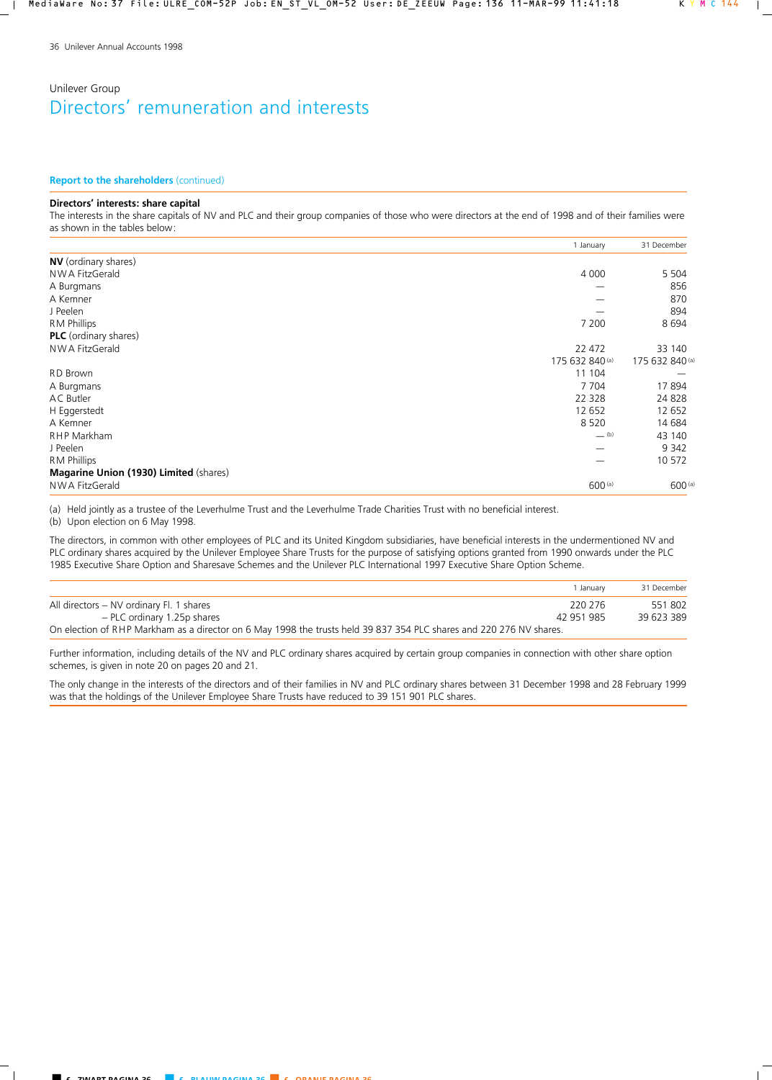#### **Report to the shareholders** (continued)

### **Directors' interests: share capital**

The interests in the share capitals of NV and PLC and their group companies of those who were directors at the end of 1998 and of their families were as shown in the tables below:

|                                        | 1 January                      | 31 December     |
|----------------------------------------|--------------------------------|-----------------|
| <b>NV</b> (ordinary shares)            |                                |                 |
| NWA FitzGerald                         | 4 0 0 0                        | 5 5 0 4         |
| A Burgmans                             |                                | 856             |
| A Kemner                               |                                | 870             |
| J Peelen                               |                                | 894             |
| <b>RM Phillips</b>                     | 7 200                          | 8694            |
| <b>PLC</b> (ordinary shares)           |                                |                 |
| NWA FitzGerald                         | 22 472                         | 33 140          |
|                                        | 175 632 840 (a)                | 175 632 840 (a) |
| RD Brown                               | 11 104                         |                 |
| A Burgmans                             | 7 7 0 4                        | 17894           |
| AC Butler                              | 22 3 28                        | 24 8 28         |
| H Eggerstedt                           | 12 652                         | 12 652          |
| A Kemner                               | 8 5 2 0                        | 14 684          |
| <b>RHP Markham</b>                     | $\underline{\hspace{1cm}}$ (b) | 43 140          |
| J Peelen                               |                                | 9 3 4 2         |
| <b>RM Phillips</b>                     |                                | 10 572          |
| Magarine Union (1930) Limited (shares) |                                |                 |
| NWA FitzGerald                         | $600$ (a)                      | 600 (a)         |

(a) Held jointly as a trustee of the Leverhulme Trust and the Leverhulme Trade Charities Trust with no beneficial interest.

(b) Upon election on 6 May 1998.

The directors, in common with other employees of PLC and its United Kingdom subsidiaries, have beneficial interests in the undermentioned NV and PLC ordinary shares acquired by the Unilever Employee Share Trusts for the purpose of satisfying options granted from 1990 onwards under the PLC 1985 Executive Share Option and Sharesave Schemes and the Unilever PLC International 1997 Executive Share Option Scheme.

|                                                                                                                     | Januarv    | 31 December |
|---------------------------------------------------------------------------------------------------------------------|------------|-------------|
| All directors – NV ordinary Fl. 1 shares                                                                            | -220 276   | 551802      |
| - PLC ordinary 1.25p shares                                                                                         | 42 951 985 | 39 623 389  |
| On election of RHP Markham as a director on 6 May 1998 the trusts held 39 837 354 PLC shares and 220 276 NV shares. |            |             |

Further information, including details of the NV and PLC ordinary shares acquired by certain group companies in connection with other share option schemes, is given in note 20 on pages 20 and 21.

The only change in the interests of the directors and of their families in NV and PLC ordinary shares between 31 December 1998 and 28 February 1999 was that the holdings of the Unilever Employee Share Trusts have reduced to 39 151 901 PLC shares.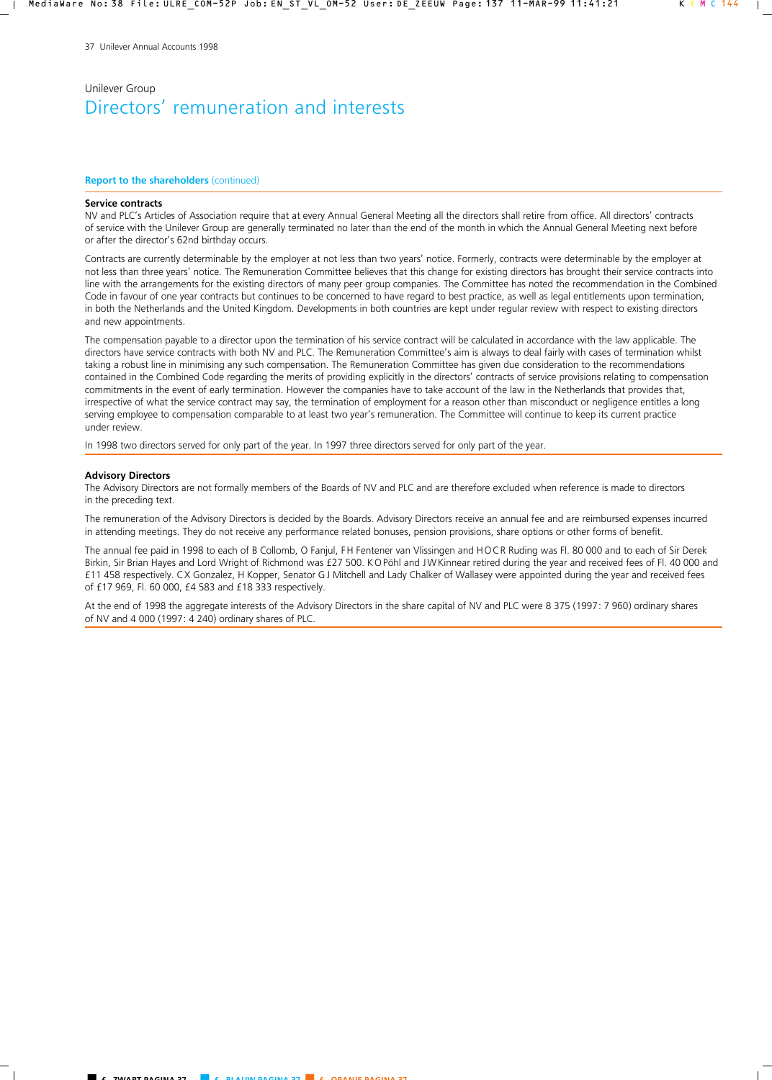#### **Report to the shareholders** (continued)

#### **Service contracts**

NV and PLC's Articles of Association require that at every Annual General Meeting all the directors shall retire from office. All directors' contracts of service with the Unilever Group are generally terminated no later than the end of the month in which the Annual General Meeting next before or after the director's 62nd birthday occurs.

Contracts are currently determinable by the employer at not less than two years' notice. Formerly, contracts were determinable by the employer at not less than three years' notice. The Remuneration Committee believes that this change for existing directors has brought their service contracts into line with the arrangements for the existing directors of many peer group companies. The Committee has noted the recommendation in the Combined Code in favour of one year contracts but continues to be concerned to have regard to best practice, as well as legal entitlements upon termination, in both the Netherlands and the United Kingdom. Developments in both countries are kept under regular review with respect to existing directors and new appointments.

The compensation payable to a director upon the termination of his service contract will be calculated in accordance with the law applicable. The directors have service contracts with both NV and PLC. The Remuneration Committee's aim is always to deal fairly with cases of termination whilst taking a robust line in minimising any such compensation. The Remuneration Committee has given due consideration to the recommendations contained in the Combined Code regarding the merits of providing explicitly in the directors' contracts of service provisions relating to compensation commitments in the event of early termination. However the companies have to take account of the law in the Netherlands that provides that, irrespective of what the service contract may say, the termination of employment for a reason other than misconduct or negligence entitles a long serving employee to compensation comparable to at least two year's remuneration. The Committee will continue to keep its current practice under review.

In 1998 two directors served for only part of the year. In 1997 three directors served for only part of the year.

#### **Advisory Directors**

The Advisory Directors are not formally members of the Boards of NV and PLC and are therefore excluded when reference is made to directors in the preceding text.

The remuneration of the Advisory Directors is decided by the Boards. Advisory Directors receive an annual fee and are reimbursed expenses incurred in attending meetings. They do not receive any performance related bonuses, pension provisions, share options or other forms of benefit.

The annual fee paid in 1998 to each of B Collomb, O Fanjul, FH Fentener van Vlissingen and HOCR Ruding was Fl. 80 000 and to each of Sir Derek Birkin, Sir Brian Hayes and Lord Wright of Richmond was £27 500. KOPöhl and JWKinnear retired during the year and received fees of Fl. 40 000 and £11 458 respectively. CX Gonzalez, H Kopper, Senator GJ Mitchell and Lady Chalker of Wallasey were appointed during the year and received fees of £17 969, Fl. 60 000, £4 583 and £18 333 respectively.

At the end of 1998 the aggregate interests of the Advisory Directors in the share capital of NV and PLC were 8 375 (1997: 7 960) ordinary shares of NV and 4 000 (1997: 4 240) ordinary shares of PLC.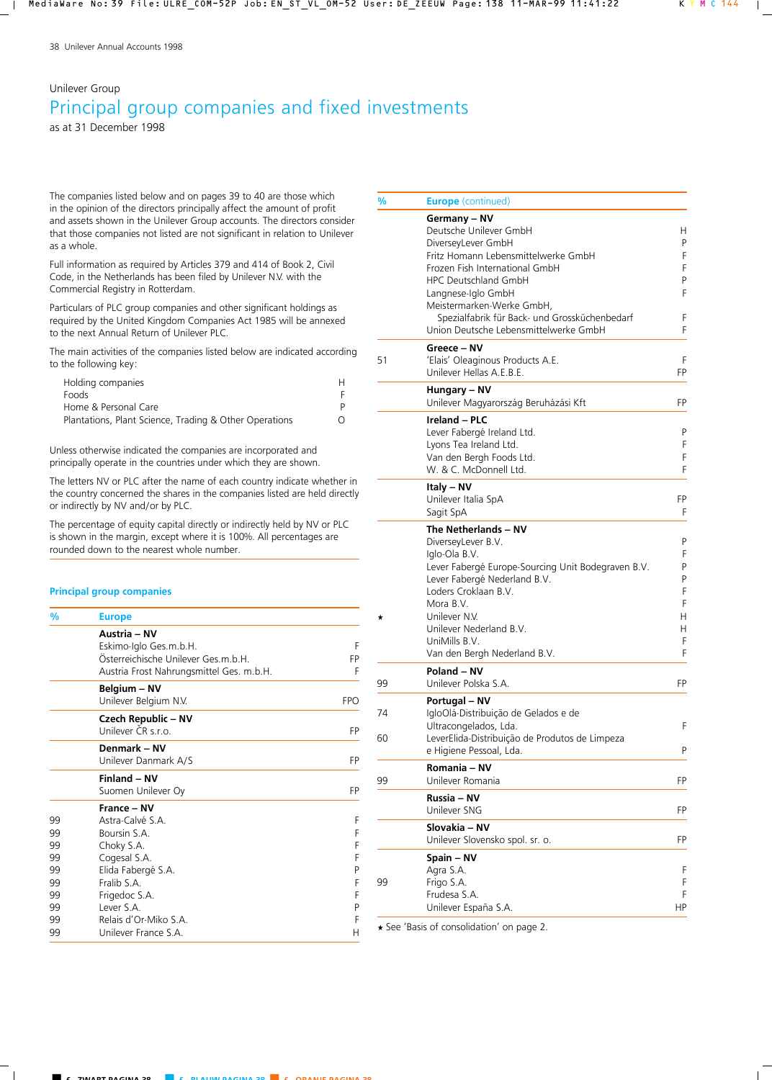# Unilever Group Principal group companies and fixed investments

as at 31 December 1998

The companies listed below and on pages 39 to 40 are those which in the opinion of the directors principally affect the amount of profit and assets shown in the Unilever Group accounts. The directors consider that those companies not listed are not significant in relation to Unilever as a whole.

Full information as required by Articles 379 and 414 of Book 2, Civil Code, in the Netherlands has been filed by Unilever N.V. with the Commercial Registry in Rotterdam.

Particulars of PLC group companies and other significant holdings as required by the United Kingdom Companies Act 1985 will be annexed to the next Annual Return of Unilever PLC.

The main activities of the companies listed below are indicated according to the following key:

| Ω |
|---|
|   |

Unless otherwise indicated the companies are incorporated and principally operate in the countries under which they are shown.

The letters NV or PLC after the name of each country indicate whether in the country concerned the shares in the companies listed are held directly or indirectly by NV and/or by PLC.

The percentage of equity capital directly or indirectly held by NV or PLC is shown in the margin, except where it is 100%. All percentages are rounded down to the nearest whole number.

## **Principal group companies**

| $\frac{9}{6}$        | <b>Europe</b>                                                                                                             |                  |
|----------------------|---------------------------------------------------------------------------------------------------------------------------|------------------|
|                      | Austria - NV<br>Eskimo-Iglo Ges.m.b.H.<br>Österreichische Unilever Ges.m.b.H.<br>Austria Frost Nahrungsmittel Ges. m.b.H. | F<br>FP<br>F     |
|                      | Belgium - NV<br>Unilever Belgium N.V.                                                                                     | <b>FPO</b>       |
|                      | Czech Republic – NV<br>Unilever ČR s.r.o.                                                                                 | FP               |
|                      | Denmark - NV<br>Unilever Danmark A/S                                                                                      | FP               |
|                      | Finland - NV<br>Suomen Unilever Oy                                                                                        | FP               |
| 99<br>99<br>99<br>99 | France - NV<br>Astra-Calvé S.A.<br>Boursin S.A.<br>Choky S.A.<br>Cogesal S.A.                                             | F<br>F<br>F<br>F |
| 99<br>99<br>99       | Elida Fabergé S.A.<br>Fralib S.A.<br>Frigedoc S.A.                                                                        | P<br>F<br>F      |
| 99<br>99<br>99       | Lever S.A.<br>Relais d'Or-Miko S.A.<br>Unilever France S.A.                                                               | P<br>F<br>Н      |

| %        | <b>Europe</b> (continued)                                                                                                                                                                                                                                                                                         |                                                 |
|----------|-------------------------------------------------------------------------------------------------------------------------------------------------------------------------------------------------------------------------------------------------------------------------------------------------------------------|-------------------------------------------------|
|          | Germany - NV<br>Deutsche Unilever GmbH<br>DiverseyLever GmbH<br>Fritz Homann Lebensmittelwerke GmbH<br>Frozen Fish International GmbH<br><b>HPC Deutschland GmbH</b><br>Langnese-Iglo GmbH<br>Meistermarken-Werke GmbH,<br>Spezialfabrik für Back- und Grossküchenbedarf<br>Union Deutsche Lebensmittelwerke GmbH | Н<br>P<br>F<br>F<br>P<br>F<br>F<br>F            |
| 51       | Greece - NV<br>'Elais' Oleaginous Products A.E.<br>Unilever Hellas A.E.B.E.                                                                                                                                                                                                                                       | F<br>FP                                         |
|          | Hungary – NV<br>Unilever Magyarország Beruházási Kft                                                                                                                                                                                                                                                              | FP                                              |
|          | <b>Ireland - PLC</b><br>Lever Fabergé Ireland Ltd.<br>Lyons Tea Ireland Ltd.<br>Van den Bergh Foods Ltd.<br>W. & C. McDonnell Ltd.                                                                                                                                                                                | P<br>F<br>F<br>F                                |
|          | Italy - NV<br>Unilever Italia SpA<br>Sagit SpA                                                                                                                                                                                                                                                                    | FP<br>F                                         |
| *        | The Netherlands - NV<br>DiverseyLever B.V.<br>Iglo-Ola B.V.<br>Lever Fabergé Europe-Sourcing Unit Bodegraven B.V.<br>Lever Fabergé Nederland B.V.<br>Loders Croklaan B.V.<br>Mora B.V.<br>Unilever N.V.<br>Unilever Nederland B.V.<br>UniMills B.V.<br>Van den Bergh Nederland B.V.                               | P<br>F<br>P<br>P<br>F<br>F<br>H.<br>н<br>F<br>F |
| 99       | Poland - NV<br>Unilever Polska S.A.                                                                                                                                                                                                                                                                               | FP                                              |
| 74<br>60 | Portugal - NV<br>IgloOlá-Distribuição de Gelados e de<br>Ultracongelados, Lda.<br>LeverElida-Distribuição de Produtos de Limpeza<br>e Higiene Pessoal, Lda.                                                                                                                                                       | F<br>P                                          |
| 99       | Romania – NV<br>Unilever Romania                                                                                                                                                                                                                                                                                  | FP                                              |
|          | Russia – NV<br>Unilever SNG                                                                                                                                                                                                                                                                                       | FP                                              |
|          | Slovakia – NV<br>Unilever Slovensko spol. sr. o.                                                                                                                                                                                                                                                                  | FP                                              |
| 99       | Spain - NV<br>Agra S.A.<br>Frigo S.A.<br>Frudesa S.A.<br>Unilever España S.A.                                                                                                                                                                                                                                     | F<br>F<br>F<br>ΗP                               |
|          |                                                                                                                                                                                                                                                                                                                   |                                                 |

\* See 'Basis of consolidation' on page 2.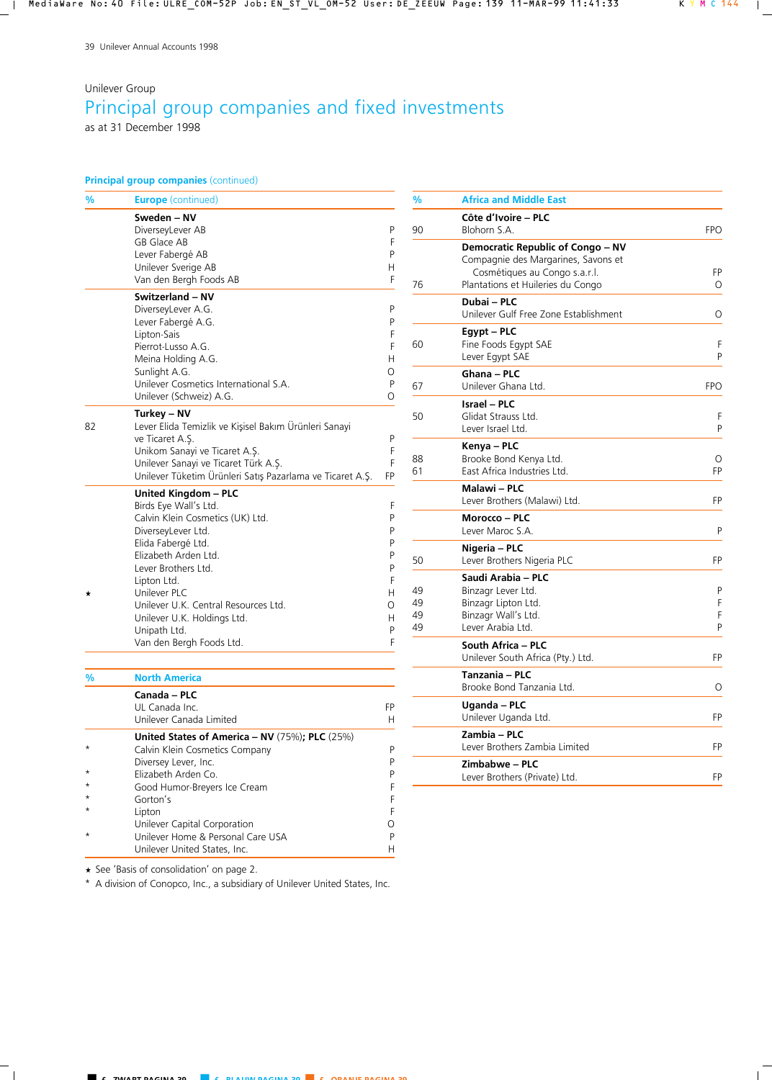# Unilever Group Principal group companies and fixed investments

as at 31 December 1998

## **Principal group companies** (continued)

| %  | <b>Europe</b> (continued)                                 |        |
|----|-----------------------------------------------------------|--------|
|    | Sweden - NV                                               |        |
|    | DiverseyLever AB                                          | P      |
|    | GB Glace AB                                               | F      |
|    | Lever Fabergé AB                                          | P      |
|    | Unilever Sverige AB                                       | H.     |
|    | Van den Bergh Foods AB                                    | F      |
|    | Switzerland - NV                                          |        |
|    | DiverseyLever A.G.                                        | P      |
|    | Lever Fabergé A.G.                                        | P      |
|    | Lipton-Sais                                               | F      |
|    | Pierrot-Lusso A.G.                                        | F      |
|    | Meina Holding A.G.                                        | H      |
|    | Sunlight A.G.                                             | 0      |
|    | Unilever Cosmetics International S.A.                     | P      |
|    | Unilever (Schweiz) A.G.                                   | 0      |
|    | Turkey – NV                                               |        |
| 82 | Lever Elida Temizlik ve Kişisel Bakım Ürünleri Sanayi     |        |
|    | ve Ticaret A.S.                                           | P      |
|    | Unikom Sanayi ve Ticaret A.Ş.                             | F      |
|    | Unilever Sanayi ve Ticaret Türk A.Ş.                      | F      |
|    | Unilever Tüketim Ürünleri Satış Pazarlama ve Ticaret A.Ş. | FP     |
|    | <b>United Kingdom - PLC</b>                               |        |
|    | Birds Eye Wall's Ltd.                                     | F      |
|    | Calvin Klein Cosmetics (UK) Ltd.                          | P      |
|    | DiverseyLever Ltd.                                        | P      |
|    | Elida Fabergé Ltd.                                        | P      |
|    | Elizabeth Arden Ltd.                                      | P      |
|    | Lever Brothers Ltd.                                       | P      |
|    | Lipton Ltd.                                               | F      |
|    | Unilever PLC                                              | н      |
|    | Unilever U.K. Central Resources Ltd.                      | Ο      |
|    | Unilever U.K. Holdings Ltd.                               | н      |
|    | Unipath Ltd.<br>Van den Bergh Foods Ltd.                  | P<br>F |
|    |                                                           |        |
| %  | <b>North America</b>                                      |        |
|    | Canada - PLC                                              |        |
|    | UL Canada Inc.                                            | FP     |
|    | Unilever Canada Limited                                   | H      |
|    | United States of America - NV $(75%)$ ; PLC $(25%)$       |        |
|    | Calvin Klein Cosmetics Company                            | P      |
|    | Diversey Lever, Inc.                                      | P      |
|    | Elizabeth Arden Co.                                       | P      |
|    | Good Humor-Breyers Ice Cream                              | F      |
|    | Gorton's                                                  | F      |

| %                    | <b>Africa and Middle East</b>                                                                                                                  |                  |
|----------------------|------------------------------------------------------------------------------------------------------------------------------------------------|------------------|
| 90                   | Côte d'Ivoire - PLC<br>Blohorn S.A.                                                                                                            | <b>FPO</b>       |
| 76                   | Democratic Republic of Congo – NV<br>Compagnie des Margarines, Savons et<br>Cosmétiques au Congo s.a.r.l.<br>Plantations et Huileries du Congo | FP<br>O          |
|                      | Dubai - PLC<br>Unilever Gulf Free Zone Establishment                                                                                           | O                |
| 60                   | Egypt – PLC<br>Fine Foods Egypt SAE<br>Lever Egypt SAE                                                                                         | F<br>P           |
| 67                   | Ghana - PLC<br>Unilever Ghana Ltd.                                                                                                             | <b>FPO</b>       |
| 50                   | <b>Israel - PLC</b><br>Glidat Strauss Ltd.<br>Lever Israel Ltd.                                                                                | F<br>P           |
| 88<br>61             | Kenya - PLC<br>Brooke Bond Kenya Ltd.<br>East Africa Industries Ltd.                                                                           | O<br>FP          |
|                      | Malawi - PLC<br>Lever Brothers (Malawi) Ltd.                                                                                                   | FP               |
|                      | Morocco - PLC<br>Lever Maroc S.A.                                                                                                              | P                |
| 50                   | Nigeria - PLC<br>Lever Brothers Nigeria PLC                                                                                                    | FP               |
| 49<br>49<br>49<br>49 | Saudi Arabia - PLC<br>Binzagr Lever Ltd.<br>Binzagr Lipton Ltd.<br>Binzagr Wall's Ltd.<br>Lever Arabia Ltd.                                    | P<br>F<br>F<br>P |
|                      | South Africa - PLC<br>Unilever South Africa (Pty.) Ltd.                                                                                        | FP               |
|                      | Tanzania - PLC<br>Brooke Bond Tanzania Ltd.                                                                                                    | O                |
|                      | Uganda - PLC<br>Unilever Uganda Ltd.                                                                                                           | FP               |
|                      | Zambia – PLC<br>Lever Brothers Zambia Limited                                                                                                  | FP               |
|                      | Zimbabwe – PLC<br>Lever Brothers (Private) Ltd.                                                                                                | FP               |

\* See 'Basis of consolidation' on page 2.

Unilever United States, Inc.

\* A division of Conopco, Inc., a subsidiary of Unilever United States, Inc.

\* Gorton's F<br>\* Lipton F \* Lipton F

\* Unilever Home & Personal Care USA P

Unilever Capital Corporation **O**<br>
Unilever Home & Personal Care USA P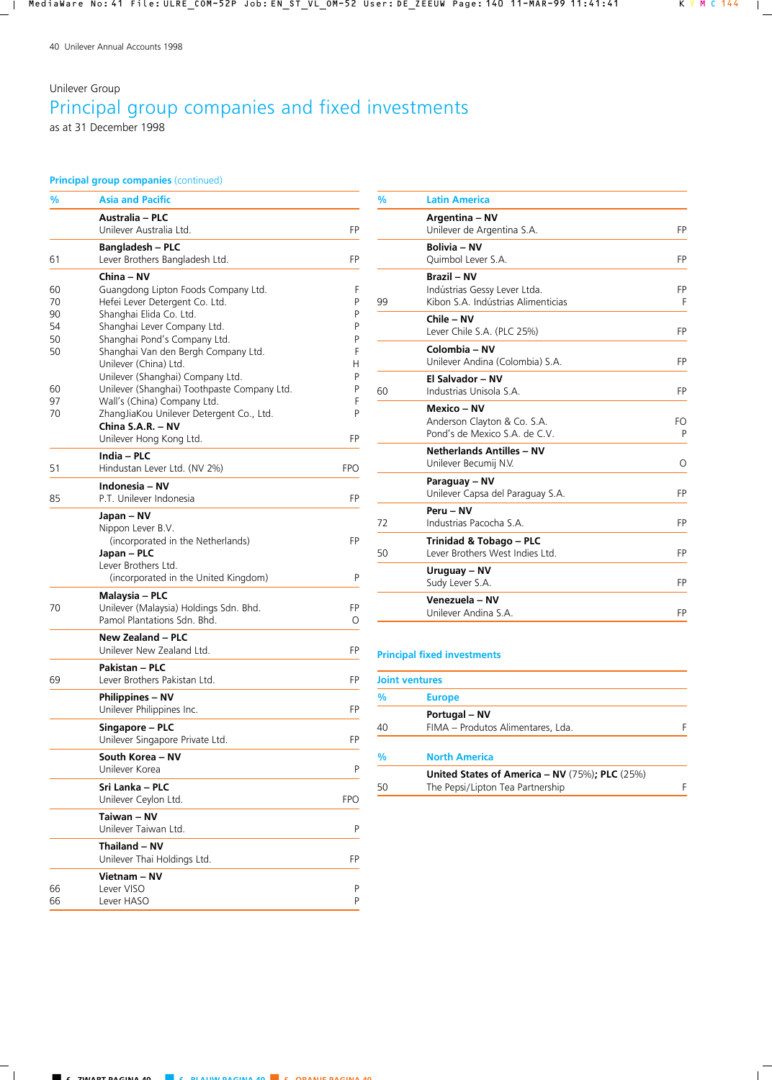# Unilever Group Principal group companies and fixed investments as at 31 December 1998

## **Principal group companies** (continued)

| %  | <b>Asia and Pacific</b>                                               |            |
|----|-----------------------------------------------------------------------|------------|
|    | Australia – PLC<br>Unilever Australia Ltd.                            | FP         |
|    | <b>Bangladesh – PLC</b>                                               |            |
| 61 | Lever Brothers Bangladesh Ltd.                                        | FP         |
| 60 | China – NV                                                            | F          |
| 70 | Guangdong Lipton Foods Company Ltd.<br>Hefei Lever Detergent Co. Ltd. | Ρ          |
| 90 | Shanghai Elida Co. Ltd.                                               | Ρ          |
| 54 | Shanghai Lever Company Ltd.                                           | P          |
| 50 | Shanghai Pond's Company Ltd.                                          | Ρ          |
| 50 | Shanghai Van den Bergh Company Ltd.                                   | F          |
|    | Unilever (China) Ltd.                                                 | H          |
|    | Unilever (Shanghai) Company Ltd.                                      | P          |
| 60 | Unilever (Shanghai) Toothpaste Company Ltd.                           | Ρ          |
| 97 | Wall's (China) Company Ltd.                                           | F<br>P     |
| 70 | ZhangJiaKou Unilever Detergent Co., Ltd.<br>China S.A.R. - NV         |            |
|    | Unilever Hong Kong Ltd.                                               | FP         |
|    | India - PLC                                                           |            |
| 51 | Hindustan Lever Ltd. (NV 2%)                                          | <b>FPO</b> |
|    | Indonesia - NV                                                        |            |
| 85 | P.T. Unilever Indonesia                                               | FP         |
|    | Japan – NV                                                            |            |
|    | Nippon Lever B.V.                                                     |            |
|    | (incorporated in the Netherlands)                                     | FP         |
|    | Japan - PLC                                                           |            |
|    | Lever Brothers Ltd.<br>(incorporated in the United Kingdom)           | P          |
|    |                                                                       |            |
| 70 | Malaysia - PLC<br>Unilever (Malaysia) Holdings Sdn. Bhd.              | FP         |
|    | Pamol Plantations Sdn. Bhd.                                           | Ο          |
|    | New Zealand - PLC                                                     |            |
|    | Unilever New Zealand Ltd.                                             | FP         |
|    | Pakistan – PLC                                                        |            |
| 69 | Lever Brothers Pakistan Ltd.                                          | FP         |
|    | <b>Philippines - NV</b>                                               |            |
|    | Unilever Philippines Inc.                                             | FP         |
|    | Singapore - PLC                                                       |            |
|    | Unilever Singapore Private Ltd.                                       | FP         |
|    | South Korea - NV<br>Unilever Korea                                    |            |
|    |                                                                       | P          |
|    | Sri Lanka - PLC<br>Unilever Ceylon Ltd.                               | FPO        |
|    | Taiwan - NV                                                           |            |
|    | Unilever Taiwan Ltd.                                                  | P          |
|    | Thailand - NV                                                         |            |
|    | Unilever Thai Holdings Ltd.                                           | FP         |
|    | Vietnam – NV                                                          |            |
| 66 | Lever VISO                                                            | P          |
| 66 | Lever HASO                                                            | P          |

| $\frac{9}{6}$ | <b>Latin America</b>                                                                     |          |
|---------------|------------------------------------------------------------------------------------------|----------|
|               | Argentina - NV<br>Unilever de Argentina S.A.                                             | FP       |
|               | <b>Bolivia - NV</b><br>Quimbol Lever S.A.                                                | FP       |
| 99            | <b>Brazil - NV</b><br>Indústrias Gessy Lever Ltda.<br>Kibon S.A. Indústrias Alimenticias | FP<br>F  |
|               | Chile - NV<br>Lever Chile S.A. (PLC 25%)                                                 | FP       |
|               | Colombia - NV<br>Unilever Andina (Colombia) S.A.                                         | FP       |
| 60            | El Salvador - NV<br>Industrias Unisola S.A.                                              | FP       |
|               | Mexico - NV<br>Anderson Clayton & Co. S.A.<br>Pond's de Mexico S.A. de C.V.              | FO.<br>P |
|               | <b>Netherlands Antilles - NV</b><br>Unilever Becumij N.V.                                | Ο        |
|               | Paraguay - NV<br>Unilever Capsa del Paraguay S.A.                                        | FP       |
| 72            | Peru - NV<br>Industrias Pacocha S.A.                                                     | FP       |
| 50            | Trinidad & Tobago - PLC<br>Lever Brothers West Indies Ltd.                               | FP       |
|               | Uruguay - NV<br>Sudy Lever S.A.                                                          | FP       |
|               | Venezuela - NV<br>Unilever Andina S.A.                                                   | FP       |

## **Principal fixed investments**

|               | <b>Joint ventures</b>                                                                   |   |
|---------------|-----------------------------------------------------------------------------------------|---|
| %             | <b>Europe</b>                                                                           |   |
|               | Portugal - NV                                                                           |   |
| 40            | FIMA - Produtos Alimentares, Lda.                                                       | F |
| $\frac{0}{0}$ | <b>North America</b>                                                                    |   |
| 50            | United States of America - NV $(75%)$ ; PLC $(25%)$<br>The Pepsi/Lipton Tea Partnership | F |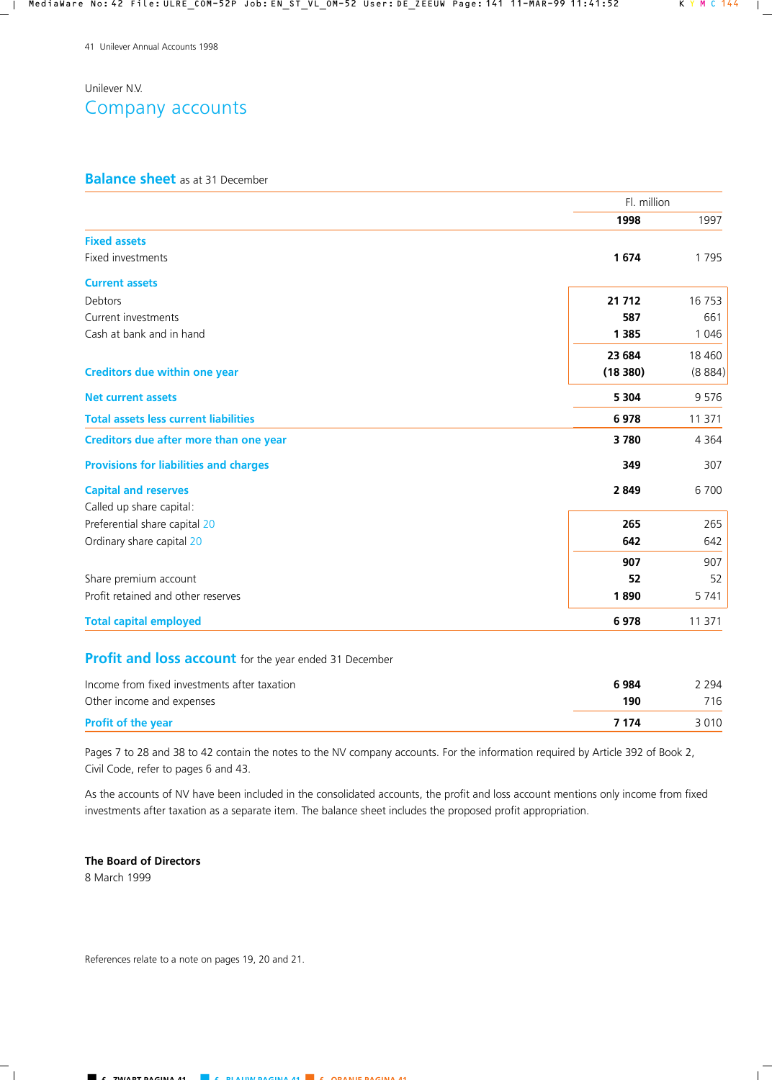# Unilever N.V. Company accounts

## **Balance sheet** as at 31 December

|                                               | Fl. million |         |
|-----------------------------------------------|-------------|---------|
|                                               | 1998        | 1997    |
| <b>Fixed assets</b>                           |             |         |
| Fixed investments                             | 1674        | 1795    |
| <b>Current assets</b>                         |             |         |
| Debtors                                       | 21 712      | 16 753  |
| Current investments                           | 587         | 661     |
| Cash at bank and in hand                      | 1 3 8 5     | 1 0 4 6 |
|                                               | 23 684      | 18 4 60 |
| <b>Creditors due within one year</b>          | (18380)     | (8884)  |
| <b>Net current assets</b>                     | 5 3 0 4     | 9 5 7 6 |
| <b>Total assets less current liabilities</b>  | 6978        | 11 371  |
| Creditors due after more than one year        | 3780        | 4 3 6 4 |
| <b>Provisions for liabilities and charges</b> | 349         | 307     |
| <b>Capital and reserves</b>                   | 2849        | 6 700   |
| Called up share capital:                      |             |         |
| Preferential share capital 20                 | 265         | 265     |
| Ordinary share capital 20                     | 642         | 642     |
|                                               | 907         | 907     |
| Share premium account                         | 52          | 52      |
| Profit retained and other reserves            | 1890        | 5 7 4 1 |
| <b>Total capital employed</b>                 | 6978        | 11 371  |

# **Profit and loss account** for the year ended 31 December

| Income from fixed investments after taxation | 6984  | 2 294 |
|----------------------------------------------|-------|-------|
| Other income and expenses                    | 190   | 716   |
| <b>Profit of the year</b>                    | 7 174 | 3010  |

Pages 7 to 28 and 38 to 42 contain the notes to the NV company accounts. For the information required by Article 392 of Book 2, Civil Code, refer to pages 6 and 43.

As the accounts of NV have been included in the consolidated accounts, the profit and loss account mentions only income from fixed investments after taxation as a separate item. The balance sheet includes the proposed profit appropriation.

## **The Board of Directors**

8 March 1999

References relate to a note on pages 19, 20 and 21.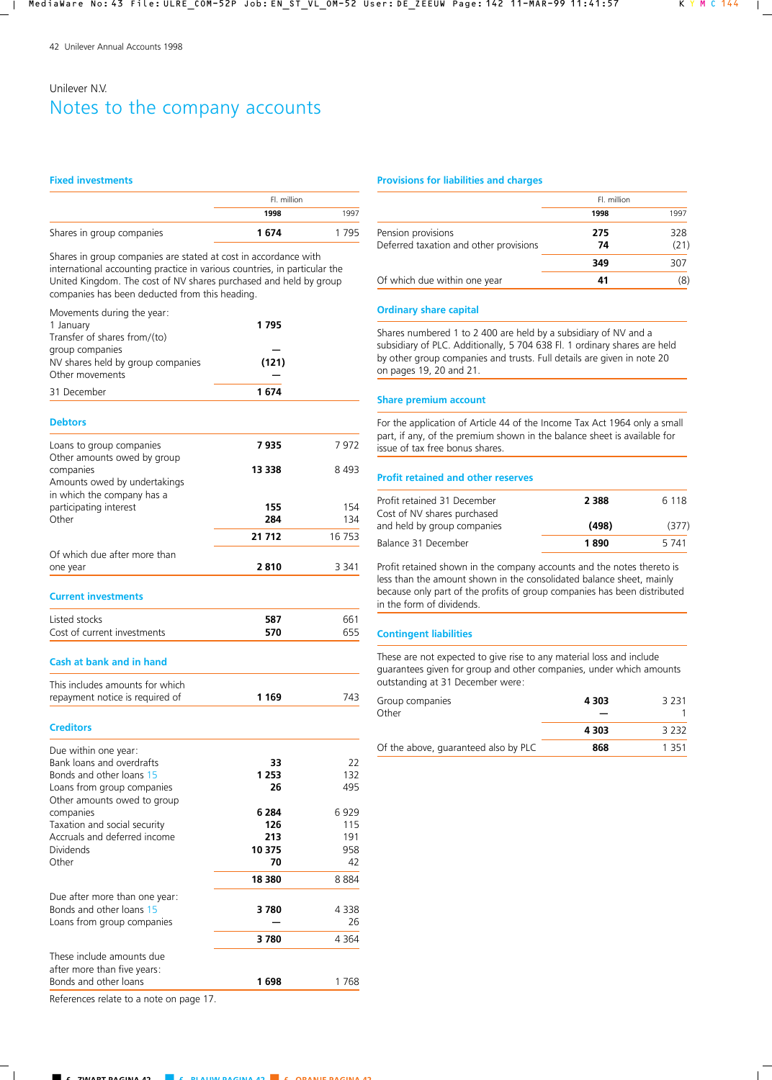# Unilever N.V. Notes to the company accounts

#### **Fixed investments**

|                           | Fl. million |      |
|---------------------------|-------------|------|
|                           | 1998        | 1997 |
| Shares in group companies | 1 674       | 1795 |

Shares in group companies are stated at cost in accordance with international accounting practice in various countries, in particular the United Kingdom. The cost of NV shares purchased and held by group companies has been deducted from this heading.

| Movements during the year: |  |  |
|----------------------------|--|--|
|                            |  |  |

| 1 January                         | 1 795 |
|-----------------------------------|-------|
| Transfer of shares from/(to)      |       |
| group companies                   |       |
| NV shares held by group companies | (121) |
| Other movements                   |       |
| 31 December                       | 1 674 |

#### **Debtors**

| Loans to group companies                                                                               | 7935       | 7 972      |
|--------------------------------------------------------------------------------------------------------|------------|------------|
| Other amounts owed by group<br>companies<br>Amounts owed by undertakings<br>in which the company has a | 13 338     | 8493       |
| participating interest<br>Other                                                                        | 155<br>284 | 154<br>134 |
|                                                                                                        | 21 712     | 16 753     |
| Of which due after more than<br>one year                                                               | 2810       | 3 341      |
| <b>Current investments</b>                                                                             |            |            |
| Listed stocks                                                                                          | 587        | 661        |
| Cost of current investments                                                                            | 570        | 655        |

### **Cash at bank and in hand**

| This includes amounts for which |         |     |
|---------------------------------|---------|-----|
| repayment notice is required of | 1 1 6 9 | 743 |

### **Creditors**

| 22      |
|---------|
|         |
|         |
| 132     |
| 495     |
|         |
| 6929    |
| 115     |
| 191     |
| 958     |
| 42      |
| 8884    |
|         |
| 4338    |
| 26      |
| 4 3 6 4 |
|         |
|         |
| 1 768   |
|         |

### References relate to a note on page 17.

### **Provisions for liabilities and charges**

|                                                              | Fl. million |             |
|--------------------------------------------------------------|-------------|-------------|
|                                                              | 1998        | 1997        |
| Pension provisions<br>Deferred taxation and other provisions | 275<br>74   | 328<br>(21) |
|                                                              | 349         | 307         |
| Of which due within one year                                 | 41          | (8)         |

## **Ordinary share capital**

Shares numbered 1 to 2 400 are held by a subsidiary of NV and a subsidiary of PLC. Additionally, 5 704 638 Fl. 1 ordinary shares are held by other group companies and trusts. Full details are given in note 20 on pages 19, 20 and 21.

### **Share premium account**

For the application of Article 44 of the Income Tax Act 1964 only a small part, if any, of the premium shown in the balance sheet is available for issue of tax free bonus shares.

## **Profit retained and other reserves**

| Profit retained 31 December                                | 2 3 8 8 | 6 1 1 8 |
|------------------------------------------------------------|---------|---------|
| Cost of NV shares purchased<br>and held by group companies | (498)   | (377)   |
| Balance 31 December                                        | 1890    | 5 741   |

Profit retained shown in the company accounts and the notes thereto is less than the amount shown in the consolidated balance sheet, mainly because only part of the profits of group companies has been distributed in the form of dividends.

### **Contingent liabilities**

These are not expected to give rise to any material loss and include guarantees given for group and other companies, under which amounts outstanding at 31 December were:

| Group companies<br>Other             | 4 3 0 3 | 3 2 3 1 |
|--------------------------------------|---------|---------|
|                                      | 4303    | 3 2 3 2 |
| Of the above, guaranteed also by PLC | 868     | 1 351   |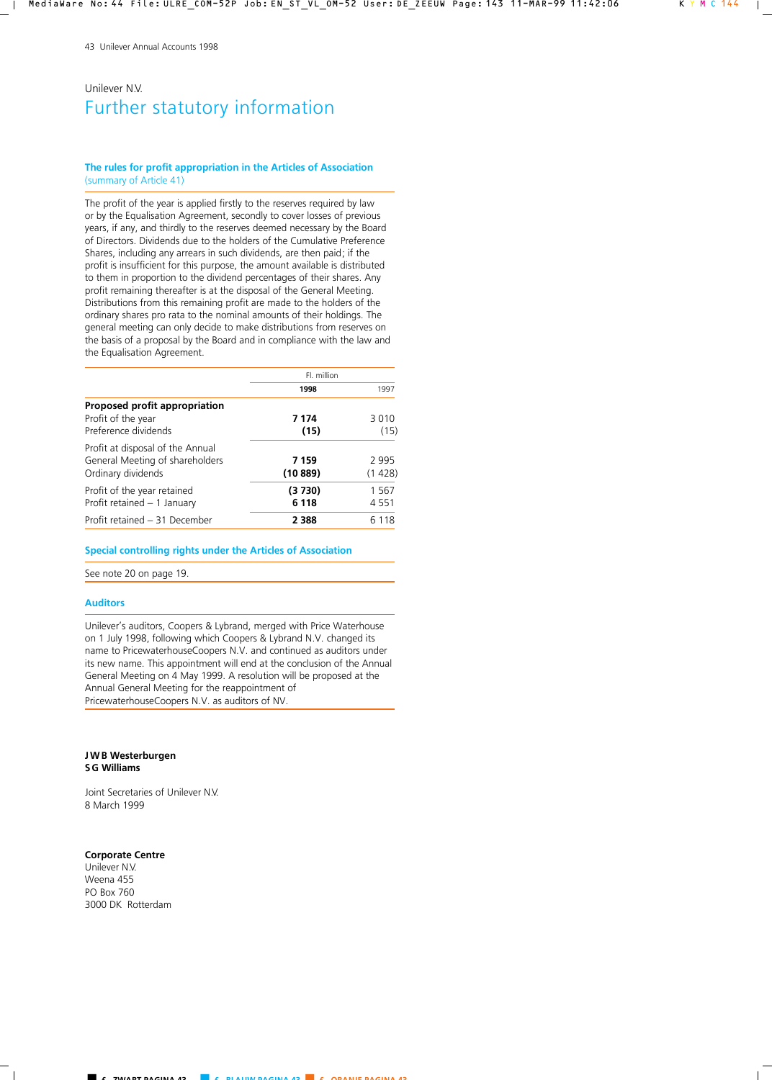# Unilever N.V. Further statutory information

### **The rules for profit appropriation in the Articles of Association** (summary of Article 41)

The profit of the year is applied firstly to the reserves required by law or by the Equalisation Agreement, secondly to cover losses of previous years, if any, and thirdly to the reserves deemed necessary by the Board of Directors. Dividends due to the holders of the Cumulative Preference Shares, including any arrears in such dividends, are then paid; if the profit is insufficient for this purpose, the amount available is distributed to them in proportion to the dividend percentages of their shares. Any profit remaining thereafter is at the disposal of the General Meeting. Distributions from this remaining profit are made to the holders of the ordinary shares pro rata to the nominal amounts of their holdings. The general meeting can only decide to make distributions from reserves on the basis of a proposal by the Board and in compliance with the law and the Equalisation Agreement.

|                                  | Fl. million |         |
|----------------------------------|-------------|---------|
|                                  | 1998        | 1997    |
| Proposed profit appropriation    |             |         |
| Profit of the year               | 7 174       | 3 0 1 0 |
| Preference dividends             | (15)        | (15)    |
| Profit at disposal of the Annual |             |         |
| General Meeting of shareholders  | 7 159       | 2 9 9 5 |
| Ordinary dividends               | (10889)     | (1428)  |
| Profit of the year retained      | (3 730)     | 1 5 6 7 |
| Profit retained - 1 January      | 6 1 1 8     | 4 5 5 1 |
| Profit retained - 31 December    | 2 3 8 8     | 6 1 1 8 |

**Special controlling rights under the Articles of Association**

See note 20 on page 19.

### **Auditors**

Unilever's auditors, Coopers & Lybrand, merged with Price Waterhouse on 1 July 1998, following which Coopers & Lybrand N.V. changed its name to PricewaterhouseCoopers N.V. and continued as auditors under its new name. This appointment will end at the conclusion of the Annual General Meeting on 4 May 1999. A resolution will be proposed at the Annual General Meeting for the reappointment of PricewaterhouseCoopers N.V. as auditors of NV.

#### **JWB Westerburgen SG Williams**

Joint Secretaries of Unilever N.V. 8 March 1999

### **Corporate Centre**

Unilever N.V. Weena 455 PO Box 760 3000 DK Rotterdam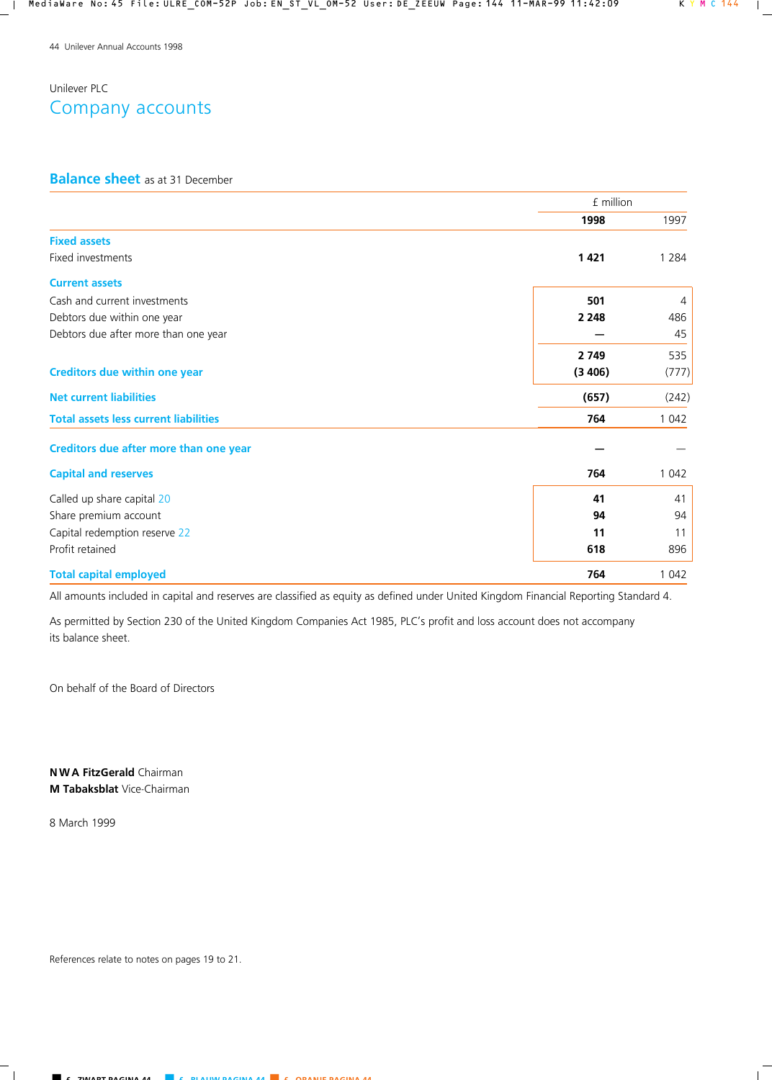# Unilever PLC Company accounts

## **Balance sheet** as at 31 December

|                                              | £ million |         |  |
|----------------------------------------------|-----------|---------|--|
|                                              | 1998      | 1997    |  |
| <b>Fixed assets</b>                          |           |         |  |
| Fixed investments                            | 1421      | 1 2 8 4 |  |
| <b>Current assets</b>                        |           |         |  |
| Cash and current investments                 | 501       | 4       |  |
| Debtors due within one year                  | 2 2 4 8   | 486     |  |
| Debtors due after more than one year         |           | 45      |  |
|                                              | 2 7 4 9   | 535     |  |
| <b>Creditors due within one year</b>         | (3406)    | (777)   |  |
| <b>Net current liabilities</b>               | (657)     | (242)   |  |
| <b>Total assets less current liabilities</b> | 764       | 1 0 4 2 |  |
| Creditors due after more than one year       |           |         |  |
| <b>Capital and reserves</b>                  | 764       | 1 0 4 2 |  |
| Called up share capital 20                   | 41        | 41      |  |
| Share premium account                        | 94        | 94      |  |
| Capital redemption reserve 22                | 11        | 11      |  |
| Profit retained                              | 618       | 896     |  |
| <b>Total capital employed</b>                | 764       | 1 0 4 2 |  |

All amounts included in capital and reserves are classified as equity as defined under United Kingdom Financial Reporting Standard 4.

As permitted by Section 230 of the United Kingdom Companies Act 1985, PLC's profit and loss account does not accompany its balance sheet.

On behalf of the Board of Directors

**N W A FitzGerald** Chairman **M Tabaksblat** Vice-Chairman

8 March 1999

References relate to notes on pages 19 to 21.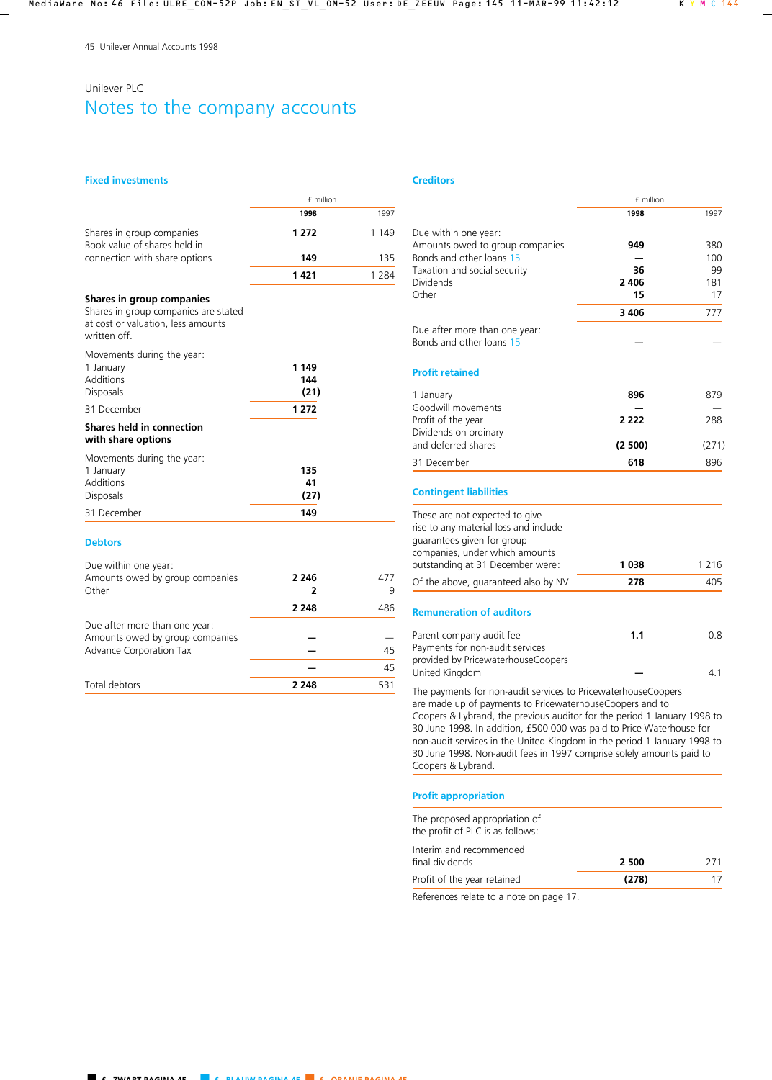# Unilever PLC Notes to the company accounts

### **Fixed investments**

|                                                           | £ million |         |
|-----------------------------------------------------------|-----------|---------|
|                                                           | 1998      | 1997    |
| Shares in group companies<br>Book value of shares held in | 1 2 7 2   | 1 1 4 9 |
| connection with share options                             | 149       | 135     |
|                                                           | 1 4 2 1   | 1 284   |

## **Shares in group companies**

Shares in group companies are stated at cost or valuation, less amounts written off.

### Movements during the year:

| 1 January                                       | 1 1 4 9 |     |
|-------------------------------------------------|---------|-----|
| Additions                                       | 144     |     |
| <b>Disposals</b>                                | (21)    |     |
| 31 December                                     | 1 2 7 2 |     |
| Shares held in connection<br>with share options |         |     |
| Movements during the year:                      |         |     |
| 1 January                                       | 135     |     |
| Additions                                       | 41      |     |
| <b>Disposals</b>                                | (27)    |     |
| 31 December                                     | 149     |     |
| <b>Debtors</b>                                  |         |     |
| Due within one year:                            |         |     |
| Amounts owed by group companies                 | 2 246   | 477 |

| Other                           |         | q   |
|---------------------------------|---------|-----|
|                                 | 2 2 4 8 | 486 |
| Due after more than one year:   |         |     |
| Amounts owed by group companies |         |     |
| Advance Corporation Tax         |         | 45  |
|                                 |         | 45  |
| Total debtors                   | 2 2 4 8 | 531 |

### **Creditors**

|                                                                          | £ million |         |
|--------------------------------------------------------------------------|-----------|---------|
|                                                                          | 1998      | 1997    |
| Due within one year:                                                     |           |         |
| Amounts owed to group companies                                          | 949       | 380     |
| Bonds and other loans 15                                                 |           | 100     |
| Taxation and social security                                             | 36        | 99      |
| Dividends                                                                | 2406      | 181     |
| Other                                                                    | 15        | 17      |
|                                                                          | 3406      | 777     |
| Due after more than one year:                                            |           |         |
| Bonds and other loans 15                                                 |           |         |
| <b>Profit retained</b>                                                   |           |         |
| 1 January                                                                | 896       | 879     |
| Goodwill movements                                                       |           |         |
| Profit of the year                                                       | 2 2 2 2   | 288     |
| Dividends on ordinary<br>and deferred shares                             | (2500)    | (271)   |
|                                                                          |           |         |
| 31 December                                                              | 618       | 896     |
| <b>Contingent liabilities</b>                                            |           |         |
| These are not expected to give                                           |           |         |
| rise to any material loss and include                                    |           |         |
| guarantees given for group                                               |           |         |
| companies, under which amounts                                           |           |         |
| outstanding at 31 December were:                                         | 1038      | 1 2 1 6 |
| Of the above, guaranteed also by NV                                      | 278       | 405     |
| <b>Remuneration of auditors</b>                                          |           |         |
| Parent company audit fee                                                 | 1.1       | 0.8     |
| Payments for non-audit services                                          |           |         |
| provided by PricewaterhouseCoopers                                       |           |         |
| United Kingdom                                                           |           | 4.1     |
| The payments for non-audit services to PricewaterhouseCoopers            |           |         |
| are made up of payments to PricewaterhouseCoopers and to                 |           |         |
| Coopers & Lybrand, the previous auditor for the period 1 January 1998 to |           |         |
| 30 June 1998. In addition, £500 000 was paid to Price Waterhouse for     |           |         |
| non-audit services in the United Kingdom in the period 1 January 1998 to |           |         |
| 30 June 1998. Non-audit fees in 1997 comprise solely amounts paid to     |           |         |
| Coopers & Lybrand.                                                       |           |         |

## **Profit appropriation**

The proposed appropriation of the profit of PLC is as follows:

| Interim and recommended                |       |     |
|----------------------------------------|-------|-----|
| final dividends                        | 2 500 | 271 |
| Profit of the year retained            | (278) |     |
| Beforences relate to a note on nage 17 |       |     |

References relate to a note on page 17.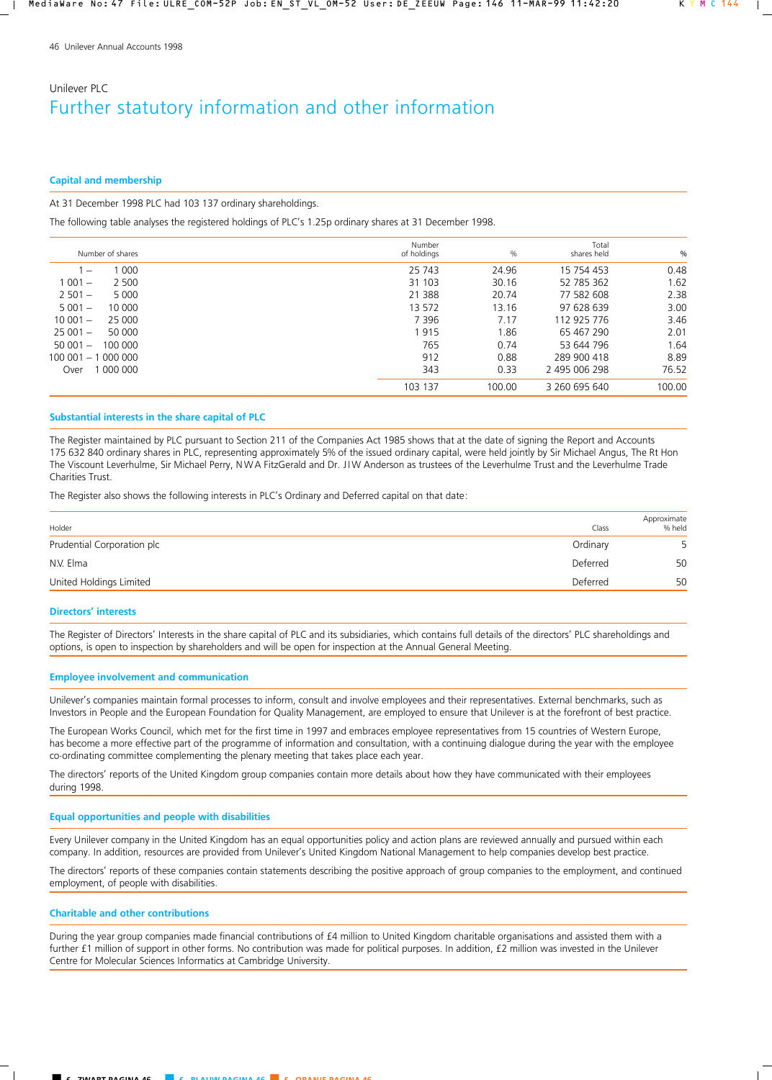# Unilever PLC Further statutory information and other information

## **Capital and membership**

## At 31 December 1998 PLC had 103 137 ordinary shareholdings.

The following table analyses the registered holdings of PLC's 1.25p ordinary shares at 31 December 1998.

| $\frac{0}{0}$ | Total<br>shares held | $\frac{0}{0}$ | Number<br>of holdings |        | Number of shares |                                 |
|---------------|----------------------|---------------|-----------------------|--------|------------------|---------------------------------|
| 0.48          | 15 754 453           | 24.96         | 25 743                | 1 000  |                  | $\hspace{0.1mm}-\hspace{0.1mm}$ |
| 1.62          | 52 785 362           | 30.16         | 31 103                | 2 500  |                  | $1001 -$                        |
| 2.38          | 77 582 608           | 20.74         | 21 3 8 8              | 5 000  |                  | $2501 -$                        |
| 3.00          | 97 628 639           | 13.16         | 13 572                | 10 000 |                  | $5001 -$                        |
| 3.46          | 112 925 776          | 7.17          | 7 3 9 6               | 25 000 |                  | $10001 -$                       |
| 2.01          | 65 467 290           | 1.86          | 1915                  | 50 000 |                  | $25001 -$                       |
| 1.64          | 53 644 796           | 0.74          | 765                   |        | 100 000          | $50001 -$                       |
| 8.89          | 289 900 418          | 0.88          | 912                   |        |                  | 100 001 - 1 000 000             |
| 76.52         | 2 495 006 298        | 0.33          | 343                   |        | 000 000          | Over                            |
| 100.00        | 3 260 695 640        | 100.00        | 103 137               |        |                  |                                 |

## **Substantial interests in the share capital of PLC**

The Register maintained by PLC pursuant to Section 211 of the Companies Act 1985 shows that at the date of signing the Report and Accounts 175 632 840 ordinary shares in PLC, representing approximately 5% of the issued ordinary capital, were held jointly by Sir Michael Angus, The Rt Hon The Viscount Leverhulme, Sir Michael Perry, NWA FitzGerald and Dr. JIW Anderson as trustees of the Leverhulme Trust and the Leverhulme Trade Charities Trust.

The Register also shows the following interests in PLC's Ordinary and Deferred capital on that date:

| Holder                     | Class    | Approximate<br>% held |
|----------------------------|----------|-----------------------|
| Prudential Corporation plc | Ordinary | 5                     |
| N.V. Elma                  | Deferred | 50                    |
| United Holdings Limited    | Deferred | 50                    |

## **Directors' interests**

The Register of Directors' Interests in the share capital of PLC and its subsidiaries, which contains full details of the directors' PLC shareholdings and options, is open to inspection by shareholders and will be open for inspection at the Annual General Meeting.

## **Employee involvement and communication**

Unilever's companies maintain formal processes to inform, consult and involve employees and their representatives. External benchmarks, such as Investors in People and the European Foundation for Quality Management, are employed to ensure that Unilever is at the forefront of best practice.

The European Works Council, which met for the first time in 1997 and embraces employee representatives from 15 countries of Western Europe, has become a more effective part of the programme of information and consultation, with a continuing dialogue during the year with the employee co-ordinating committee complementing the plenary meeting that takes place each year.

The directors' reports of the United Kingdom group companies contain more details about how they have communicated with their employees during 1998.

### **Equal opportunities and people with disabilities**

Every Unilever company in the United Kingdom has an equal opportunities policy and action plans are reviewed annually and pursued within each company. In addition, resources are provided from Unilever's United Kingdom National Management to help companies develop best practice.

The directors' reports of these companies contain statements describing the positive approach of group companies to the employment, and continued employment, of people with disabilities.

## **Charitable and other contributions**

During the year group companies made financial contributions of £4 million to United Kingdom charitable organisations and assisted them with a further £1 million of support in other forms. No contribution was made for political purposes. In addition, £2 million was invested in the Unilever Centre for Molecular Sciences Informatics at Cambridge University.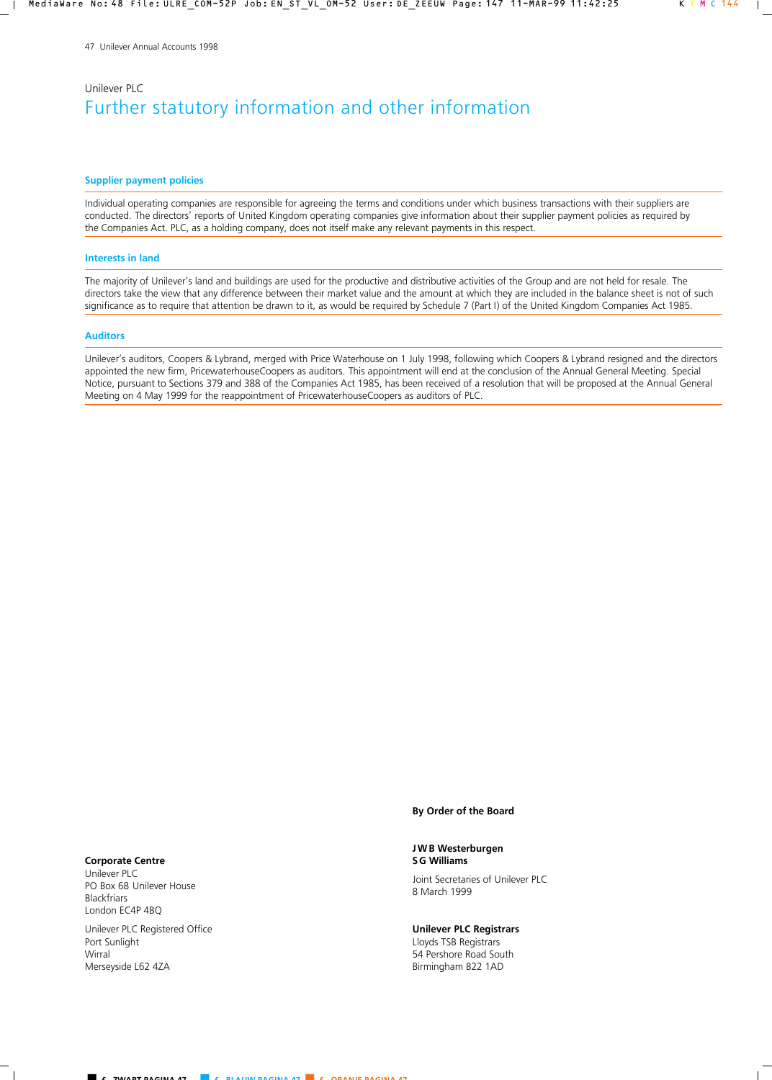# Unilever PLC Further statutory information and other information

#### **Supplier payment policies**

Individual operating companies are responsible for agreeing the terms and conditions under which business transactions with their suppliers are conducted. The directors' reports of United Kingdom operating companies give information about their supplier payment policies as required by the Companies Act. PLC, as a holding company, does not itself make any relevant payments in this respect.

#### **Interests in land**

The majority of Unilever's land and buildings are used for the productive and distributive activities of the Group and are not held for resale. The directors take the view that any difference between their market value and the amount at which they are included in the balance sheet is not of such significance as to require that attention be drawn to it, as would be required by Schedule 7 (Part I) of the United Kingdom Companies Act 1985.

#### **Auditors**

Unilever's auditors, Coopers & Lybrand, merged with Price Waterhouse on 1 July 1998, following which Coopers & Lybrand resigned and the directors appointed the new firm, PricewaterhouseCoopers as auditors. This appointment will end at the conclusion of the Annual General Meeting. Special Notice, pursuant to Sections 379 and 388 of the Companies Act 1985, has been received of a resolution that will be proposed at the Annual General Meeting on 4 May 1999 for the reappointment of PricewaterhouseCoopers as auditors of PLC.

### **By Order of the Board**

**JWB Westerburgen SG Williams**

Joint Secretaries of Unilever PLC 8 March 1999

**Unilever PLC Registrars** Lloyds TSB Registrars 54 Pershore Road South Birmingham B22 1AD

#### **Corporate Centre**

Unilever PLC PO Box 68 Unilever House Blackfriars London EC4P 4BQ

Unilever PLC Registered Office Port Sunlight Wirral Merseyside L62 4ZA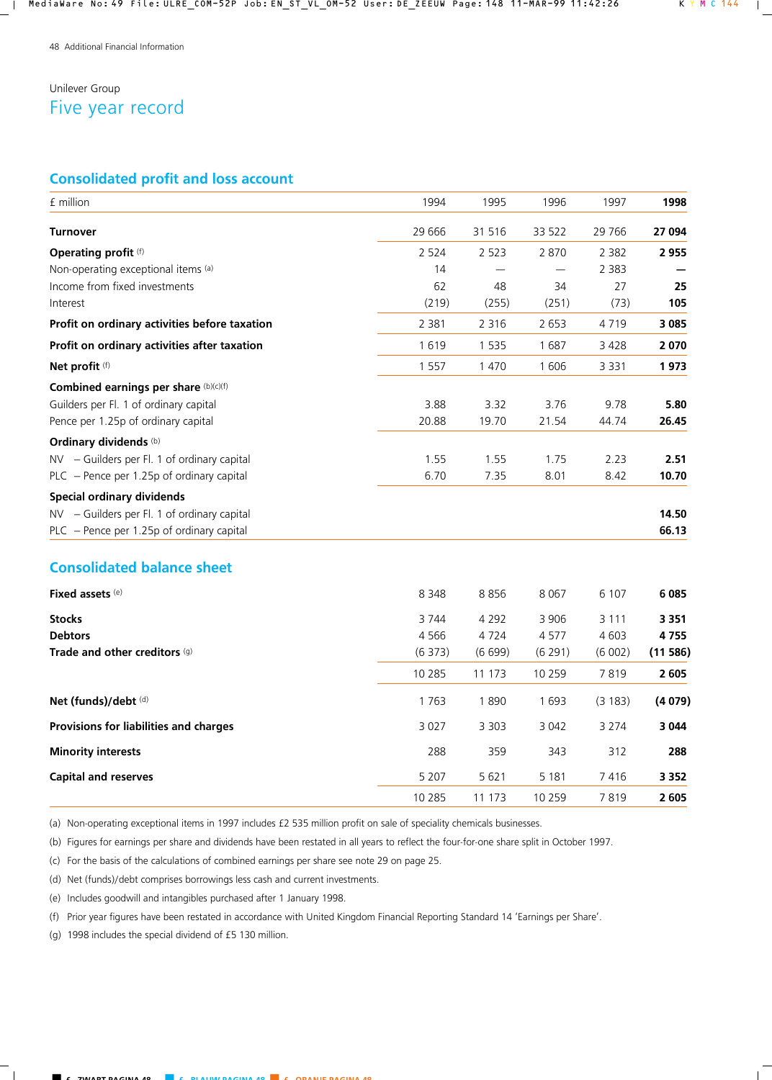# Unilever Group Five year record

# **Consolidated profit and loss account**

| £ million                                     | 1994     | 1995    | 1996    | 1997    | 1998    |
|-----------------------------------------------|----------|---------|---------|---------|---------|
|                                               |          |         |         |         |         |
| <b>Turnover</b>                               | 29 6 66  | 31 516  | 33 522  | 29 7 66 | 27 094  |
| <b>Operating profit (f)</b>                   | 2 5 2 4  | 2 5 2 3 | 2870    | 2 3 8 2 | 2 9 5 5 |
| Non-operating exceptional items (a)           | 14       |         |         | 2 3 8 3 |         |
| Income from fixed investments                 | 62       | 48      | 34      | 27      | 25      |
| Interest                                      | (219)    | (255)   | (251)   | (73)    | 105     |
| Profit on ordinary activities before taxation | 2 3 8 1  | 2 3 1 6 | 2 6 5 3 | 4719    | 3 0 8 5 |
| Profit on ordinary activities after taxation  | 1619     | 1 5 3 5 | 1687    | 3428    | 2070    |
| Net profit (f)                                | 1 5 5 7  | 1 470   | 1606    | 3 3 3 1 | 1973    |
| Combined earnings per share (b)(c)(f)         |          |         |         |         |         |
| Guilders per Fl. 1 of ordinary capital        | 3.88     | 3.32    | 3.76    | 9.78    | 5.80    |
| Pence per 1.25p of ordinary capital           | 20.88    | 19.70   | 21.54   | 44.74   | 26.45   |
| <b>Ordinary dividends (b)</b>                 |          |         |         |         |         |
| NV - Guilders per Fl. 1 of ordinary capital   | 1.55     | 1.55    | 1.75    | 2.23    | 2.51    |
| PLC - Pence per 1.25p of ordinary capital     | 6.70     | 7.35    | 8.01    | 8.42    | 10.70   |
| <b>Special ordinary dividends</b>             |          |         |         |         |         |
| NV - Guilders per Fl. 1 of ordinary capital   |          |         |         |         | 14.50   |
| PLC - Pence per 1.25p of ordinary capital     |          |         |         |         | 66.13   |
| <b>Consolidated balance sheet</b>             |          |         |         |         |         |
| <b>Fixed assets (e)</b>                       | 8 3 4 8  | 8856    | 8 0 6 7 | 6 1 0 7 | 6085    |
| <b>Stocks</b>                                 | 3 7 4 4  | 4 2 9 2 | 3 9 0 6 | 3 1 1 1 | 3 3 5 1 |
| <b>Debtors</b>                                | 4 5 6 6  | 4724    | 4577    | 4 6 0 3 | 4755    |
| Trade and other creditors (g)                 | (6373)   | (6699)  | (6 291) | (6002)  | (11586) |
|                                               | 10 2 8 5 | 11 173  | 10 259  | 7819    | 2 605   |
| Net (funds)/debt (d)                          | 1763     | 1890    | 1693    | (3183)  | (4079)  |
| Provisions for liabilities and charges        | 3 0 2 7  | 3 3 0 3 | 3 0 4 2 | 3 2 7 4 | 3 0 4 4 |
| <b>Minority interests</b>                     | 288      | 359     | 343     | 312     | 288     |
| <b>Capital and reserves</b>                   | 5 2 0 7  | 5 6 2 1 | 5 1 8 1 | 7416    | 3 3 5 2 |
|                                               | 10 285   | 11 173  | 10 259  | 7819    | 2 6 0 5 |

(a) Non-operating exceptional items in 1997 includes £2 535 million profit on sale of speciality chemicals businesses.

(b) Figures for earnings per share and dividends have been restated in all years to reflect the four-for-one share split in October 1997.

(c) For the basis of the calculations of combined earnings per share see note 29 on page 25.

(d) Net (funds)/debt comprises borrowings less cash and current investments.

(e) Includes goodwill and intangibles purchased after 1 January 1998.

(f) Prior year figures have been restated in accordance with United Kingdom Financial Reporting Standard 14 'Earnings per Share'.

(g) 1998 includes the special dividend of £5 130 million.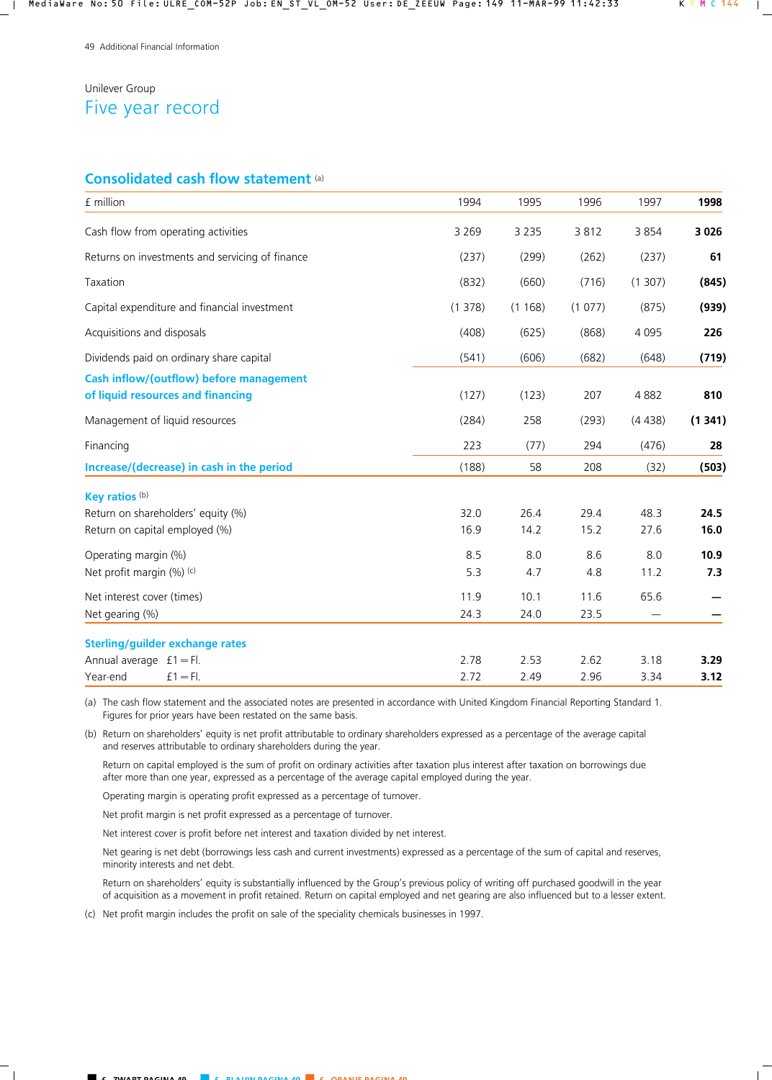# Unilever Group Five year record

## **Consolidated cash flow statement** (a)

| £ million                                                                              | 1994         | 1995         | 1996         | 1997         | 1998         |
|----------------------------------------------------------------------------------------|--------------|--------------|--------------|--------------|--------------|
| Cash flow from operating activities                                                    | 3 2 6 9      | 3 2 3 5      | 3812         | 3854         | 3 0 2 6      |
| Returns on investments and servicing of finance                                        | (237)        | (299)        | (262)        | (237)        | 61           |
| Taxation                                                                               | (832)        | (660)        | (716)        | (1307)       | (845)        |
| Capital expenditure and financial investment                                           | (1378)       | (1168)       | (1077)       | (875)        | (939)        |
| Acquisitions and disposals                                                             | (408)        | (625)        | (868)        | 4 0 9 5      | 226          |
| Dividends paid on ordinary share capital                                               | (541)        | (606)        | (682)        | (648)        | (719)        |
| Cash inflow/(outflow) before management<br>of liquid resources and financing           | (127)        | (123)        | 207          | 4882         | 810          |
| Management of liquid resources                                                         | (284)        | 258          | (293)        | (4438)       | (1341)       |
| Financing                                                                              | 223          | (77)         | 294          | (476)        | 28           |
| Increase/(decrease) in cash in the period                                              | (188)        | 58           | 208          | (32)         | (503)        |
| Key ratios (b)<br>Return on shareholders' equity (%)<br>Return on capital employed (%) | 32.0<br>16.9 | 26.4<br>14.2 | 29.4<br>15.2 | 48.3<br>27.6 | 24.5<br>16.0 |
| Operating margin (%)<br>Net profit margin (%) (c)                                      | 8.5<br>5.3   | 8.0<br>4.7   | 8.6<br>4.8   | 8.0<br>11.2  | 10.9<br>7.3  |
| Net interest cover (times)<br>Net gearing (%)                                          | 11.9<br>24.3 | 10.1<br>24.0 | 11.6<br>23.5 | 65.6         |              |
| <b>Sterling/guilder exchange rates</b><br>Annual average $f1 = Fl$ .                   | 2.78         | 2.53         | 2.62         | 3.18         | 3.29         |
| Year-end<br>$f1 = Fl$ .                                                                | 2.72         | 2.49         | 2.96         | 3.34         | 3.12         |

(a) The cash flow statement and the associated notes are presented in accordance with United Kingdom Financial Reporting Standard 1. Figures for prior years have been restated on the same basis.

(b) Return on shareholders' equity is net profit attributable to ordinary shareholders expressed as a percentage of the average capital and reserves attributable to ordinary shareholders during the year.

 Return on capital employed is the sum of profit on ordinary activities after taxation plus interest after taxation on borrowings due after more than one year, expressed as a percentage of the average capital employed during the year.

Operating margin is operating profit expressed as a percentage of turnover.

Net profit margin is net profit expressed as a percentage of turnover.

Net interest cover is profit before net interest and taxation divided by net interest.

 Net gearing is net debt (borrowings less cash and current investments) expressed as a percentage of the sum of capital and reserves, minority interests and net debt.

 Return on shareholders' equity is substantially influenced by the Group's previous policy of writing off purchased goodwill in the year of acquisition as a movement in profit retained. Return on capital employed and net gearing are also influenced but to a lesser extent.

(c) Net profit margin includes the profit on sale of the speciality chemicals businesses in 1997.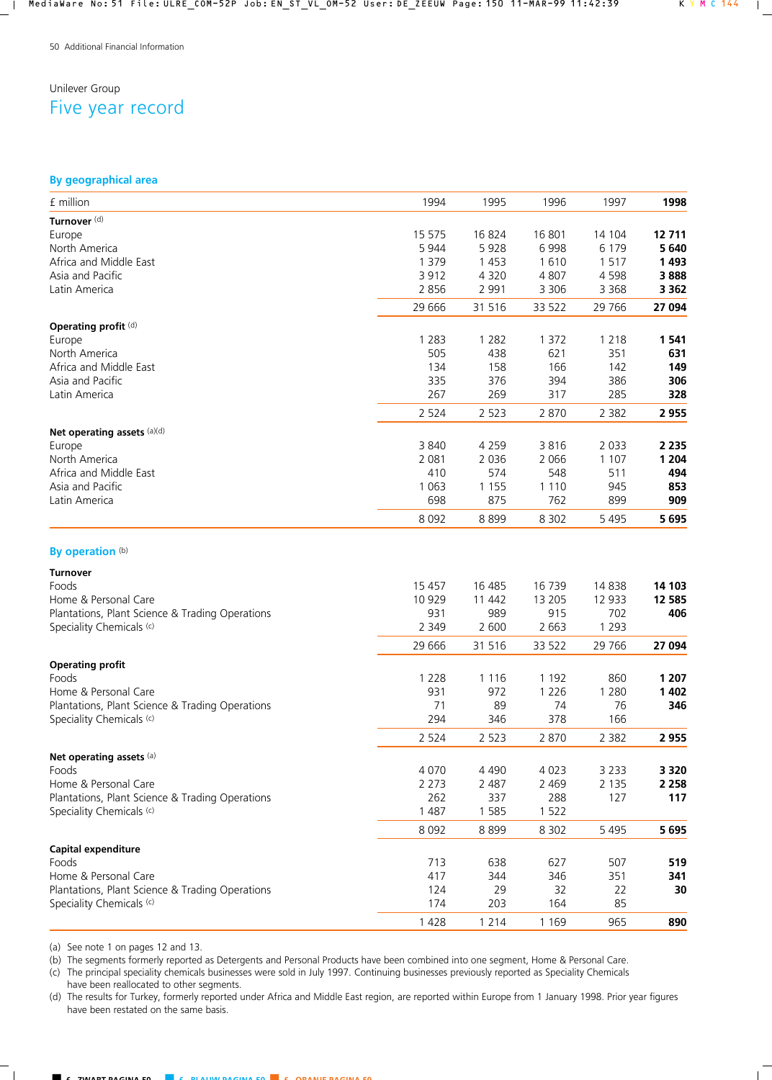# Unilever Group Five year record

## **By geographical area**

| £ million                                                                   | 1994           | 1995         | 1996           | 1997           | 1998    |
|-----------------------------------------------------------------------------|----------------|--------------|----------------|----------------|---------|
| Turnover <sup>(d)</sup>                                                     |                |              |                |                |         |
| Europe                                                                      | 15 575         | 16824        | 16 801         | 14 104         | 12 711  |
| North America                                                               | 5 9 4 4        | 5928         | 6998           | 6 1 7 9        | 5 6 4 0 |
| Africa and Middle East                                                      | 1 3 7 9        | 1 4 5 3      | 1610           | 1517           | 1493    |
| Asia and Pacific                                                            | 3912           | 4 3 2 0      | 4807           | 4 5 9 8        | 3888    |
| Latin America                                                               | 2 8 5 6        | 2 9 9 1      | 3 3 0 6        | 3 3 6 8        | 3 3 6 2 |
|                                                                             | 29 6 66        | 31 516       | 33 522         | 29 766         | 27 094  |
| Operating profit (d)                                                        |                |              |                |                |         |
| Europe                                                                      | 1 2 8 3        | 1 2 8 2      | 1 3 7 2        | 1 2 1 8        | 1 5 4 1 |
| North America                                                               | 505            | 438          | 621            | 351            | 631     |
| Africa and Middle East                                                      | 134            | 158          | 166            | 142            | 149     |
| Asia and Pacific                                                            | 335            | 376          | 394            | 386            | 306     |
| Latin America                                                               | 267            | 269          | 317            | 285            | 328     |
|                                                                             | 2 5 2 4        | 2 5 2 3      | 2870           | 2 3 8 2        | 2955    |
| Net operating assets (a)(d)                                                 |                |              |                |                |         |
| Europe                                                                      | 3 8 4 0        | 4 2 5 9      | 3816           | 2 0 3 3        | 2 2 3 5 |
| North America                                                               | 2 0 8 1        | 2 0 3 6      | 2 0 6 6        | 1 1 0 7        | 1 2 0 4 |
| Africa and Middle East                                                      | 410            | 574          | 548            | 511            | 494     |
| Asia and Pacific                                                            | 1 0 6 3        | 1 1 5 5      | 1 1 1 0        | 945            | 853     |
| Latin America                                                               | 698            | 875          | 762            | 899            | 909     |
|                                                                             | 8 0 9 2        | 8899         | 8 3 0 2        | 5 4 9 5        | 5695    |
| By operation (b)                                                            |                |              |                |                |         |
| <b>Turnover</b>                                                             |                |              |                |                |         |
| Foods                                                                       | 15 4 57        | 16 485       | 16 739         | 14 8 38        | 14 103  |
| Home & Personal Care                                                        | 10 9 29        | 11 442       | 13 205         | 12 933         | 12 585  |
| Plantations, Plant Science & Trading Operations<br>Speciality Chemicals (c) | 931<br>2 3 4 9 | 989<br>2 600 | 915<br>2 6 6 3 | 702<br>1 2 9 3 | 406     |
|                                                                             |                |              |                |                |         |
|                                                                             | 29 6 66        | 31 516       | 33 522         | 29 766         | 27 094  |
| <b>Operating profit</b><br>Foods                                            | 1 2 2 8        | 1 1 1 6      | 1 1 9 2        | 860            | 1 207   |
| Home & Personal Care                                                        | 931            | 972          | 1 2 2 6        | 1 2 8 0        | 1 4 0 2 |
| Plantations, Plant Science & Trading Operations                             | 71             | 89           | 74             | 76             | 346     |
| Speciality Chemicals (c)                                                    | 294            | 346          | 378            | 166            |         |
|                                                                             | 2 5 2 4        | 2 5 2 3      | 2870           | 2 3 8 2        | 2 9 5 5 |
| Net operating assets (a)                                                    |                |              |                |                |         |
| Foods                                                                       | 4 0 7 0        | 4 4 9 0      | 4 0 2 3        | 3 2 3 3        | 3 3 2 0 |
| Home & Personal Care                                                        | 2 2 7 3        | 2 4 8 7      | 2 4 6 9        | 2 1 3 5        | 2 2 5 8 |
| Plantations, Plant Science & Trading Operations                             | 262            | 337          | 288            | 127            | 117     |
| Speciality Chemicals (c)                                                    | 1 4 8 7        | 1 5 8 5      | 1 5 2 2        |                |         |
|                                                                             | 8 0 9 2        | 8899         | 8 3 0 2        | 5 4 9 5        | 5 6 9 5 |
| <b>Capital expenditure</b>                                                  |                |              |                |                |         |
| Foods                                                                       | 713            | 638          | 627            | 507            | 519     |
| Home & Personal Care                                                        | 417            | 344          | 346            | 351            | 341     |
| Plantations, Plant Science & Trading Operations                             | 124            | 29           | 32             | 22             | 30      |
| Speciality Chemicals (c)                                                    | 174            | 203          | 164            | 85             |         |
|                                                                             | 1 4 2 8        | 1 2 1 4      | 1 1 6 9        | 965            | 890     |

(a) See note 1 on pages 12 and 13.

(b) The segments formerly reported as Detergents and Personal Products have been combined into one segment, Home & Personal Care.

(c) The principal speciality chemicals businesses were sold in July 1997. Continuing businesses previously reported as Speciality Chemicals

have been reallocated to other segments. (d) The results for Turkey, formerly reported under Africa and Middle East region, are reported within Europe from 1 January 1998. Prior year figures have been restated on the same basis.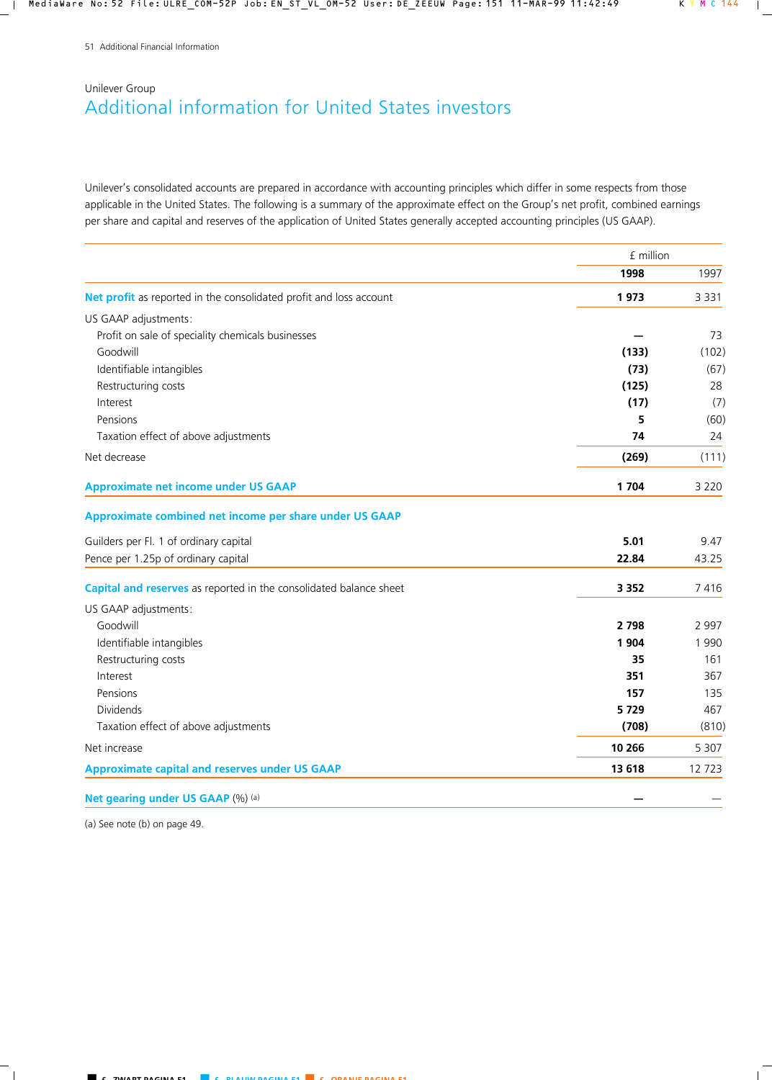# Unilever Group Additional information for United States investors

Unilever's consolidated accounts are prepared in accordance with accounting principles which differ in some respects from those applicable in the United States. The following is a summary of the approximate effect on the Group's net profit, combined earnings per share and capital and reserves of the application of United States generally accepted accounting principles (US GAAP).

|                                                                    | £ million |         |
|--------------------------------------------------------------------|-----------|---------|
|                                                                    | 1998      | 1997    |
| Net profit as reported in the consolidated profit and loss account | 1973      | 3 3 3 1 |
| US GAAP adjustments:                                               |           |         |
| Profit on sale of speciality chemicals businesses                  |           | 73      |
| Goodwill                                                           | (133)     | (102)   |
| Identifiable intangibles                                           | (73)      | (67)    |
| Restructuring costs                                                | (125)     | 28      |
| Interest                                                           | (17)      | (7)     |
| Pensions                                                           | 5         | (60)    |
| Taxation effect of above adjustments                               | 74        | 24      |
| Net decrease                                                       | (269)     | (111)   |
| <b>Approximate net income under US GAAP</b>                        | 1 7 0 4   | 3 2 2 0 |
| Approximate combined net income per share under US GAAP            |           |         |
| Guilders per Fl. 1 of ordinary capital                             | 5.01      | 9.47    |
| Pence per 1.25p of ordinary capital                                | 22.84     | 43.25   |
| Capital and reserves as reported in the consolidated balance sheet | 3 3 5 2   | 7416    |
| US GAAP adjustments:                                               |           |         |
| Goodwill                                                           | 2 7 9 8   | 2 9 9 7 |
| Identifiable intangibles                                           | 1 9 0 4   | 1 9 9 0 |
| Restructuring costs                                                | 35        | 161     |
| Interest                                                           | 351       | 367     |
| Pensions                                                           | 157       | 135     |
| Dividends                                                          | 5729      | 467     |
| Taxation effect of above adjustments                               | (708)     | (810)   |
| Net increase                                                       | 10 266    | 5 3 0 7 |
| <b>Approximate capital and reserves under US GAAP</b>              | 13 618    | 12723   |
| Net gearing under US GAAP (%) (a)                                  |           |         |

(a) See note (b) on page 49.